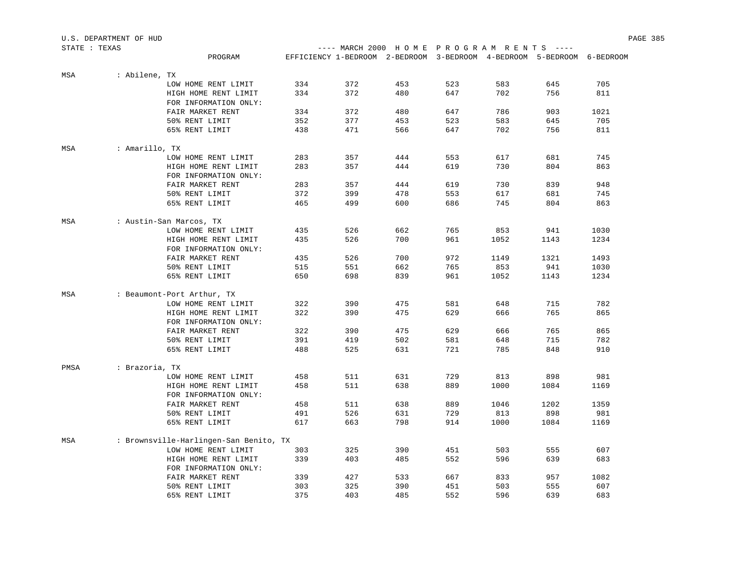|               | U.S. DEPARTMENT OF HUD |                                        |     |                                                                        |     |     |      |      |      | PAGE 385 |
|---------------|------------------------|----------------------------------------|-----|------------------------------------------------------------------------|-----|-----|------|------|------|----------|
| STATE : TEXAS |                        |                                        |     | ---- MARCH 2000 HOME PROGRAM RENTS ----                                |     |     |      |      |      |          |
|               |                        | PROGRAM                                |     | EFFICIENCY 1-BEDROOM 2-BEDROOM 3-BEDROOM 4-BEDROOM 5-BEDROOM 6-BEDROOM |     |     |      |      |      |          |
| MSA           | : Abilene, TX          |                                        |     |                                                                        |     |     |      |      |      |          |
|               |                        | LOW HOME RENT LIMIT                    | 334 | 372                                                                    | 453 | 523 | 583  | 645  | 705  |          |
|               |                        | HIGH HOME RENT LIMIT                   | 334 | 372                                                                    | 480 | 647 | 702  | 756  | 811  |          |
|               |                        | FOR INFORMATION ONLY:                  |     |                                                                        |     |     |      |      |      |          |
|               |                        | FAIR MARKET RENT                       | 334 | 372                                                                    | 480 | 647 | 786  | 903  | 1021 |          |
|               |                        | 50% RENT LIMIT                         | 352 | 377                                                                    | 453 | 523 | 583  | 645  | 705  |          |
|               |                        | 65% RENT LIMIT                         | 438 | 471                                                                    | 566 | 647 | 702  | 756  | 811  |          |
| MSA           | : Amarillo, TX         |                                        |     |                                                                        |     |     |      |      |      |          |
|               |                        | LOW HOME RENT LIMIT                    | 283 | 357                                                                    | 444 | 553 | 617  | 681  | 745  |          |
|               |                        | HIGH HOME RENT LIMIT                   | 283 | 357                                                                    | 444 | 619 | 730  | 804  | 863  |          |
|               |                        | FOR INFORMATION ONLY:                  |     |                                                                        |     |     |      |      |      |          |
|               |                        | FAIR MARKET RENT                       | 283 | 357                                                                    | 444 | 619 | 730  | 839  | 948  |          |
|               |                        | 50% RENT LIMIT                         | 372 | 399                                                                    | 478 | 553 | 617  | 681  | 745  |          |
|               |                        | 65% RENT LIMIT                         | 465 | 499                                                                    | 600 | 686 | 745  | 804  | 863  |          |
| MSA           |                        | : Austin-San Marcos, TX                |     |                                                                        |     |     |      |      |      |          |
|               |                        | LOW HOME RENT LIMIT                    | 435 | 526                                                                    | 662 | 765 | 853  | 941  | 1030 |          |
|               |                        | HIGH HOME RENT LIMIT                   | 435 | 526                                                                    | 700 | 961 | 1052 | 1143 | 1234 |          |
|               |                        | FOR INFORMATION ONLY:                  |     |                                                                        |     |     |      |      |      |          |
|               |                        | FAIR MARKET RENT                       | 435 | 526                                                                    | 700 | 972 | 1149 | 1321 | 1493 |          |
|               |                        | 50% RENT LIMIT                         | 515 | 551                                                                    | 662 | 765 | 853  | 941  | 1030 |          |
|               |                        | 65% RENT LIMIT                         | 650 | 698                                                                    | 839 | 961 | 1052 | 1143 | 1234 |          |
| MSA           |                        | : Beaumont-Port Arthur, TX             |     |                                                                        |     |     |      |      |      |          |
|               |                        | LOW HOME RENT LIMIT                    | 322 | 390                                                                    | 475 | 581 | 648  | 715  | 782  |          |
|               |                        | HIGH HOME RENT LIMIT                   | 322 | 390                                                                    | 475 | 629 | 666  | 765  | 865  |          |
|               |                        | FOR INFORMATION ONLY:                  |     |                                                                        |     |     |      |      |      |          |
|               |                        | FAIR MARKET RENT                       | 322 | 390                                                                    | 475 | 629 | 666  | 765  | 865  |          |
|               |                        | 50% RENT LIMIT                         | 391 | 419                                                                    | 502 | 581 | 648  | 715  | 782  |          |
|               |                        | 65% RENT LIMIT                         | 488 | 525                                                                    | 631 | 721 | 785  | 848  | 910  |          |
| PMSA          | : Brazoria, TX         |                                        |     |                                                                        |     |     |      |      |      |          |
|               |                        | LOW HOME RENT LIMIT                    | 458 | 511                                                                    | 631 | 729 | 813  | 898  | 981  |          |
|               |                        | HIGH HOME RENT LIMIT                   | 458 | 511                                                                    | 638 | 889 | 1000 | 1084 | 1169 |          |
|               |                        | FOR INFORMATION ONLY:                  |     |                                                                        |     |     |      |      |      |          |
|               |                        | FAIR MARKET RENT                       | 458 | 511                                                                    | 638 | 889 | 1046 | 1202 | 1359 |          |
|               |                        | 50% RENT LIMIT                         | 491 | 526                                                                    | 631 | 729 | 813  | 898  | 981  |          |
|               |                        | 65% RENT LIMIT                         | 617 | 663                                                                    | 798 | 914 | 1000 | 1084 | 1169 |          |
| MSA           |                        | : Brownsville-Harlingen-San Benito, TX |     |                                                                        |     |     |      |      |      |          |
|               |                        | LOW HOME RENT LIMIT                    | 303 | 325                                                                    | 390 | 451 | 503  | 555  | 607  |          |
|               |                        | HIGH HOME RENT LIMIT                   | 339 | 403                                                                    | 485 | 552 | 596  | 639  | 683  |          |
|               |                        | FOR INFORMATION ONLY:                  |     |                                                                        |     |     |      |      |      |          |
|               |                        | FAIR MARKET RENT                       | 339 | 427                                                                    | 533 | 667 | 833  | 957  | 1082 |          |
|               |                        | 50% RENT LIMIT                         | 303 | 325                                                                    | 390 | 451 | 503  | 555  | 607  |          |
|               |                        | 65% RENT LIMIT                         | 375 | 403                                                                    | 485 | 552 | 596  | 639  | 683  |          |
|               |                        |                                        |     |                                                                        |     |     |      |      |      |          |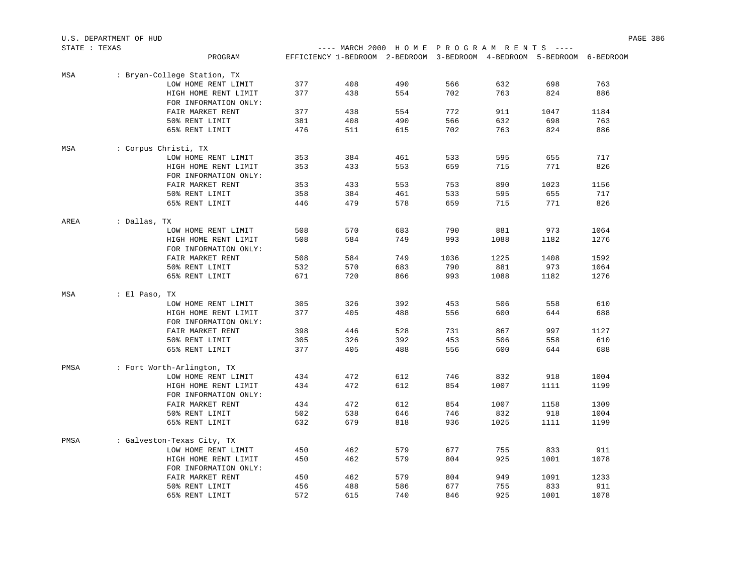|               | U.S. DEPARTMENT OF HUD      |     |                                                                        |     |      |      |      |      | PAGE 386 |
|---------------|-----------------------------|-----|------------------------------------------------------------------------|-----|------|------|------|------|----------|
| STATE : TEXAS |                             |     | ---- MARCH 2000 HOME PROGRAM RENTS ----                                |     |      |      |      |      |          |
|               | PROGRAM                     |     | EFFICIENCY 1-BEDROOM 2-BEDROOM 3-BEDROOM 4-BEDROOM 5-BEDROOM 6-BEDROOM |     |      |      |      |      |          |
| MSA           | : Bryan-College Station, TX |     |                                                                        |     |      |      |      |      |          |
|               | LOW HOME RENT LIMIT         | 377 | 408                                                                    | 490 | 566  | 632  | 698  | 763  |          |
|               | HIGH HOME RENT LIMIT        | 377 | 438                                                                    | 554 | 702  | 763  | 824  | 886  |          |
|               | FOR INFORMATION ONLY:       |     |                                                                        |     |      |      |      |      |          |
|               | FAIR MARKET RENT            | 377 | 438                                                                    | 554 | 772  | 911  | 1047 | 1184 |          |
|               | 50% RENT LIMIT              | 381 | 408                                                                    | 490 | 566  | 632  | 698  | 763  |          |
|               | 65% RENT LIMIT              | 476 | 511                                                                    | 615 | 702  | 763  | 824  | 886  |          |
| MSA           | : Corpus Christi, TX        |     |                                                                        |     |      |      |      |      |          |
|               | LOW HOME RENT LIMIT         | 353 | 384                                                                    | 461 | 533  | 595  | 655  | 717  |          |
|               | HIGH HOME RENT LIMIT        | 353 | 433                                                                    | 553 | 659  | 715  | 771  | 826  |          |
|               | FOR INFORMATION ONLY:       |     |                                                                        |     |      |      |      |      |          |
|               | FAIR MARKET RENT            | 353 | 433                                                                    | 553 | 753  | 890  | 1023 | 1156 |          |
|               | 50% RENT LIMIT              | 358 | 384                                                                    | 461 | 533  | 595  | 655  | 717  |          |
|               | 65% RENT LIMIT              | 446 | 479                                                                    | 578 | 659  | 715  | 771  | 826  |          |
| AREA          | : Dallas, TX                |     |                                                                        |     |      |      |      |      |          |
|               | LOW HOME RENT LIMIT         | 508 | 570                                                                    | 683 | 790  | 881  | 973  | 1064 |          |
|               | HIGH HOME RENT LIMIT        | 508 | 584                                                                    | 749 | 993  | 1088 | 1182 | 1276 |          |
|               | FOR INFORMATION ONLY:       |     |                                                                        |     |      |      |      |      |          |
|               | FAIR MARKET RENT            | 508 | 584                                                                    | 749 | 1036 | 1225 | 1408 | 1592 |          |
|               | 50% RENT LIMIT              | 532 | 570                                                                    | 683 | 790  | 881  | 973  | 1064 |          |
|               | 65% RENT LIMIT              | 671 | 720                                                                    | 866 | 993  | 1088 | 1182 | 1276 |          |
| MSA           | : El Paso, TX               |     |                                                                        |     |      |      |      |      |          |
|               | LOW HOME RENT LIMIT         | 305 | 326                                                                    | 392 | 453  | 506  | 558  | 610  |          |
|               | HIGH HOME RENT LIMIT        | 377 | 405                                                                    | 488 | 556  | 600  | 644  | 688  |          |
|               | FOR INFORMATION ONLY:       |     |                                                                        |     |      |      |      |      |          |
|               | FAIR MARKET RENT            | 398 | 446                                                                    | 528 | 731  | 867  | 997  | 1127 |          |
|               | 50% RENT LIMIT              | 305 | 326                                                                    | 392 | 453  | 506  | 558  | 610  |          |
|               | 65% RENT LIMIT              | 377 | 405                                                                    | 488 | 556  | 600  | 644  | 688  |          |
| PMSA          | : Fort Worth-Arlington, TX  |     |                                                                        |     |      |      |      |      |          |
|               | LOW HOME RENT LIMIT         | 434 | 472                                                                    | 612 | 746  | 832  | 918  | 1004 |          |
|               | HIGH HOME RENT LIMIT        | 434 | 472                                                                    | 612 | 854  | 1007 | 1111 | 1199 |          |
|               | FOR INFORMATION ONLY:       |     |                                                                        |     |      |      |      |      |          |
|               | FAIR MARKET RENT            | 434 | 472                                                                    | 612 | 854  | 1007 | 1158 | 1309 |          |
|               | 50% RENT LIMIT              | 502 | 538                                                                    | 646 | 746  | 832  | 918  | 1004 |          |
|               | 65% RENT LIMIT              | 632 | 679                                                                    | 818 | 936  | 1025 | 1111 | 1199 |          |
| PMSA          | : Galveston-Texas City, TX  |     |                                                                        |     |      |      |      |      |          |
|               | LOW HOME RENT LIMIT         | 450 | 462                                                                    | 579 | 677  | 755  | 833  | 911  |          |
|               | HIGH HOME RENT LIMIT        | 450 | 462                                                                    | 579 | 804  | 925  | 1001 | 1078 |          |
|               | FOR INFORMATION ONLY:       |     |                                                                        |     |      |      |      |      |          |
|               | FAIR MARKET RENT            | 450 | 462                                                                    | 579 | 804  | 949  | 1091 | 1233 |          |
|               | 50% RENT LIMIT              | 456 | 488                                                                    | 586 | 677  | 755  | 833  | 911  |          |
|               | 65% RENT LIMIT              | 572 | 615                                                                    | 740 | 846  | 925  | 1001 | 1078 |          |
|               |                             |     |                                                                        |     |      |      |      |      |          |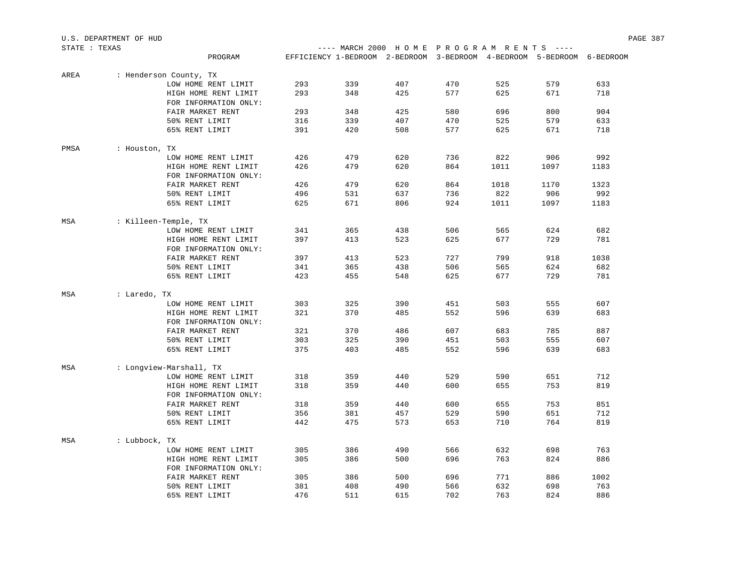| STATE : TEXAS |               |                         |     |     | ---- MARCH 2000 HOME PROGRAM RENTS ----                                |     |      |      |      |
|---------------|---------------|-------------------------|-----|-----|------------------------------------------------------------------------|-----|------|------|------|
|               |               | PROGRAM                 |     |     | EFFICIENCY 1-BEDROOM 2-BEDROOM 3-BEDROOM 4-BEDROOM 5-BEDROOM 6-BEDROOM |     |      |      |      |
|               |               |                         |     |     |                                                                        |     |      |      |      |
| AREA          |               | : Henderson County, TX  | 293 | 339 | 407                                                                    | 470 | 525  | 579  | 633  |
|               |               | LOW HOME RENT LIMIT     |     |     |                                                                        |     |      |      |      |
|               |               | HIGH HOME RENT LIMIT    | 293 | 348 | 425                                                                    | 577 | 625  | 671  | 718  |
|               |               | FOR INFORMATION ONLY:   |     |     |                                                                        |     |      |      |      |
|               |               | FAIR MARKET RENT        | 293 | 348 | 425                                                                    | 580 | 696  | 800  | 904  |
|               |               | 50% RENT LIMIT          | 316 | 339 | 407                                                                    | 470 | 525  | 579  | 633  |
|               |               | 65% RENT LIMIT          | 391 | 420 | 508                                                                    | 577 | 625  | 671  | 718  |
| PMSA          | : Houston, TX |                         |     |     |                                                                        |     |      |      |      |
|               |               | LOW HOME RENT LIMIT     | 426 | 479 | 620                                                                    | 736 | 822  | 906  | 992  |
|               |               | HIGH HOME RENT LIMIT    | 426 | 479 | 620                                                                    | 864 | 1011 | 1097 | 1183 |
|               |               | FOR INFORMATION ONLY:   |     |     |                                                                        |     |      |      |      |
|               |               | FAIR MARKET RENT        | 426 | 479 | 620                                                                    | 864 | 1018 | 1170 | 1323 |
|               |               | 50% RENT LIMIT          | 496 | 531 | 637                                                                    | 736 | 822  | 906  | 992  |
|               |               | 65% RENT LIMIT          | 625 | 671 | 806                                                                    | 924 | 1011 | 1097 | 1183 |
|               |               |                         |     |     |                                                                        |     |      |      |      |
| MSA           |               | : Killeen-Temple, TX    |     |     |                                                                        |     |      |      |      |
|               |               | LOW HOME RENT LIMIT     | 341 | 365 | 438                                                                    | 506 | 565  | 624  | 682  |
|               |               | HIGH HOME RENT LIMIT    | 397 | 413 | 523                                                                    | 625 | 677  | 729  | 781  |
|               |               | FOR INFORMATION ONLY:   |     |     |                                                                        |     |      |      |      |
|               |               | FAIR MARKET RENT        | 397 | 413 | 523                                                                    | 727 | 799  | 918  | 1038 |
|               |               | 50% RENT LIMIT          | 341 | 365 | 438                                                                    | 506 | 565  | 624  | 682  |
|               |               | 65% RENT LIMIT          | 423 | 455 | 548                                                                    | 625 | 677  | 729  | 781  |
| MSA           | : Laredo, TX  |                         |     |     |                                                                        |     |      |      |      |
|               |               | LOW HOME RENT LIMIT     | 303 | 325 | 390                                                                    | 451 | 503  | 555  | 607  |
|               |               | HIGH HOME RENT LIMIT    | 321 | 370 | 485                                                                    | 552 | 596  | 639  | 683  |
|               |               | FOR INFORMATION ONLY:   |     |     |                                                                        |     |      |      |      |
|               |               | FAIR MARKET RENT        | 321 | 370 | 486                                                                    | 607 | 683  | 785  | 887  |
|               |               | 50% RENT LIMIT          | 303 | 325 | 390                                                                    | 451 |      |      | 607  |
|               |               |                         |     |     |                                                                        |     | 503  | 555  |      |
|               |               | 65% RENT LIMIT          | 375 | 403 | 485                                                                    | 552 | 596  | 639  | 683  |
| MSA           |               | : Longview-Marshall, TX |     |     |                                                                        |     |      |      |      |
|               |               | LOW HOME RENT LIMIT     | 318 | 359 | 440                                                                    | 529 | 590  | 651  | 712  |
|               |               | HIGH HOME RENT LIMIT    | 318 | 359 | 440                                                                    | 600 | 655  | 753  | 819  |
|               |               | FOR INFORMATION ONLY:   |     |     |                                                                        |     |      |      |      |
|               |               | FAIR MARKET RENT        | 318 | 359 | 440                                                                    | 600 | 655  | 753  | 851  |
|               |               | 50% RENT LIMIT          | 356 | 381 | 457                                                                    | 529 | 590  | 651  | 712  |
|               |               | 65% RENT LIMIT          | 442 | 475 | 573                                                                    | 653 | 710  | 764  | 819  |
|               |               |                         |     |     |                                                                        |     |      |      |      |
| MSA           | : Lubbock, TX |                         |     |     |                                                                        |     |      |      |      |
|               |               | LOW HOME RENT LIMIT     | 305 | 386 | 490                                                                    | 566 | 632  | 698  | 763  |
|               |               | HIGH HOME RENT LIMIT    | 305 | 386 | 500                                                                    | 696 | 763  | 824  | 886  |
|               |               | FOR INFORMATION ONLY:   |     |     |                                                                        |     |      |      |      |
|               |               | FAIR MARKET RENT        | 305 | 386 | 500                                                                    | 696 | 771  | 886  | 1002 |
|               |               | 50% RENT LIMIT          | 381 | 408 | 490                                                                    | 566 | 632  | 698  | 763  |
|               |               | 65% RENT LIMIT          | 476 | 511 | 615                                                                    | 702 | 763  | 824  | 886  |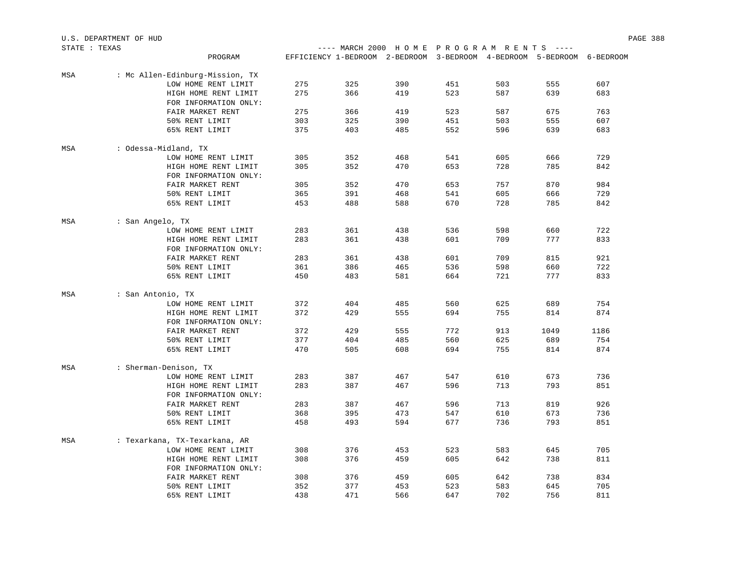| U.S.<br>OF HUD<br>. DEPARTMENT |                                                                                                                                                                                                                                                                                                                                                                                              |                                    |  | 388<br>PAGE |
|--------------------------------|----------------------------------------------------------------------------------------------------------------------------------------------------------------------------------------------------------------------------------------------------------------------------------------------------------------------------------------------------------------------------------------------|------------------------------------|--|-------------|
| STATE<br>TEXAS                 | $\frac{1}{2} \frac{1}{2} \frac{1}{2} \frac{1}{2} \frac{1}{2} \frac{1}{2} \frac{1}{2} \frac{1}{2} \frac{1}{2} \frac{1}{2} \frac{1}{2} \frac{1}{2} \frac{1}{2} \frac{1}{2} \frac{1}{2} \frac{1}{2} \frac{1}{2} \frac{1}{2} \frac{1}{2} \frac{1}{2} \frac{1}{2} \frac{1}{2} \frac{1}{2} \frac{1}{2} \frac{1}{2} \frac{1}{2} \frac{1}{2} \frac{1}{2} \frac{1}{2} \frac{1}{2} \frac{1}{2} \frac{$ | MARCH 2000 HOME PROGRAM RENTS ---- |  |             |

| טראמנו י מדומו |                   | PROGRAM                         |     | EFFICIENCY 1-BEDROOM 2-BEDROOM 3-BEDROOM 4-BEDROOM 5-BEDROOM 6-BEDROOM | MAKCH 2000 HOME FROGRAM REN LO |     |     |      |      |
|----------------|-------------------|---------------------------------|-----|------------------------------------------------------------------------|--------------------------------|-----|-----|------|------|
|                |                   |                                 |     |                                                                        |                                |     |     |      |      |
| MSA            |                   | : Mc Allen-Edinburg-Mission, TX |     |                                                                        |                                |     |     |      |      |
|                |                   | LOW HOME RENT LIMIT             | 275 | 325                                                                    | 390                            | 451 | 503 | 555  | 607  |
|                |                   | HIGH HOME RENT LIMIT            | 275 | 366                                                                    | 419                            | 523 | 587 | 639  | 683  |
|                |                   | FOR INFORMATION ONLY:           |     |                                                                        |                                |     |     |      |      |
|                |                   | FAIR MARKET RENT                | 275 | 366                                                                    | 419                            | 523 | 587 | 675  | 763  |
|                |                   | 50% RENT LIMIT                  | 303 | 325                                                                    | 390                            | 451 | 503 | 555  | 607  |
|                |                   | 65% RENT LIMIT                  | 375 | 403                                                                    | 485                            | 552 | 596 | 639  | 683  |
| MSA            |                   | : Odessa-Midland, TX            |     |                                                                        |                                |     |     |      |      |
|                |                   | LOW HOME RENT LIMIT             | 305 | 352                                                                    | 468                            | 541 | 605 | 666  | 729  |
|                |                   | HIGH HOME RENT LIMIT            | 305 | 352                                                                    | 470                            | 653 | 728 | 785  | 842  |
|                |                   | FOR INFORMATION ONLY:           |     |                                                                        |                                |     |     |      |      |
|                |                   | FAIR MARKET RENT                | 305 | 352                                                                    | 470                            | 653 | 757 | 870  | 984  |
|                |                   | 50% RENT LIMIT                  | 365 | 391                                                                    | 468                            | 541 | 605 | 666  | 729  |
|                |                   | 65% RENT LIMIT                  | 453 | 488                                                                    | 588                            | 670 | 728 | 785  | 842  |
| MSA            | : San Angelo, TX  |                                 |     |                                                                        |                                |     |     |      |      |
|                |                   | LOW HOME RENT LIMIT             | 283 | 361                                                                    | 438                            | 536 | 598 | 660  | 722  |
|                |                   | HIGH HOME RENT LIMIT            | 283 | 361                                                                    | 438                            | 601 | 709 | 777  | 833  |
|                |                   | FOR INFORMATION ONLY:           |     |                                                                        |                                |     |     |      |      |
|                |                   | FAIR MARKET RENT                | 283 | 361                                                                    | 438                            | 601 | 709 | 815  | 921  |
|                |                   | 50% RENT LIMIT                  | 361 | 386                                                                    | 465                            | 536 | 598 | 660  | 722  |
|                |                   | 65% RENT LIMIT                  | 450 | 483                                                                    | 581                            | 664 | 721 | 777  | 833  |
| MSA            | : San Antonio, TX |                                 |     |                                                                        |                                |     |     |      |      |
|                |                   | LOW HOME RENT LIMIT             | 372 | 404                                                                    | 485                            | 560 | 625 | 689  | 754  |
|                |                   | HIGH HOME RENT LIMIT            | 372 | 429                                                                    | 555                            | 694 | 755 | 814  | 874  |
|                |                   | FOR INFORMATION ONLY:           |     |                                                                        |                                |     |     |      |      |
|                |                   | FAIR MARKET RENT                | 372 | 429                                                                    | 555                            | 772 | 913 | 1049 | 1186 |
|                |                   | 50% RENT LIMIT                  | 377 | 404                                                                    | 485                            | 560 | 625 | 689  | 754  |
|                |                   | 65% RENT LIMIT                  | 470 | 505                                                                    | 608                            | 694 | 755 | 814  | 874  |
| MSA            |                   | : Sherman-Denison, TX           |     |                                                                        |                                |     |     |      |      |
|                |                   | LOW HOME RENT LIMIT             | 283 | 387                                                                    | 467                            | 547 | 610 | 673  | 736  |
|                |                   | HIGH HOME RENT LIMIT            | 283 | 387                                                                    | 467                            | 596 | 713 | 793  | 851  |
|                |                   | FOR INFORMATION ONLY:           |     |                                                                        |                                |     |     |      |      |
|                |                   | FAIR MARKET RENT                | 283 | 387                                                                    | 467                            | 596 | 713 | 819  | 926  |
|                |                   | 50% RENT LIMIT                  | 368 | 395                                                                    | 473                            | 547 | 610 | 673  | 736  |
|                |                   | 65% RENT LIMIT                  | 458 | 493                                                                    | 594                            | 677 | 736 | 793  | 851  |
|                |                   |                                 |     |                                                                        |                                |     |     |      |      |
| MSA            |                   | : Texarkana, TX-Texarkana, AR   |     |                                                                        |                                |     |     |      |      |
|                |                   | LOW HOME RENT LIMIT             | 308 | 376                                                                    | 453                            | 523 | 583 | 645  | 705  |
|                |                   | HIGH HOME RENT LIMIT            | 308 | 376                                                                    | 459                            | 605 | 642 | 738  | 811  |
|                |                   | FOR INFORMATION ONLY:           |     |                                                                        |                                |     |     |      |      |
|                |                   | FAIR MARKET RENT                | 308 | 376                                                                    | 459                            | 605 | 642 | 738  | 834  |
|                |                   | 50% RENT LIMIT                  | 352 | 377                                                                    | 453                            | 523 | 583 | 645  | 705  |
|                |                   | 65% RENT LIMIT                  | 438 | 471                                                                    | 566                            | 647 | 702 | 756  | 811  |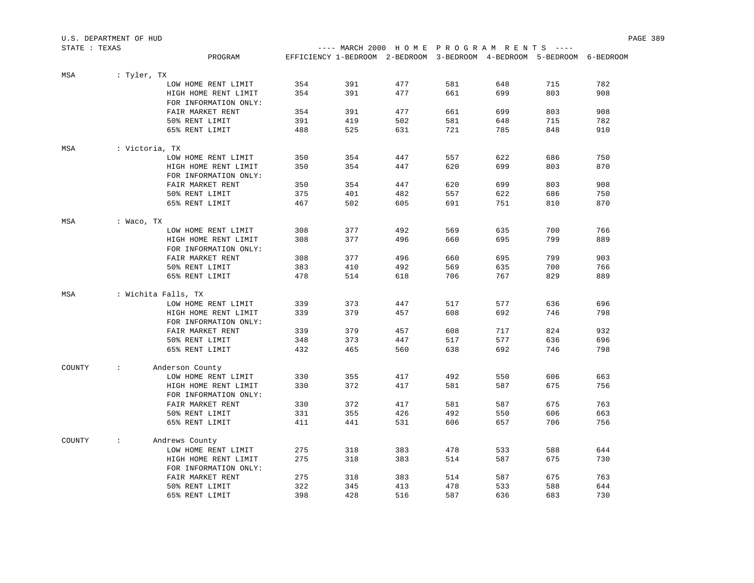| U.S. DEPARTMENT OF HUD |                      |                       |     |                                                                        |     |     |     |     |     | PAGE 389 |
|------------------------|----------------------|-----------------------|-----|------------------------------------------------------------------------|-----|-----|-----|-----|-----|----------|
| STATE : TEXAS          |                      |                       |     | ---- MARCH 2000 HOME PROGRAM RENTS ----                                |     |     |     |     |     |          |
|                        |                      | PROGRAM               |     | EFFICIENCY 1-BEDROOM 2-BEDROOM 3-BEDROOM 4-BEDROOM 5-BEDROOM 6-BEDROOM |     |     |     |     |     |          |
| MSA                    | : Tyler, TX          |                       |     |                                                                        |     |     |     |     |     |          |
|                        |                      | LOW HOME RENT LIMIT   | 354 | 391                                                                    | 477 | 581 | 648 | 715 | 782 |          |
|                        |                      | HIGH HOME RENT LIMIT  | 354 | 391                                                                    | 477 | 661 | 699 | 803 | 908 |          |
|                        |                      | FOR INFORMATION ONLY: |     |                                                                        |     |     |     |     |     |          |
|                        |                      | FAIR MARKET RENT      | 354 | 391                                                                    | 477 | 661 | 699 | 803 | 908 |          |
|                        |                      | 50% RENT LIMIT        | 391 | 419                                                                    | 502 | 581 | 648 | 715 | 782 |          |
|                        |                      | 65% RENT LIMIT        | 488 | 525                                                                    | 631 | 721 | 785 | 848 | 910 |          |
| MSA                    | : Victoria, TX       |                       |     |                                                                        |     |     |     |     |     |          |
|                        |                      | LOW HOME RENT LIMIT   | 350 | 354                                                                    | 447 | 557 | 622 | 686 | 750 |          |
|                        |                      | HIGH HOME RENT LIMIT  | 350 | 354                                                                    | 447 | 620 | 699 | 803 | 870 |          |
|                        |                      | FOR INFORMATION ONLY: |     |                                                                        |     |     |     |     |     |          |
|                        |                      | FAIR MARKET RENT      | 350 | 354                                                                    | 447 | 620 | 699 | 803 | 908 |          |
|                        |                      | 50% RENT LIMIT        | 375 | 401                                                                    | 482 | 557 | 622 | 686 | 750 |          |
|                        |                      | 65% RENT LIMIT        | 467 | 502                                                                    | 605 | 691 | 751 | 810 | 870 |          |
| MSA                    | : Waco, TX           |                       |     |                                                                        |     |     |     |     |     |          |
|                        |                      | LOW HOME RENT LIMIT   | 308 | 377                                                                    | 492 | 569 | 635 | 700 | 766 |          |
|                        |                      | HIGH HOME RENT LIMIT  | 308 | 377                                                                    | 496 | 660 | 695 | 799 | 889 |          |
|                        |                      | FOR INFORMATION ONLY: |     |                                                                        |     |     |     |     |     |          |
|                        |                      | FAIR MARKET RENT      | 308 | 377                                                                    | 496 | 660 | 695 | 799 | 903 |          |
|                        |                      | 50% RENT LIMIT        | 383 | 410                                                                    | 492 | 569 | 635 | 700 | 766 |          |
|                        |                      | 65% RENT LIMIT        | 478 | 514                                                                    | 618 | 706 | 767 | 829 | 889 |          |
|                        |                      |                       |     |                                                                        |     |     |     |     |     |          |
| MSA                    | : Wichita Falls, TX  |                       |     |                                                                        |     |     |     |     |     |          |
|                        |                      | LOW HOME RENT LIMIT   | 339 | 373                                                                    | 447 | 517 | 577 | 636 | 696 |          |
|                        |                      | HIGH HOME RENT LIMIT  | 339 | 379                                                                    | 457 | 608 | 692 | 746 | 798 |          |
|                        |                      | FOR INFORMATION ONLY: |     |                                                                        |     |     |     |     |     |          |
|                        |                      | FAIR MARKET RENT      | 339 | 379                                                                    | 457 | 608 | 717 | 824 | 932 |          |
|                        |                      | 50% RENT LIMIT        | 348 | 373                                                                    | 447 | 517 | 577 | 636 | 696 |          |
|                        |                      | 65% RENT LIMIT        | 432 | 465                                                                    | 560 | 638 | 692 | 746 | 798 |          |
| COUNTY                 | $\ddot{\phantom{a}}$ | Anderson County       |     |                                                                        |     |     |     |     |     |          |
|                        |                      | LOW HOME RENT LIMIT   | 330 | 355                                                                    | 417 | 492 | 550 | 606 | 663 |          |
|                        |                      | HIGH HOME RENT LIMIT  | 330 | 372                                                                    | 417 | 581 | 587 | 675 | 756 |          |
|                        |                      | FOR INFORMATION ONLY: |     |                                                                        |     |     |     |     |     |          |
|                        |                      | FAIR MARKET RENT      | 330 | 372                                                                    | 417 | 581 | 587 | 675 | 763 |          |
|                        |                      | 50% RENT LIMIT        | 331 | 355                                                                    | 426 | 492 | 550 | 606 | 663 |          |
|                        |                      | 65% RENT LIMIT        | 411 | 441                                                                    | 531 | 606 | 657 | 706 | 756 |          |
| COUNTY                 | $\ddot{\phantom{0}}$ | Andrews County        |     |                                                                        |     |     |     |     |     |          |
|                        |                      | LOW HOME RENT LIMIT   | 275 | 318                                                                    | 383 | 478 | 533 | 588 | 644 |          |
|                        |                      | HIGH HOME RENT LIMIT  | 275 | 318                                                                    | 383 | 514 | 587 | 675 | 730 |          |
|                        |                      | FOR INFORMATION ONLY: |     |                                                                        |     |     |     |     |     |          |
|                        |                      | FAIR MARKET RENT      | 275 | 318                                                                    | 383 | 514 | 587 | 675 | 763 |          |
|                        |                      | 50% RENT LIMIT        | 322 | 345                                                                    | 413 | 478 | 533 | 588 | 644 |          |
|                        |                      | 65% RENT LIMIT        | 398 | 428                                                                    | 516 | 587 | 636 | 683 | 730 |          |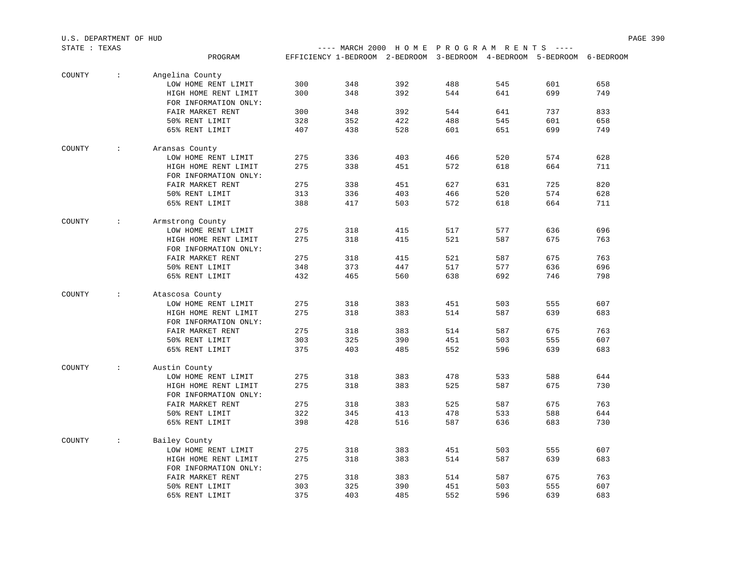| STATE : TEXAS |                      |                                               |     |     | ---- MARCH 2000 HOME PROGRAM RENTS ----                                |     |     |     |     |
|---------------|----------------------|-----------------------------------------------|-----|-----|------------------------------------------------------------------------|-----|-----|-----|-----|
|               |                      | PROGRAM                                       |     |     | EFFICIENCY 1-BEDROOM 2-BEDROOM 3-BEDROOM 4-BEDROOM 5-BEDROOM 6-BEDROOM |     |     |     |     |
|               |                      |                                               |     |     |                                                                        |     |     |     |     |
| COUNTY        | $\sim$               | Angelina County                               |     |     |                                                                        |     |     |     |     |
|               |                      | LOW HOME RENT LIMIT                           | 300 | 348 | 392                                                                    | 488 | 545 | 601 | 658 |
|               |                      | HIGH HOME RENT LIMIT                          | 300 | 348 | 392                                                                    | 544 | 641 | 699 | 749 |
|               |                      | FOR INFORMATION ONLY:                         |     |     |                                                                        |     |     |     |     |
|               |                      | FAIR MARKET RENT                              | 300 | 348 | 392                                                                    | 544 | 641 | 737 | 833 |
|               |                      | 50% RENT LIMIT                                | 328 | 352 | 422                                                                    | 488 | 545 | 601 | 658 |
|               |                      | 65% RENT LIMIT                                | 407 | 438 | 528                                                                    | 601 | 651 | 699 | 749 |
| COUNTY        | $\ddot{\phantom{a}}$ | Aransas County                                |     |     |                                                                        |     |     |     |     |
|               |                      | LOW HOME RENT LIMIT                           | 275 | 336 | 403                                                                    | 466 | 520 | 574 | 628 |
|               |                      |                                               | 275 |     |                                                                        | 572 |     |     | 711 |
|               |                      | HIGH HOME RENT LIMIT<br>FOR INFORMATION ONLY: |     | 338 | 451                                                                    |     | 618 | 664 |     |
|               |                      |                                               |     |     |                                                                        |     |     |     | 820 |
|               |                      | FAIR MARKET RENT                              | 275 | 338 | 451                                                                    | 627 | 631 | 725 |     |
|               |                      | 50% RENT LIMIT                                | 313 | 336 | 403                                                                    | 466 | 520 | 574 | 628 |
|               |                      | 65% RENT LIMIT                                | 388 | 417 | 503                                                                    | 572 | 618 | 664 | 711 |
| COUNTY        | $\sim$               | Armstrong County                              |     |     |                                                                        |     |     |     |     |
|               |                      | LOW HOME RENT LIMIT                           | 275 | 318 | 415                                                                    | 517 | 577 | 636 | 696 |
|               |                      | HIGH HOME RENT LIMIT                          | 275 | 318 | 415                                                                    | 521 | 587 | 675 | 763 |
|               |                      | FOR INFORMATION ONLY:                         |     |     |                                                                        |     |     |     |     |
|               |                      | FAIR MARKET RENT                              | 275 | 318 | 415                                                                    | 521 | 587 | 675 | 763 |
|               |                      | 50% RENT LIMIT                                | 348 | 373 | 447                                                                    | 517 | 577 | 636 | 696 |
|               |                      | 65% RENT LIMIT                                | 432 | 465 | 560                                                                    | 638 | 692 | 746 | 798 |
|               |                      |                                               |     |     |                                                                        |     |     |     |     |
| COUNTY        | $\sim$               | Atascosa County                               |     |     |                                                                        |     |     |     |     |
|               |                      | LOW HOME RENT LIMIT                           | 275 | 318 | 383                                                                    | 451 | 503 | 555 | 607 |
|               |                      | HIGH HOME RENT LIMIT                          | 275 | 318 | 383                                                                    | 514 | 587 | 639 | 683 |
|               |                      | FOR INFORMATION ONLY:                         |     |     |                                                                        |     |     |     |     |
|               |                      | FAIR MARKET RENT                              | 275 | 318 | 383                                                                    | 514 | 587 | 675 | 763 |
|               |                      | 50% RENT LIMIT                                | 303 | 325 | 390                                                                    | 451 | 503 | 555 | 607 |
|               |                      | 65% RENT LIMIT                                | 375 | 403 | 485                                                                    | 552 | 596 | 639 | 683 |
| COUNTY        | $\ddot{\phantom{0}}$ | Austin County                                 |     |     |                                                                        |     |     |     |     |
|               |                      | LOW HOME RENT LIMIT                           | 275 | 318 | 383                                                                    | 478 | 533 | 588 | 644 |
|               |                      | HIGH HOME RENT LIMIT                          | 275 | 318 | 383                                                                    | 525 | 587 | 675 | 730 |
|               |                      |                                               |     |     |                                                                        |     |     |     |     |
|               |                      | FOR INFORMATION ONLY:                         | 275 | 318 | 383                                                                    | 525 | 587 | 675 | 763 |
|               |                      | FAIR MARKET RENT                              |     |     |                                                                        |     |     |     |     |
|               |                      | 50% RENT LIMIT                                | 322 | 345 | 413                                                                    | 478 | 533 | 588 | 644 |
|               |                      | 65% RENT LIMIT                                | 398 | 428 | 516                                                                    | 587 | 636 | 683 | 730 |
| COUNTY        | $\sim$               | Bailey County                                 |     |     |                                                                        |     |     |     |     |
|               |                      | LOW HOME RENT LIMIT                           | 275 | 318 | 383                                                                    | 451 | 503 | 555 | 607 |
|               |                      | HIGH HOME RENT LIMIT                          | 275 | 318 | 383                                                                    | 514 | 587 | 639 | 683 |
|               |                      | FOR INFORMATION ONLY:                         |     |     |                                                                        |     |     |     |     |
|               |                      | FAIR MARKET RENT                              | 275 | 318 | 383                                                                    | 514 | 587 | 675 | 763 |
|               |                      | 50% RENT LIMIT                                | 303 | 325 | 390                                                                    | 451 | 503 | 555 | 607 |
|               |                      | 65% RENT LIMIT                                | 375 | 403 | 485                                                                    | 552 | 596 | 639 | 683 |
|               |                      |                                               |     |     |                                                                        |     |     |     |     |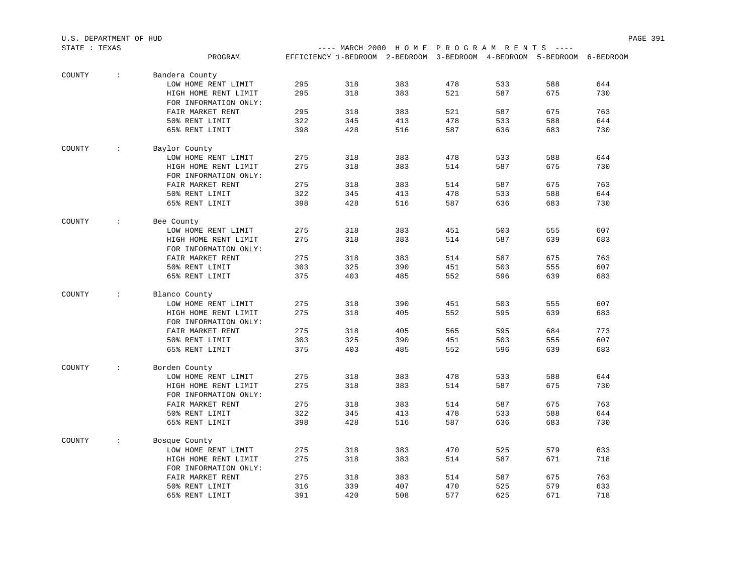| U.S. DEPARTMENT OF HUD |                      |                                               |     |                                                                        |     |     |     |     |     | PAGE 391 |
|------------------------|----------------------|-----------------------------------------------|-----|------------------------------------------------------------------------|-----|-----|-----|-----|-----|----------|
| STATE : TEXAS          |                      |                                               |     | ---- MARCH 2000 HOME PROGRAM RENTS ----                                |     |     |     |     |     |          |
|                        |                      | PROGRAM                                       |     | EFFICIENCY 1-BEDROOM 2-BEDROOM 3-BEDROOM 4-BEDROOM 5-BEDROOM 6-BEDROOM |     |     |     |     |     |          |
| COUNTY                 | $\sim$               | Bandera County                                |     |                                                                        |     |     |     |     |     |          |
|                        |                      | LOW HOME RENT LIMIT                           | 295 | 318                                                                    | 383 | 478 | 533 | 588 | 644 |          |
|                        |                      | HIGH HOME RENT LIMIT                          | 295 | 318                                                                    | 383 | 521 | 587 | 675 | 730 |          |
|                        |                      | FOR INFORMATION ONLY:                         |     |                                                                        |     |     |     |     |     |          |
|                        |                      | FAIR MARKET RENT                              | 295 | 318                                                                    | 383 | 521 | 587 | 675 | 763 |          |
|                        |                      | 50% RENT LIMIT                                | 322 | 345                                                                    | 413 | 478 | 533 | 588 | 644 |          |
|                        |                      | 65% RENT LIMIT                                | 398 | 428                                                                    | 516 | 587 | 636 | 683 | 730 |          |
| COUNTY                 | $\div$               | Baylor County                                 |     |                                                                        |     |     |     |     |     |          |
|                        |                      | LOW HOME RENT LIMIT                           | 275 | 318                                                                    | 383 | 478 | 533 | 588 | 644 |          |
|                        |                      | HIGH HOME RENT LIMIT<br>FOR INFORMATION ONLY: | 275 | 318                                                                    | 383 | 514 | 587 | 675 | 730 |          |
|                        |                      | FAIR MARKET RENT                              | 275 | 318                                                                    | 383 | 514 | 587 | 675 | 763 |          |
|                        |                      | 50% RENT LIMIT                                | 322 | 345                                                                    | 413 | 478 | 533 | 588 | 644 |          |
|                        |                      | 65% RENT LIMIT                                | 398 | 428                                                                    | 516 | 587 | 636 | 683 | 730 |          |
| COUNTY                 | $\sim$               | Bee County                                    |     |                                                                        |     |     |     |     |     |          |
|                        |                      | LOW HOME RENT LIMIT                           | 275 | 318                                                                    | 383 | 451 | 503 | 555 | 607 |          |
|                        |                      | HIGH HOME RENT LIMIT                          | 275 | 318                                                                    | 383 | 514 | 587 | 639 | 683 |          |
|                        |                      | FOR INFORMATION ONLY:                         |     |                                                                        |     |     |     |     |     |          |
|                        |                      | FAIR MARKET RENT                              | 275 | 318                                                                    | 383 | 514 | 587 | 675 | 763 |          |
|                        |                      | 50% RENT LIMIT                                | 303 | 325                                                                    | 390 | 451 | 503 | 555 | 607 |          |
|                        |                      | 65% RENT LIMIT                                | 375 | 403                                                                    | 485 | 552 | 596 | 639 | 683 |          |
| COUNTY                 | $\sim$               | Blanco County                                 |     |                                                                        |     |     |     |     |     |          |
|                        |                      | LOW HOME RENT LIMIT                           | 275 | 318                                                                    | 390 | 451 | 503 | 555 | 607 |          |
|                        |                      | HIGH HOME RENT LIMIT                          | 275 | 318                                                                    | 405 | 552 | 595 | 639 | 683 |          |
|                        |                      | FOR INFORMATION ONLY:                         |     |                                                                        |     |     |     |     |     |          |
|                        |                      | FAIR MARKET RENT                              | 275 | 318                                                                    | 405 | 565 | 595 | 684 | 773 |          |
|                        |                      | 50% RENT LIMIT                                | 303 | 325                                                                    | 390 | 451 | 503 | 555 | 607 |          |
|                        |                      | 65% RENT LIMIT                                | 375 | 403                                                                    | 485 | 552 | 596 | 639 | 683 |          |
| COUNTY                 | $\sim$               | Borden County                                 |     |                                                                        |     |     |     |     |     |          |
|                        |                      | LOW HOME RENT LIMIT                           | 275 | 318                                                                    | 383 | 478 | 533 | 588 | 644 |          |
|                        |                      | HIGH HOME RENT LIMIT                          | 275 | 318                                                                    | 383 | 514 | 587 | 675 | 730 |          |
|                        |                      | FOR INFORMATION ONLY:                         |     |                                                                        |     |     |     |     |     |          |
|                        |                      | FAIR MARKET RENT                              | 275 | 318                                                                    | 383 | 514 | 587 | 675 | 763 |          |
|                        |                      | 50% RENT LIMIT                                | 322 | 345                                                                    | 413 | 478 | 533 | 588 | 644 |          |
|                        |                      | 65% RENT LIMIT                                | 398 | 428                                                                    | 516 | 587 | 636 | 683 | 730 |          |
| COUNTY                 | $\ddot{\phantom{a}}$ | Bosque County                                 |     |                                                                        |     |     |     |     |     |          |
|                        |                      | LOW HOME RENT LIMIT                           | 275 | 318                                                                    | 383 | 470 | 525 | 579 | 633 |          |
|                        |                      | HIGH HOME RENT LIMIT                          | 275 | 318                                                                    | 383 | 514 | 587 | 671 | 718 |          |
|                        |                      | FOR INFORMATION ONLY:                         |     |                                                                        |     |     |     |     |     |          |
|                        |                      | FAIR MARKET RENT                              | 275 | 318                                                                    | 383 | 514 | 587 | 675 | 763 |          |
|                        |                      | 50% RENT LIMIT                                | 316 | 339                                                                    | 407 | 470 | 525 | 579 | 633 |          |
|                        |                      | 65% RENT LIMIT                                | 391 | 420                                                                    | 508 | 577 | 625 | 671 | 718 |          |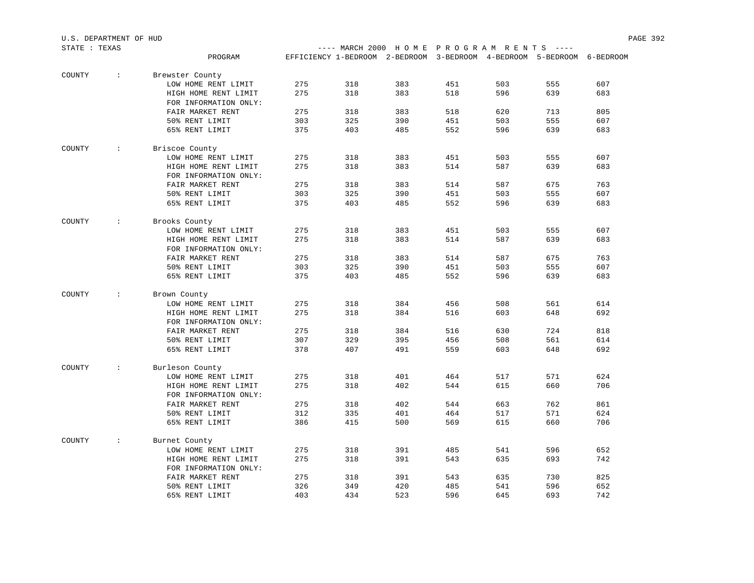| STATE : TEXAS |                      |                                               |     |     | ---- MARCH 2000 HOME PROGRAM RENTS ----                                |     |     |     |     |
|---------------|----------------------|-----------------------------------------------|-----|-----|------------------------------------------------------------------------|-----|-----|-----|-----|
|               |                      | PROGRAM                                       |     |     | EFFICIENCY 1-BEDROOM 2-BEDROOM 3-BEDROOM 4-BEDROOM 5-BEDROOM 6-BEDROOM |     |     |     |     |
| COUNTY        | $\sim$               | Brewster County                               |     |     |                                                                        |     |     |     |     |
|               |                      | LOW HOME RENT LIMIT                           | 275 | 318 | 383                                                                    | 451 | 503 | 555 | 607 |
|               |                      | HIGH HOME RENT LIMIT                          | 275 | 318 | 383                                                                    | 518 | 596 | 639 | 683 |
|               |                      | FOR INFORMATION ONLY:                         |     |     |                                                                        |     |     |     |     |
|               |                      | FAIR MARKET RENT                              | 275 | 318 | 383                                                                    | 518 | 620 | 713 | 805 |
|               |                      | 50% RENT LIMIT                                | 303 | 325 | 390                                                                    | 451 | 503 | 555 | 607 |
|               |                      | 65% RENT LIMIT                                | 375 | 403 | 485                                                                    | 552 | 596 | 639 | 683 |
| COUNTY        | $\ddot{\phantom{0}}$ | Briscoe County                                |     |     |                                                                        |     |     |     |     |
|               |                      | LOW HOME RENT LIMIT                           | 275 | 318 | 383                                                                    | 451 | 503 | 555 | 607 |
|               |                      | HIGH HOME RENT LIMIT                          | 275 | 318 | 383                                                                    | 514 | 587 | 639 | 683 |
|               |                      | FOR INFORMATION ONLY:                         |     |     |                                                                        |     |     |     |     |
|               |                      | FAIR MARKET RENT                              | 275 | 318 | 383                                                                    | 514 | 587 | 675 | 763 |
|               |                      | 50% RENT LIMIT                                | 303 | 325 | 390                                                                    | 451 | 503 | 555 | 607 |
|               |                      | 65% RENT LIMIT                                | 375 | 403 | 485                                                                    | 552 | 596 | 639 | 683 |
| COUNTY        | $\cdot$ :            | Brooks County                                 |     |     |                                                                        |     |     |     |     |
|               |                      | LOW HOME RENT LIMIT                           | 275 | 318 | 383                                                                    | 451 | 503 | 555 | 607 |
|               |                      | HIGH HOME RENT LIMIT                          | 275 | 318 | 383                                                                    | 514 | 587 | 639 | 683 |
|               |                      | FOR INFORMATION ONLY:                         |     |     |                                                                        |     |     |     |     |
|               |                      | FAIR MARKET RENT                              | 275 | 318 | 383                                                                    | 514 | 587 | 675 | 763 |
|               |                      | 50% RENT LIMIT                                | 303 | 325 | 390                                                                    | 451 | 503 | 555 | 607 |
|               |                      | 65% RENT LIMIT                                | 375 | 403 | 485                                                                    | 552 | 596 | 639 | 683 |
| COUNTY        | $\ddot{\phantom{0}}$ | Brown County                                  |     |     |                                                                        |     |     |     |     |
|               |                      | LOW HOME RENT LIMIT                           | 275 | 318 | 384                                                                    | 456 | 508 | 561 | 614 |
|               |                      | HIGH HOME RENT LIMIT                          | 275 | 318 | 384                                                                    | 516 | 603 | 648 | 692 |
|               |                      | FOR INFORMATION ONLY:                         |     |     |                                                                        |     |     |     |     |
|               |                      | FAIR MARKET RENT                              | 275 | 318 | 384                                                                    | 516 | 630 | 724 | 818 |
|               |                      | 50% RENT LIMIT                                | 307 | 329 | 395                                                                    | 456 | 508 | 561 | 614 |
|               |                      | 65% RENT LIMIT                                | 378 | 407 | 491                                                                    | 559 | 603 | 648 | 692 |
| COUNTY        | $\ddot{\phantom{0}}$ | Burleson County                               |     |     |                                                                        |     |     |     |     |
|               |                      | LOW HOME RENT LIMIT                           | 275 | 318 | 401                                                                    | 464 | 517 | 571 | 624 |
|               |                      | HIGH HOME RENT LIMIT                          | 275 | 318 | 402                                                                    | 544 | 615 | 660 | 706 |
|               |                      | FOR INFORMATION ONLY:                         |     |     |                                                                        |     |     |     |     |
|               |                      | FAIR MARKET RENT                              | 275 | 318 | 402                                                                    | 544 | 663 | 762 | 861 |
|               |                      | 50% RENT LIMIT                                | 312 | 335 | 401                                                                    | 464 | 517 | 571 | 624 |
|               |                      | 65% RENT LIMIT                                | 386 | 415 | 500                                                                    | 569 | 615 | 660 | 706 |
| COUNTY        | $\ddot{\phantom{0}}$ | Burnet County                                 |     |     |                                                                        |     |     |     |     |
|               |                      | LOW HOME RENT LIMIT                           | 275 | 318 | 391                                                                    | 485 | 541 | 596 | 652 |
|               |                      | HIGH HOME RENT LIMIT<br>FOR INFORMATION ONLY: | 275 | 318 | 391                                                                    | 543 | 635 | 693 | 742 |
|               |                      | FAIR MARKET RENT                              | 275 | 318 | 391                                                                    | 543 | 635 | 730 | 825 |
|               |                      | 50% RENT LIMIT                                | 326 | 349 | 420                                                                    | 485 | 541 | 596 | 652 |
|               |                      | 65% RENT LIMIT                                | 403 | 434 | 523                                                                    | 596 | 645 | 693 | 742 |
|               |                      |                                               |     |     |                                                                        |     |     |     |     |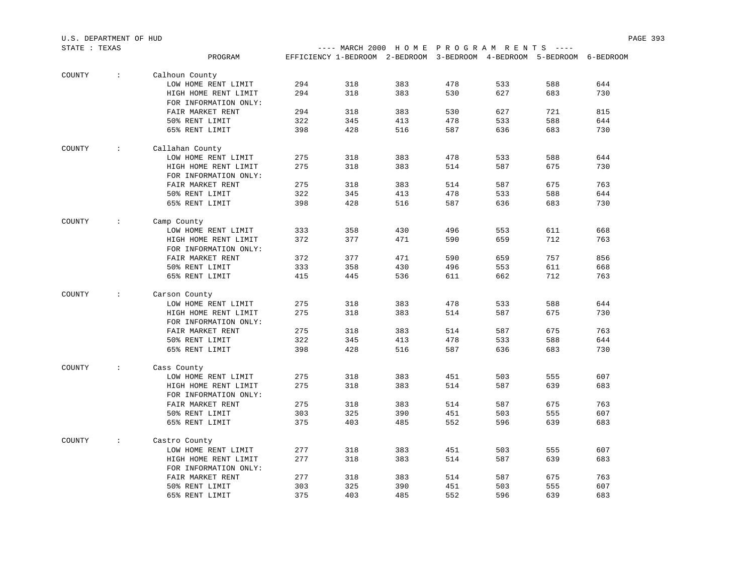| STATE : TEXAS |               |                                           |     |     | ---- MARCH 2000 HOME PROGRAM RENTS ----                                |     |     |     |     |
|---------------|---------------|-------------------------------------------|-----|-----|------------------------------------------------------------------------|-----|-----|-----|-----|
|               |               | PROGRAM                                   |     |     | EFFICIENCY 1-BEDROOM 2-BEDROOM 3-BEDROOM 4-BEDROOM 5-BEDROOM 6-BEDROOM |     |     |     |     |
|               |               |                                           |     |     |                                                                        |     |     |     |     |
| COUNTY        | $\sim$        | Calhoun County                            |     |     |                                                                        |     |     |     |     |
|               |               | LOW HOME RENT LIMIT                       | 294 | 318 | 383                                                                    | 478 | 533 | 588 | 644 |
|               |               | HIGH HOME RENT LIMIT                      | 294 | 318 | 383                                                                    | 530 | 627 | 683 | 730 |
|               |               | FOR INFORMATION ONLY:                     |     |     |                                                                        |     |     |     |     |
|               |               | FAIR MARKET RENT                          | 294 | 318 | 383                                                                    | 530 | 627 | 721 | 815 |
|               |               | 50% RENT LIMIT                            | 322 | 345 | 413                                                                    | 478 | 533 | 588 | 644 |
|               |               | 65% RENT LIMIT                            | 398 | 428 | 516                                                                    | 587 | 636 | 683 | 730 |
| COUNTY        | $\mathcal{L}$ | Callahan County                           |     |     |                                                                        |     |     |     |     |
|               |               | LOW HOME RENT LIMIT                       | 275 | 318 | 383                                                                    | 478 | 533 | 588 | 644 |
|               |               | HIGH HOME RENT LIMIT                      | 275 | 318 | 383                                                                    | 514 | 587 | 675 | 730 |
|               |               | FOR INFORMATION ONLY:                     |     |     |                                                                        |     |     |     |     |
|               |               | FAIR MARKET RENT                          | 275 | 318 | 383                                                                    | 514 | 587 | 675 | 763 |
|               |               | 50% RENT LIMIT                            | 322 | 345 | 413                                                                    | 478 | 533 | 588 | 644 |
|               |               | 65% RENT LIMIT                            | 398 | 428 | 516                                                                    | 587 | 636 | 683 | 730 |
|               |               |                                           |     |     |                                                                        |     |     |     |     |
| COUNTY        | $\sim$        | Camp County                               |     |     |                                                                        |     |     |     |     |
|               |               | LOW HOME RENT LIMIT                       | 333 | 358 | 430                                                                    | 496 | 553 | 611 | 668 |
|               |               | HIGH HOME RENT LIMIT                      | 372 | 377 | 471                                                                    | 590 | 659 | 712 | 763 |
|               |               | FOR INFORMATION ONLY:                     |     |     |                                                                        |     |     |     |     |
|               |               | FAIR MARKET RENT                          | 372 | 377 | 471                                                                    | 590 | 659 | 757 | 856 |
|               |               | 50% RENT LIMIT                            | 333 | 358 | 430                                                                    | 496 | 553 | 611 | 668 |
|               |               | 65% RENT LIMIT                            | 415 | 445 | 536                                                                    | 611 | 662 | 712 | 763 |
| COUNTY        | $\sim$        | Carson County                             |     |     |                                                                        |     |     |     |     |
|               |               | LOW HOME RENT LIMIT                       | 275 | 318 | 383                                                                    | 478 | 533 | 588 | 644 |
|               |               | HIGH HOME RENT LIMIT                      | 275 | 318 | 383                                                                    | 514 | 587 | 675 | 730 |
|               |               |                                           |     |     |                                                                        |     |     |     |     |
|               |               | FOR INFORMATION ONLY:<br>FAIR MARKET RENT | 275 | 318 | 383                                                                    | 514 | 587 | 675 | 763 |
|               |               |                                           |     |     |                                                                        |     |     |     |     |
|               |               | 50% RENT LIMIT                            | 322 | 345 | 413                                                                    | 478 | 533 | 588 | 644 |
|               |               | 65% RENT LIMIT                            | 398 | 428 | 516                                                                    | 587 | 636 | 683 | 730 |
| COUNTY        | $\sim$        | Cass County                               |     |     |                                                                        |     |     |     |     |
|               |               | LOW HOME RENT LIMIT                       | 275 | 318 | 383                                                                    | 451 | 503 | 555 | 607 |
|               |               | HIGH HOME RENT LIMIT                      | 275 | 318 | 383                                                                    | 514 | 587 | 639 | 683 |
|               |               | FOR INFORMATION ONLY:                     |     |     |                                                                        |     |     |     |     |
|               |               | FAIR MARKET RENT                          | 275 | 318 | 383                                                                    | 514 | 587 | 675 | 763 |
|               |               | 50% RENT LIMIT                            | 303 | 325 | 390                                                                    | 451 | 503 | 555 | 607 |
|               |               | 65% RENT LIMIT                            | 375 | 403 | 485                                                                    | 552 | 596 | 639 | 683 |
|               |               |                                           |     |     |                                                                        |     |     |     |     |
| COUNTY        | $\sim$        | Castro County                             |     |     |                                                                        |     |     |     |     |
|               |               | LOW HOME RENT LIMIT                       | 277 | 318 | 383                                                                    | 451 | 503 | 555 | 607 |
|               |               | HIGH HOME RENT LIMIT                      | 277 | 318 | 383                                                                    | 514 | 587 | 639 | 683 |
|               |               | FOR INFORMATION ONLY:                     |     |     |                                                                        |     |     |     |     |
|               |               | FAIR MARKET RENT                          | 277 | 318 | 383                                                                    | 514 | 587 | 675 | 763 |
|               |               | 50% RENT LIMIT                            | 303 | 325 | 390                                                                    | 451 | 503 | 555 | 607 |
|               |               | 65% RENT LIMIT                            | 375 | 403 | 485                                                                    | 552 | 596 | 639 | 683 |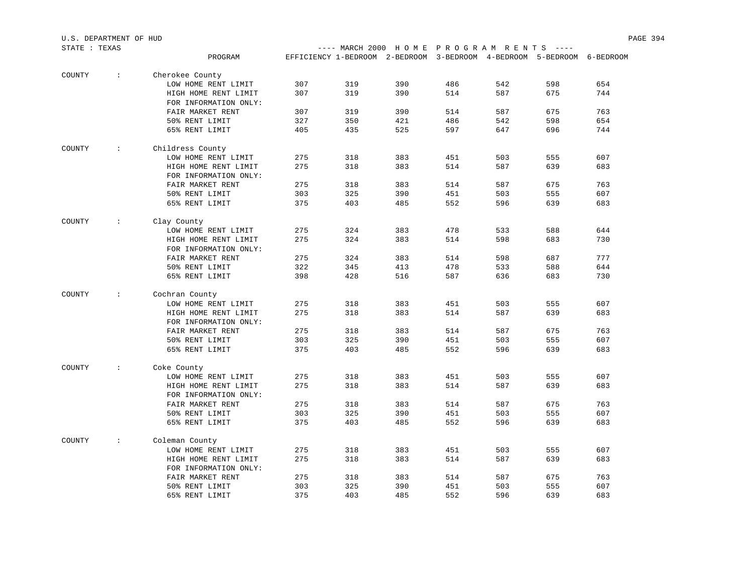| STATE : TEXAS |                  |                       |     |     | ---- MARCH 2000 HOME PROGRAM RENTS ----                                |     |     |     |     |
|---------------|------------------|-----------------------|-----|-----|------------------------------------------------------------------------|-----|-----|-----|-----|
|               |                  | PROGRAM               |     |     | EFFICIENCY 1-BEDROOM 2-BEDROOM 3-BEDROOM 4-BEDROOM 5-BEDROOM 6-BEDROOM |     |     |     |     |
| COUNTY        | $\sim$           | Cherokee County       |     |     |                                                                        |     |     |     |     |
|               |                  | LOW HOME RENT LIMIT   | 307 | 319 | 390                                                                    | 486 | 542 | 598 | 654 |
|               |                  | HIGH HOME RENT LIMIT  | 307 | 319 | 390                                                                    | 514 | 587 | 675 | 744 |
|               |                  | FOR INFORMATION ONLY: |     |     |                                                                        |     |     |     |     |
|               |                  | FAIR MARKET RENT      | 307 | 319 | 390                                                                    | 514 | 587 | 675 | 763 |
|               |                  | 50% RENT LIMIT        | 327 | 350 | 421                                                                    | 486 | 542 | 598 | 654 |
|               |                  | 65% RENT LIMIT        | 405 | 435 | 525                                                                    | 597 | 647 | 696 | 744 |
| COUNTY        | $\sim$ 100 $\pm$ | Childress County      |     |     |                                                                        |     |     |     |     |
|               |                  | LOW HOME RENT LIMIT   | 275 | 318 | 383                                                                    | 451 | 503 | 555 | 607 |
|               |                  | HIGH HOME RENT LIMIT  | 275 | 318 | 383                                                                    | 514 | 587 | 639 | 683 |
|               |                  | FOR INFORMATION ONLY: |     |     |                                                                        |     |     |     |     |
|               |                  | FAIR MARKET RENT      | 275 | 318 | 383                                                                    | 514 | 587 | 675 | 763 |
|               |                  | 50% RENT LIMIT        | 303 | 325 | 390                                                                    | 451 | 503 | 555 | 607 |
|               |                  | 65% RENT LIMIT        | 375 | 403 | 485                                                                    | 552 | 596 | 639 | 683 |
| COUNTY        | $\sim$ 100 $\pm$ | Clay County           |     |     |                                                                        |     |     |     |     |
|               |                  | LOW HOME RENT LIMIT   | 275 | 324 | 383                                                                    | 478 | 533 | 588 | 644 |
|               |                  | HIGH HOME RENT LIMIT  | 275 | 324 | 383                                                                    | 514 | 598 | 683 | 730 |
|               |                  | FOR INFORMATION ONLY: |     |     |                                                                        |     |     |     |     |
|               |                  | FAIR MARKET RENT      | 275 | 324 | 383                                                                    | 514 | 598 | 687 | 777 |
|               |                  | 50% RENT LIMIT        | 322 | 345 | 413                                                                    | 478 | 533 | 588 | 644 |
|               |                  | 65% RENT LIMIT        | 398 | 428 | 516                                                                    | 587 | 636 | 683 | 730 |
| COUNTY        | $\sim$ 100 $\pm$ | Cochran County        |     |     |                                                                        |     |     |     |     |
|               |                  | LOW HOME RENT LIMIT   | 275 | 318 | 383                                                                    | 451 | 503 | 555 | 607 |
|               |                  | HIGH HOME RENT LIMIT  | 275 | 318 | 383                                                                    | 514 | 587 | 639 | 683 |
|               |                  | FOR INFORMATION ONLY: |     |     |                                                                        |     |     |     |     |
|               |                  | FAIR MARKET RENT      | 275 | 318 | 383                                                                    | 514 | 587 | 675 | 763 |
|               |                  | 50% RENT LIMIT        | 303 | 325 | 390                                                                    | 451 | 503 | 555 | 607 |
|               |                  | 65% RENT LIMIT        | 375 | 403 | 485                                                                    | 552 | 596 | 639 | 683 |
| COUNTY        | $\sim$ 100 $\pm$ | Coke County           |     |     |                                                                        |     |     |     |     |
|               |                  | LOW HOME RENT LIMIT   | 275 | 318 | 383                                                                    | 451 | 503 | 555 | 607 |
|               |                  | HIGH HOME RENT LIMIT  | 275 | 318 | 383                                                                    | 514 | 587 | 639 | 683 |
|               |                  | FOR INFORMATION ONLY: |     |     |                                                                        |     |     |     |     |
|               |                  | FAIR MARKET RENT      | 275 | 318 | 383                                                                    | 514 | 587 | 675 | 763 |
|               |                  | 50% RENT LIMIT        | 303 | 325 | 390                                                                    | 451 | 503 | 555 | 607 |
|               |                  | 65% RENT LIMIT        | 375 | 403 | 485                                                                    | 552 | 596 | 639 | 683 |
| COUNTY        | $\sim$           | Coleman County        |     |     |                                                                        |     |     |     |     |
|               |                  | LOW HOME RENT LIMIT   | 275 | 318 | 383                                                                    | 451 | 503 | 555 | 607 |
|               |                  | HIGH HOME RENT LIMIT  | 275 | 318 | 383                                                                    | 514 | 587 | 639 | 683 |
|               |                  | FOR INFORMATION ONLY: |     |     |                                                                        |     |     |     |     |
|               |                  | FAIR MARKET RENT      | 275 | 318 | 383                                                                    | 514 | 587 | 675 | 763 |
|               |                  | 50% RENT LIMIT        | 303 | 325 | 390                                                                    | 451 | 503 | 555 | 607 |
|               |                  | 65% RENT LIMIT        | 375 | 403 | 485                                                                    | 552 | 596 | 639 | 683 |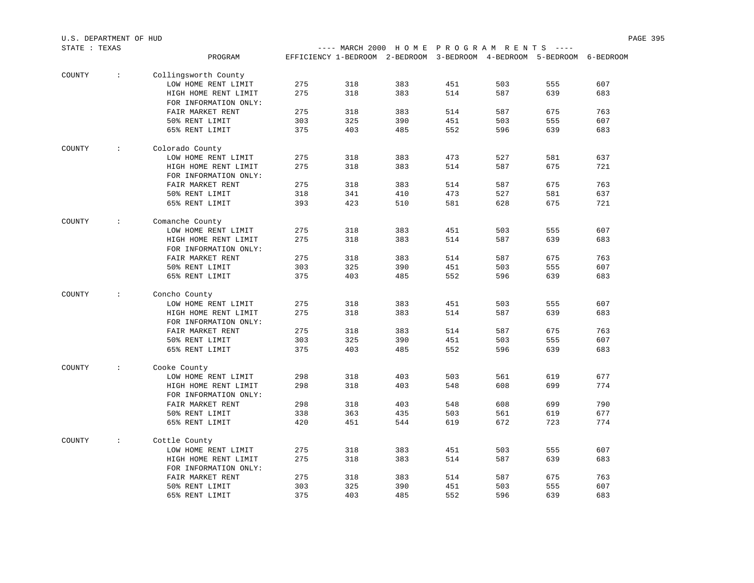|        | STATE : TEXAS        |                       |     |     | ---- MARCH 2000 HOME PROGRAM RENTS ----                                |     |     |     |     |
|--------|----------------------|-----------------------|-----|-----|------------------------------------------------------------------------|-----|-----|-----|-----|
|        |                      | PROGRAM               |     |     | EFFICIENCY 1-BEDROOM 2-BEDROOM 3-BEDROOM 4-BEDROOM 5-BEDROOM 6-BEDROOM |     |     |     |     |
| COUNTY | $\sim$               | Collingsworth County  |     |     |                                                                        |     |     |     |     |
|        |                      | LOW HOME RENT LIMIT   | 275 | 318 | 383                                                                    | 451 | 503 | 555 | 607 |
|        |                      | HIGH HOME RENT LIMIT  | 275 | 318 | 383                                                                    | 514 | 587 | 639 | 683 |
|        |                      | FOR INFORMATION ONLY: |     |     |                                                                        |     |     |     |     |
|        |                      | FAIR MARKET RENT      | 275 | 318 | 383                                                                    | 514 | 587 | 675 | 763 |
|        |                      | 50% RENT LIMIT        | 303 | 325 | 390                                                                    | 451 | 503 | 555 | 607 |
|        |                      | 65% RENT LIMIT        | 375 | 403 | 485                                                                    | 552 | 596 | 639 | 683 |
| COUNTY | $\ddot{\phantom{a}}$ | Colorado County       |     |     |                                                                        |     |     |     |     |
|        |                      | LOW HOME RENT LIMIT   | 275 | 318 | 383                                                                    | 473 | 527 | 581 | 637 |
|        |                      | HIGH HOME RENT LIMIT  | 275 | 318 | 383                                                                    | 514 | 587 | 675 | 721 |
|        |                      | FOR INFORMATION ONLY: |     |     |                                                                        |     |     |     |     |
|        |                      | FAIR MARKET RENT      | 275 | 318 | 383                                                                    | 514 | 587 | 675 | 763 |
|        |                      | 50% RENT LIMIT        | 318 | 341 | 410                                                                    | 473 | 527 | 581 | 637 |
|        |                      | 65% RENT LIMIT        | 393 | 423 | 510                                                                    | 581 | 628 | 675 | 721 |
| COUNTY | $\ddot{\phantom{a}}$ | Comanche County       |     |     |                                                                        |     |     |     |     |
|        |                      | LOW HOME RENT LIMIT   | 275 | 318 | 383                                                                    | 451 | 503 | 555 | 607 |
|        |                      | HIGH HOME RENT LIMIT  | 275 | 318 | 383                                                                    | 514 | 587 | 639 | 683 |
|        |                      | FOR INFORMATION ONLY: |     |     |                                                                        |     |     |     |     |
|        |                      | FAIR MARKET RENT      | 275 | 318 | 383                                                                    | 514 | 587 | 675 | 763 |
|        |                      | 50% RENT LIMIT        | 303 | 325 | 390                                                                    | 451 | 503 | 555 | 607 |
|        |                      | 65% RENT LIMIT        | 375 | 403 | 485                                                                    | 552 | 596 | 639 | 683 |
| COUNTY | $\ddot{\phantom{a}}$ | Concho County         |     |     |                                                                        |     |     |     |     |
|        |                      | LOW HOME RENT LIMIT   | 275 | 318 | 383                                                                    | 451 | 503 | 555 | 607 |
|        |                      | HIGH HOME RENT LIMIT  | 275 | 318 | 383                                                                    | 514 | 587 | 639 | 683 |
|        |                      | FOR INFORMATION ONLY: |     |     |                                                                        |     |     |     |     |
|        |                      | FAIR MARKET RENT      | 275 | 318 | 383                                                                    | 514 | 587 | 675 | 763 |
|        |                      | 50% RENT LIMIT        | 303 | 325 | 390                                                                    | 451 | 503 | 555 | 607 |
|        |                      | 65% RENT LIMIT        | 375 | 403 | 485                                                                    | 552 | 596 | 639 | 683 |
| COUNTY | $\mathbf{L}$         | Cooke County          |     |     |                                                                        |     |     |     |     |
|        |                      | LOW HOME RENT LIMIT   | 298 | 318 | 403                                                                    | 503 | 561 | 619 | 677 |
|        |                      | HIGH HOME RENT LIMIT  | 298 | 318 | 403                                                                    | 548 | 608 | 699 | 774 |
|        |                      | FOR INFORMATION ONLY: |     |     |                                                                        |     |     |     |     |
|        |                      | FAIR MARKET RENT      | 298 | 318 | 403                                                                    | 548 | 608 | 699 | 790 |
|        |                      | 50% RENT LIMIT        | 338 | 363 | 435                                                                    | 503 | 561 | 619 | 677 |
|        |                      | 65% RENT LIMIT        | 420 | 451 | 544                                                                    | 619 | 672 | 723 | 774 |
| COUNTY | $\ddot{\phantom{a}}$ | Cottle County         |     |     |                                                                        |     |     |     |     |
|        |                      | LOW HOME RENT LIMIT   | 275 | 318 | 383                                                                    | 451 | 503 | 555 | 607 |
|        |                      | HIGH HOME RENT LIMIT  | 275 | 318 | 383                                                                    | 514 | 587 | 639 | 683 |
|        |                      | FOR INFORMATION ONLY: |     |     |                                                                        |     |     |     |     |
|        |                      | FAIR MARKET RENT      | 275 | 318 | 383                                                                    | 514 | 587 | 675 | 763 |
|        |                      | 50% RENT LIMIT        | 303 | 325 | 390                                                                    | 451 | 503 | 555 | 607 |
|        |                      | 65% RENT LIMIT        | 375 | 403 | 485                                                                    | 552 | 596 | 639 | 683 |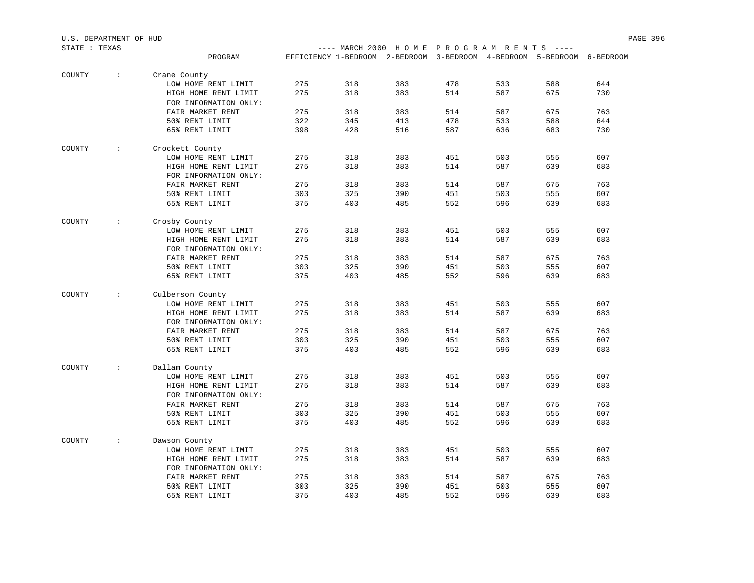| STATE : TEXAS |                         |                       |     |     | ---- MARCH 2000 HOME PROGRAM RENTS ----                                |     |     |     |     |
|---------------|-------------------------|-----------------------|-----|-----|------------------------------------------------------------------------|-----|-----|-----|-----|
|               |                         | PROGRAM               |     |     | EFFICIENCY 1-BEDROOM 2-BEDROOM 3-BEDROOM 4-BEDROOM 5-BEDROOM 6-BEDROOM |     |     |     |     |
| COUNTY        | $\sim 10$               | Crane County          |     |     |                                                                        |     |     |     |     |
|               |                         | LOW HOME RENT LIMIT   | 275 | 318 | 383                                                                    | 478 | 533 | 588 | 644 |
|               |                         | HIGH HOME RENT LIMIT  | 275 | 318 | 383                                                                    | 514 | 587 | 675 | 730 |
|               |                         | FOR INFORMATION ONLY: |     |     |                                                                        |     |     |     |     |
|               |                         | FAIR MARKET RENT      | 275 | 318 | 383                                                                    | 514 | 587 | 675 | 763 |
|               |                         | 50% RENT LIMIT        | 322 | 345 | 413                                                                    | 478 | 533 | 588 | 644 |
|               |                         | 65% RENT LIMIT        | 398 | 428 | 516                                                                    | 587 | 636 | 683 | 730 |
| COUNTY        | $\sim 100$              | Crockett County       |     |     |                                                                        |     |     |     |     |
|               |                         | LOW HOME RENT LIMIT   | 275 | 318 | 383                                                                    | 451 | 503 | 555 | 607 |
|               |                         | HIGH HOME RENT LIMIT  | 275 | 318 | 383                                                                    | 514 | 587 | 639 | 683 |
|               |                         | FOR INFORMATION ONLY: |     |     |                                                                        |     |     |     |     |
|               |                         | FAIR MARKET RENT      | 275 | 318 | 383                                                                    | 514 | 587 | 675 | 763 |
|               |                         | 50% RENT LIMIT        | 303 | 325 | 390                                                                    | 451 | 503 | 555 | 607 |
|               |                         | 65% RENT LIMIT        | 375 | 403 | 485                                                                    | 552 | 596 | 639 | 683 |
| COUNTY        | $\sim 100$              | Crosby County         |     |     |                                                                        |     |     |     |     |
|               |                         | LOW HOME RENT LIMIT   | 275 | 318 | 383                                                                    | 451 | 503 | 555 | 607 |
|               |                         | HIGH HOME RENT LIMIT  | 275 | 318 | 383                                                                    | 514 | 587 | 639 | 683 |
|               |                         | FOR INFORMATION ONLY: |     |     |                                                                        |     |     |     |     |
|               |                         | FAIR MARKET RENT      | 275 | 318 | 383                                                                    | 514 | 587 | 675 | 763 |
|               |                         | 50% RENT LIMIT        | 303 | 325 | 390                                                                    | 451 | 503 | 555 | 607 |
|               |                         | 65% RENT LIMIT        | 375 | 403 | 485                                                                    | 552 | 596 | 639 | 683 |
| COUNTY        | $\sim 100$ km s $^{-1}$ | Culberson County      |     |     |                                                                        |     |     |     |     |
|               |                         | LOW HOME RENT LIMIT   | 275 | 318 | 383                                                                    | 451 | 503 | 555 | 607 |
|               |                         | HIGH HOME RENT LIMIT  | 275 | 318 | 383                                                                    | 514 | 587 | 639 | 683 |
|               |                         | FOR INFORMATION ONLY: |     |     |                                                                        |     |     |     |     |
|               |                         | FAIR MARKET RENT      | 275 | 318 | 383                                                                    | 514 | 587 | 675 | 763 |
|               |                         | 50% RENT LIMIT        | 303 | 325 | 390                                                                    | 451 | 503 | 555 | 607 |
|               |                         | 65% RENT LIMIT        | 375 | 403 | 485                                                                    | 552 | 596 | 639 | 683 |
| COUNTY        | $\sim 100$ km s $^{-1}$ | Dallam County         |     |     |                                                                        |     |     |     |     |
|               |                         | LOW HOME RENT LIMIT   | 275 | 318 | 383                                                                    | 451 | 503 | 555 | 607 |
|               |                         | HIGH HOME RENT LIMIT  | 275 | 318 | 383                                                                    | 514 | 587 | 639 | 683 |
|               |                         | FOR INFORMATION ONLY: |     |     |                                                                        |     |     |     |     |
|               |                         | FAIR MARKET RENT      | 275 | 318 | 383                                                                    | 514 | 587 | 675 | 763 |
|               |                         | 50% RENT LIMIT        | 303 | 325 | 390                                                                    | 451 | 503 | 555 | 607 |
|               |                         | 65% RENT LIMIT        | 375 | 403 | 485                                                                    | 552 | 596 | 639 | 683 |
| COUNTY        | $\sim$ 1.000 $\pm$      | Dawson County         |     |     |                                                                        |     |     |     |     |
|               |                         | LOW HOME RENT LIMIT   | 275 | 318 | 383                                                                    | 451 | 503 | 555 | 607 |
|               |                         | HIGH HOME RENT LIMIT  | 275 | 318 | 383                                                                    | 514 | 587 | 639 | 683 |
|               |                         | FOR INFORMATION ONLY: |     |     |                                                                        |     |     |     |     |
|               |                         | FAIR MARKET RENT      | 275 | 318 | 383                                                                    | 514 | 587 | 675 | 763 |
|               |                         | 50% RENT LIMIT        | 303 | 325 | 390                                                                    | 451 | 503 | 555 | 607 |
|               |                         | 65% RENT LIMIT        | 375 | 403 | 485                                                                    | 552 | 596 | 639 | 683 |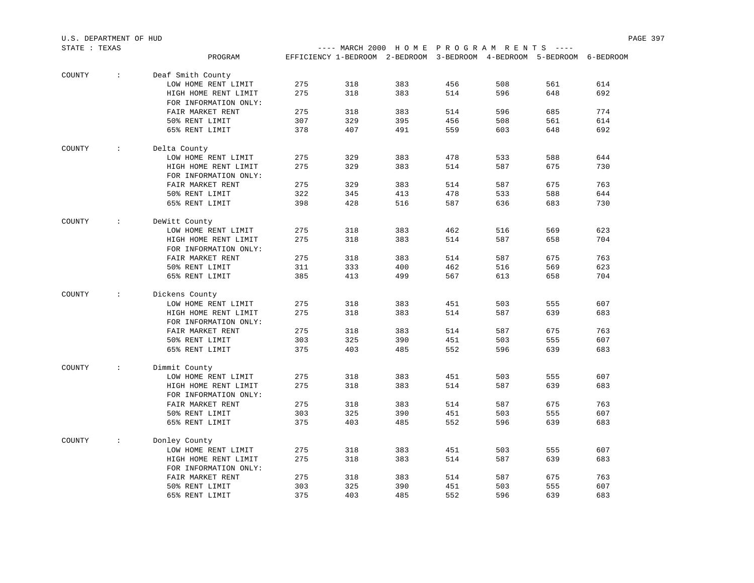| U.S. DEPARTMENT OF HUD |                        |                       |     |                                                                        |     |     |     |     |     | PAGE 397 |
|------------------------|------------------------|-----------------------|-----|------------------------------------------------------------------------|-----|-----|-----|-----|-----|----------|
| STATE : TEXAS          |                        |                       |     | ---- MARCH 2000 HOME PROGRAM RENTS ----                                |     |     |     |     |     |          |
|                        |                        | PROGRAM               |     | EFFICIENCY 1-BEDROOM 2-BEDROOM 3-BEDROOM 4-BEDROOM 5-BEDROOM 6-BEDROOM |     |     |     |     |     |          |
| COUNTY                 | $\sim$                 | Deaf Smith County     |     |                                                                        |     |     |     |     |     |          |
|                        |                        | LOW HOME RENT LIMIT   | 275 | 318                                                                    | 383 | 456 | 508 | 561 | 614 |          |
|                        |                        | HIGH HOME RENT LIMIT  | 275 | 318                                                                    | 383 | 514 | 596 | 648 | 692 |          |
|                        |                        | FOR INFORMATION ONLY: |     |                                                                        |     |     |     |     |     |          |
|                        |                        | FAIR MARKET RENT      | 275 | 318                                                                    | 383 | 514 | 596 | 685 | 774 |          |
|                        |                        | 50% RENT LIMIT        | 307 | 329                                                                    | 395 | 456 | 508 | 561 | 614 |          |
|                        |                        | 65% RENT LIMIT        | 378 | 407                                                                    | 491 | 559 | 603 | 648 | 692 |          |
| COUNTY                 | $\div$                 | Delta County          |     |                                                                        |     |     |     |     |     |          |
|                        |                        | LOW HOME RENT LIMIT   | 275 | 329                                                                    | 383 | 478 | 533 | 588 | 644 |          |
|                        |                        | HIGH HOME RENT LIMIT  | 275 | 329                                                                    | 383 | 514 | 587 | 675 | 730 |          |
|                        |                        | FOR INFORMATION ONLY: |     |                                                                        |     |     |     |     |     |          |
|                        |                        | FAIR MARKET RENT      | 275 | 329                                                                    | 383 | 514 | 587 | 675 | 763 |          |
|                        |                        | 50% RENT LIMIT        | 322 | 345                                                                    | 413 | 478 | 533 | 588 | 644 |          |
|                        |                        | 65% RENT LIMIT        | 398 | 428                                                                    | 516 | 587 | 636 | 683 | 730 |          |
| COUNTY                 | $\sim$                 | DeWitt County         |     |                                                                        |     |     |     |     |     |          |
|                        |                        | LOW HOME RENT LIMIT   | 275 | 318                                                                    | 383 | 462 | 516 | 569 | 623 |          |
|                        |                        | HIGH HOME RENT LIMIT  | 275 | 318                                                                    | 383 | 514 | 587 | 658 | 704 |          |
|                        |                        | FOR INFORMATION ONLY: |     |                                                                        |     |     |     |     |     |          |
|                        |                        | FAIR MARKET RENT      | 275 | 318                                                                    | 383 | 514 | 587 | 675 | 763 |          |
|                        |                        | 50% RENT LIMIT        | 311 | 333                                                                    | 400 | 462 | 516 | 569 | 623 |          |
|                        |                        | 65% RENT LIMIT        | 385 | 413                                                                    | 499 | 567 | 613 | 658 | 704 |          |
|                        |                        |                       |     |                                                                        |     |     |     |     |     |          |
| COUNTY                 | $\ddot{\phantom{a}}$ . | Dickens County        |     |                                                                        |     |     |     |     |     |          |
|                        |                        | LOW HOME RENT LIMIT   | 275 | 318                                                                    | 383 | 451 | 503 | 555 | 607 |          |
|                        |                        | HIGH HOME RENT LIMIT  | 275 | 318                                                                    | 383 | 514 | 587 | 639 | 683 |          |
|                        |                        | FOR INFORMATION ONLY: |     |                                                                        |     |     |     |     |     |          |
|                        |                        | FAIR MARKET RENT      | 275 | 318                                                                    | 383 | 514 | 587 | 675 | 763 |          |
|                        |                        | 50% RENT LIMIT        | 303 | 325                                                                    | 390 | 451 | 503 | 555 | 607 |          |
|                        |                        | 65% RENT LIMIT        | 375 | 403                                                                    | 485 | 552 | 596 | 639 | 683 |          |
| COUNTY                 | $\sim$                 | Dimmit County         |     |                                                                        |     |     |     |     |     |          |
|                        |                        | LOW HOME RENT LIMIT   | 275 | 318                                                                    | 383 | 451 | 503 | 555 | 607 |          |
|                        |                        | HIGH HOME RENT LIMIT  | 275 | 318                                                                    | 383 | 514 | 587 | 639 | 683 |          |
|                        |                        | FOR INFORMATION ONLY: |     |                                                                        |     |     |     |     |     |          |
|                        |                        | FAIR MARKET RENT      | 275 | 318                                                                    | 383 | 514 | 587 | 675 | 763 |          |
|                        |                        | 50% RENT LIMIT        | 303 | 325                                                                    | 390 | 451 | 503 | 555 | 607 |          |
|                        |                        | 65% RENT LIMIT        | 375 | 403                                                                    | 485 | 552 | 596 | 639 | 683 |          |
| COUNTY                 | $\ddot{\phantom{a}}$   | Donley County         |     |                                                                        |     |     |     |     |     |          |
|                        |                        | LOW HOME RENT LIMIT   | 275 | 318                                                                    | 383 | 451 | 503 | 555 | 607 |          |
|                        |                        | HIGH HOME RENT LIMIT  | 275 | 318                                                                    | 383 | 514 | 587 | 639 | 683 |          |
|                        |                        | FOR INFORMATION ONLY: |     |                                                                        |     |     |     |     |     |          |
|                        |                        | FAIR MARKET RENT      | 275 | 318                                                                    | 383 | 514 | 587 | 675 | 763 |          |
|                        |                        | 50% RENT LIMIT        | 303 | 325                                                                    | 390 | 451 | 503 | 555 | 607 |          |
|                        |                        | 65% RENT LIMIT        | 375 | 403                                                                    | 485 | 552 | 596 | 639 | 683 |          |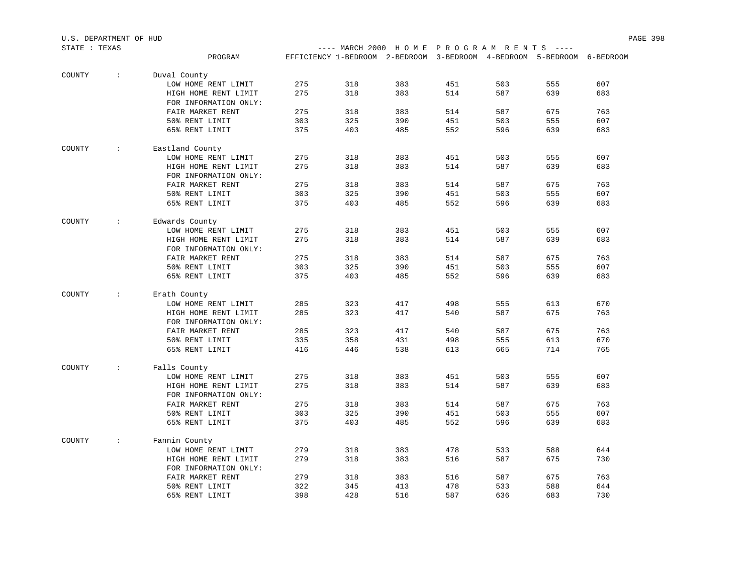| STATE : TEXAS |               |                       |     |     | ---- MARCH 2000 HOME PROGRAM RENTS ----                                |     |     |     |     |
|---------------|---------------|-----------------------|-----|-----|------------------------------------------------------------------------|-----|-----|-----|-----|
|               |               | PROGRAM               |     |     | EFFICIENCY 1-BEDROOM 2-BEDROOM 3-BEDROOM 4-BEDROOM 5-BEDROOM 6-BEDROOM |     |     |     |     |
| COUNTY        | $\sim$        | Duval County          |     |     |                                                                        |     |     |     |     |
|               |               | LOW HOME RENT LIMIT   | 275 | 318 | 383                                                                    | 451 | 503 | 555 | 607 |
|               |               | HIGH HOME RENT LIMIT  | 275 | 318 | 383                                                                    | 514 | 587 | 639 | 683 |
|               |               | FOR INFORMATION ONLY: |     |     |                                                                        |     |     |     |     |
|               |               | FAIR MARKET RENT      | 275 | 318 | 383                                                                    | 514 | 587 | 675 | 763 |
|               |               | 50% RENT LIMIT        | 303 | 325 | 390                                                                    | 451 | 503 | 555 | 607 |
|               |               | 65% RENT LIMIT        | 375 | 403 | 485                                                                    | 552 | 596 | 639 | 683 |
| COUNTY        | $\sim 100$    | Eastland County       |     |     |                                                                        |     |     |     |     |
|               |               | LOW HOME RENT LIMIT   | 275 | 318 | 383                                                                    | 451 | 503 | 555 | 607 |
|               |               | HIGH HOME RENT LIMIT  | 275 | 318 | 383                                                                    | 514 | 587 | 639 | 683 |
|               |               | FOR INFORMATION ONLY: |     |     |                                                                        |     |     |     |     |
|               |               | FAIR MARKET RENT      | 275 | 318 | 383                                                                    | 514 | 587 | 675 | 763 |
|               |               | 50% RENT LIMIT        | 303 | 325 | 390                                                                    | 451 | 503 | 555 | 607 |
|               |               | 65% RENT LIMIT        | 375 | 403 | 485                                                                    | 552 | 596 | 639 | 683 |
| COUNTY        | $\mathcal{L}$ | Edwards County        |     |     |                                                                        |     |     |     |     |
|               |               | LOW HOME RENT LIMIT   | 275 | 318 | 383                                                                    | 451 | 503 | 555 | 607 |
|               |               | HIGH HOME RENT LIMIT  | 275 | 318 | 383                                                                    | 514 | 587 | 639 | 683 |
|               |               | FOR INFORMATION ONLY: |     |     |                                                                        |     |     |     |     |
|               |               | FAIR MARKET RENT      | 275 | 318 | 383                                                                    | 514 | 587 | 675 | 763 |
|               |               | 50% RENT LIMIT        | 303 | 325 | 390                                                                    | 451 | 503 | 555 | 607 |
|               |               | 65% RENT LIMIT        | 375 | 403 | 485                                                                    | 552 | 596 | 639 | 683 |
| COUNTY        | $\mathcal{L}$ | Erath County          |     |     |                                                                        |     |     |     |     |
|               |               | LOW HOME RENT LIMIT   | 285 | 323 | 417                                                                    | 498 | 555 | 613 | 670 |
|               |               | HIGH HOME RENT LIMIT  | 285 | 323 | 417                                                                    | 540 | 587 | 675 | 763 |
|               |               | FOR INFORMATION ONLY: |     |     |                                                                        |     |     |     |     |
|               |               | FAIR MARKET RENT      | 285 | 323 | 417                                                                    | 540 | 587 | 675 | 763 |
|               |               | 50% RENT LIMIT        | 335 | 358 | 431                                                                    | 498 | 555 | 613 | 670 |
|               |               | 65% RENT LIMIT        | 416 | 446 | 538                                                                    | 613 | 665 | 714 | 765 |
| COUNTY        | $\sim$        | Falls County          |     |     |                                                                        |     |     |     |     |
|               |               | LOW HOME RENT LIMIT   | 275 | 318 | 383                                                                    | 451 | 503 | 555 | 607 |
|               |               | HIGH HOME RENT LIMIT  | 275 | 318 | 383                                                                    | 514 | 587 | 639 | 683 |
|               |               | FOR INFORMATION ONLY: |     |     |                                                                        |     |     |     |     |
|               |               | FAIR MARKET RENT      | 275 | 318 | 383                                                                    | 514 | 587 | 675 | 763 |
|               |               | 50% RENT LIMIT        | 303 | 325 | 390                                                                    | 451 | 503 | 555 | 607 |
|               |               | 65% RENT LIMIT        | 375 | 403 | 485                                                                    | 552 | 596 | 639 | 683 |
| COUNTY        | $\sim$        | Fannin County         |     |     |                                                                        |     |     |     |     |
|               |               | LOW HOME RENT LIMIT   | 279 | 318 | 383                                                                    | 478 | 533 | 588 | 644 |
|               |               | HIGH HOME RENT LIMIT  | 279 | 318 | 383                                                                    | 516 | 587 | 675 | 730 |
|               |               | FOR INFORMATION ONLY: |     |     |                                                                        |     |     |     |     |
|               |               | FAIR MARKET RENT      | 279 | 318 | 383                                                                    | 516 | 587 | 675 | 763 |
|               |               | 50% RENT LIMIT        | 322 | 345 | 413                                                                    | 478 | 533 | 588 | 644 |
|               |               | 65% RENT LIMIT        | 398 | 428 | 516                                                                    | 587 | 636 | 683 | 730 |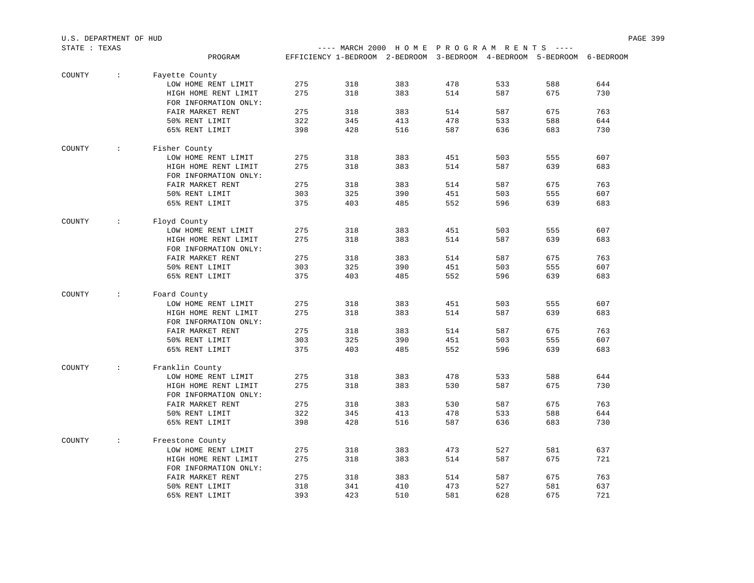| STATE : TEXAS |                      |                       |            | ---- MARCH 2000 HOME PROGRAM RENTS ----                                |            |            |            |            |            |
|---------------|----------------------|-----------------------|------------|------------------------------------------------------------------------|------------|------------|------------|------------|------------|
|               |                      | PROGRAM               |            | EFFICIENCY 1-BEDROOM 2-BEDROOM 3-BEDROOM 4-BEDROOM 5-BEDROOM 6-BEDROOM |            |            |            |            |            |
|               |                      |                       |            |                                                                        |            |            |            |            |            |
| COUNTY        | $\ddot{\phantom{a}}$ | Fayette County        |            |                                                                        |            |            |            |            |            |
|               |                      | LOW HOME RENT LIMIT   | 275        | 318                                                                    | 383        | 478        | 533        | 588        | 644        |
|               |                      | HIGH HOME RENT LIMIT  | 275        | 318                                                                    | 383        | 514        | 587        | 675        | 730        |
|               |                      | FOR INFORMATION ONLY: |            |                                                                        |            |            |            |            |            |
|               |                      | FAIR MARKET RENT      | 275        | 318                                                                    | 383        | 514        | 587        | 675        | 763        |
|               |                      | 50% RENT LIMIT        | 322        | 345                                                                    | 413        | 478        | 533        | 588        | 644        |
|               |                      | 65% RENT LIMIT        | 398        | 428                                                                    | 516        | 587        | 636        | 683        | 730        |
| COUNTY        | $\mathcal{L}$        | Fisher County         |            |                                                                        |            |            |            |            |            |
|               |                      | LOW HOME RENT LIMIT   | 275        | 318                                                                    | 383        | 451        | 503        | 555        | 607        |
|               |                      | HIGH HOME RENT LIMIT  | 275        | 318                                                                    | 383        | 514        | 587        | 639        | 683        |
|               |                      | FOR INFORMATION ONLY: |            |                                                                        |            |            |            |            |            |
|               |                      | FAIR MARKET RENT      | 275        | 318                                                                    | 383        | 514        | 587        | 675        | 763        |
|               |                      |                       | 303        |                                                                        |            |            |            |            |            |
|               |                      | 50% RENT LIMIT        |            | 325                                                                    | 390        | 451        | 503        | 555        | 607        |
|               |                      | 65% RENT LIMIT        | 375        | 403                                                                    | 485        | 552        | 596        | 639        | 683        |
| COUNTY        | $\ddot{\phantom{0}}$ | Floyd County          |            |                                                                        |            |            |            |            |            |
|               |                      | LOW HOME RENT LIMIT   | 275        | 318                                                                    | 383        | 451        | 503        | 555        | 607        |
|               |                      | HIGH HOME RENT LIMIT  | 275        | 318                                                                    | 383        | 514        | 587        | 639        | 683        |
|               |                      | FOR INFORMATION ONLY: |            |                                                                        |            |            |            |            |            |
|               |                      | FAIR MARKET RENT      | 275        | 318                                                                    | 383        | 514        | 587        | 675        | 763        |
|               |                      | 50% RENT LIMIT        | 303        | 325                                                                    | 390        | 451        | 503        | 555        | 607        |
|               |                      | 65% RENT LIMIT        | 375        | 403                                                                    | 485        | 552        | 596        | 639        | 683        |
| COUNTY        | $\mathcal{L}$        | Foard County          |            |                                                                        |            |            |            |            |            |
|               |                      | LOW HOME RENT LIMIT   | 275        | 318                                                                    | 383        | 451        | 503        | 555        | 607        |
|               |                      | HIGH HOME RENT LIMIT  | 275        | 318                                                                    | 383        | 514        | 587        | 639        | 683        |
|               |                      | FOR INFORMATION ONLY: |            |                                                                        |            |            |            |            |            |
|               |                      | FAIR MARKET RENT      | 275        | 318                                                                    | 383        | 514        | 587        | 675        | 763        |
|               |                      |                       |            |                                                                        |            |            |            |            |            |
|               |                      | 50% RENT LIMIT        | 303        | 325                                                                    | 390        | 451        | 503        | 555        | 607        |
|               |                      | 65% RENT LIMIT        | 375        | 403                                                                    | 485        | 552        | 596        | 639        | 683        |
| COUNTY        | $\mathcal{L}$        | Franklin County       |            |                                                                        |            |            |            |            |            |
|               |                      | LOW HOME RENT LIMIT   | 275        | 318                                                                    | 383        | 478        | 533        | 588        | 644        |
|               |                      | HIGH HOME RENT LIMIT  | 275        | 318                                                                    | 383        | 530        | 587        | 675        | 730        |
|               |                      | FOR INFORMATION ONLY: |            |                                                                        |            |            |            |            |            |
|               |                      | FAIR MARKET RENT      | 275        | 318                                                                    | 383        | 530        | 587        | 675        | 763        |
|               |                      | 50% RENT LIMIT        | 322        | 345                                                                    | 413        | 478        | 533        | 588        | 644        |
|               |                      | 65% RENT LIMIT        | 398        | 428                                                                    | 516        | 587        | 636        | 683        | 730        |
| COUNTY        | $\mathcal{L}$        | Freestone County      |            |                                                                        |            |            |            |            |            |
|               |                      | LOW HOME RENT LIMIT   | 275        | 318                                                                    | 383        | 473        | 527        | 581        | 637        |
|               |                      | HIGH HOME RENT LIMIT  | 275        | 318                                                                    | 383        | 514        | 587        | 675        | 721        |
|               |                      | FOR INFORMATION ONLY: |            |                                                                        |            |            |            |            |            |
|               |                      | FAIR MARKET RENT      | 275        |                                                                        | 383        | 514        | 587        | 675        | 763        |
|               |                      |                       |            | 318                                                                    |            |            |            |            |            |
|               |                      | 50% RENT LIMIT        | 318<br>393 | 341<br>423                                                             | 410<br>510 | 473<br>581 | 527<br>628 | 581<br>675 | 637<br>721 |
|               |                      | 65% RENT LIMIT        |            |                                                                        |            |            |            |            |            |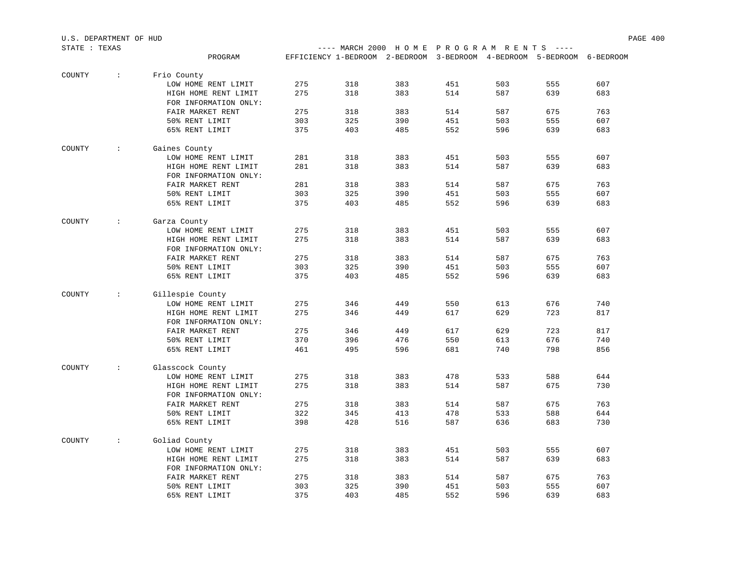| STATE : TEXAS |                      |                                      |     |     | ---- MARCH 2000 HOME PROGRAM RENTS ----                                |     |     |     |     |
|---------------|----------------------|--------------------------------------|-----|-----|------------------------------------------------------------------------|-----|-----|-----|-----|
|               |                      | PROGRAM                              |     |     | EFFICIENCY 1-BEDROOM 2-BEDROOM 3-BEDROOM 4-BEDROOM 5-BEDROOM 6-BEDROOM |     |     |     |     |
|               |                      |                                      |     |     |                                                                        |     |     |     |     |
| COUNTY        | $\cdot$ :            | Frio County                          |     |     |                                                                        |     |     |     |     |
|               |                      | LOW HOME RENT LIMIT                  | 275 | 318 | 383                                                                    | 451 | 503 | 555 | 607 |
|               |                      | HIGH HOME RENT LIMIT                 | 275 | 318 | 383                                                                    | 514 | 587 | 639 | 683 |
|               |                      | FOR INFORMATION ONLY:                |     |     |                                                                        |     |     |     |     |
|               |                      | FAIR MARKET RENT                     | 275 | 318 | 383                                                                    | 514 | 587 | 675 | 763 |
|               |                      | 50% RENT LIMIT                       | 303 | 325 | 390                                                                    | 451 | 503 | 555 | 607 |
|               |                      | 65% RENT LIMIT                       | 375 | 403 | 485                                                                    | 552 | 596 | 639 | 683 |
| COUNTY        | $\cdot$              | Gaines County                        |     |     |                                                                        |     |     |     |     |
|               |                      | LOW HOME RENT LIMIT                  | 281 | 318 | 383                                                                    | 451 | 503 | 555 | 607 |
|               |                      | HIGH HOME RENT LIMIT                 | 281 | 318 | 383                                                                    | 514 | 587 | 639 | 683 |
|               |                      | FOR INFORMATION ONLY:                |     |     |                                                                        |     |     |     |     |
|               |                      | FAIR MARKET RENT                     | 281 | 318 | 383                                                                    | 514 | 587 | 675 | 763 |
|               |                      | 50% RENT LIMIT                       | 303 | 325 | 390                                                                    | 451 | 503 | 555 | 607 |
|               |                      | 65% RENT LIMIT                       | 375 | 403 | 485                                                                    | 552 | 596 | 639 | 683 |
|               |                      |                                      |     |     |                                                                        |     |     |     |     |
| COUNTY        | $\cdot$ :            | Garza County                         |     |     |                                                                        |     |     |     |     |
|               |                      | LOW HOME RENT LIMIT                  | 275 | 318 | 383                                                                    | 451 | 503 | 555 | 607 |
|               |                      | HIGH HOME RENT LIMIT                 | 275 | 318 | 383                                                                    | 514 | 587 | 639 | 683 |
|               |                      | FOR INFORMATION ONLY:                |     |     |                                                                        |     |     |     |     |
|               |                      | FAIR MARKET RENT                     | 275 | 318 | 383                                                                    | 514 | 587 | 675 | 763 |
|               |                      | 50% RENT LIMIT                       | 303 | 325 | 390                                                                    | 451 | 503 | 555 | 607 |
|               |                      | 65% RENT LIMIT                       | 375 | 403 | 485                                                                    | 552 | 596 | 639 | 683 |
| COUNTY        | $\mathbb{R}^n$       | Gillespie County                     |     |     |                                                                        |     |     |     |     |
|               |                      | LOW HOME RENT LIMIT                  | 275 | 346 | 449                                                                    | 550 | 613 | 676 | 740 |
|               |                      | HIGH HOME RENT LIMIT                 | 275 | 346 | 449                                                                    | 617 | 629 | 723 | 817 |
|               |                      | FOR INFORMATION ONLY:                |     |     |                                                                        |     |     |     |     |
|               |                      | FAIR MARKET RENT                     | 275 | 346 | 449                                                                    | 617 | 629 | 723 | 817 |
|               |                      | 50% RENT LIMIT                       | 370 | 396 | 476                                                                    | 550 | 613 | 676 | 740 |
|               |                      | 65% RENT LIMIT                       | 461 | 495 | 596                                                                    | 681 | 740 | 798 | 856 |
|               |                      |                                      |     |     |                                                                        |     |     |     |     |
| COUNTY        | $\sim$               | Glasscock County                     |     |     |                                                                        |     |     |     |     |
|               |                      | LOW HOME RENT LIMIT                  | 275 | 318 | 383                                                                    | 478 | 533 | 588 | 644 |
|               |                      | HIGH HOME RENT LIMIT                 | 275 | 318 | 383                                                                    | 514 | 587 | 675 | 730 |
|               |                      | FOR INFORMATION ONLY:                |     |     |                                                                        |     |     |     |     |
|               |                      | FAIR MARKET RENT                     | 275 | 318 | 383                                                                    | 514 | 587 | 675 | 763 |
|               |                      | 50% RENT LIMIT                       | 322 | 345 | 413                                                                    | 478 | 533 | 588 | 644 |
|               |                      | 65% RENT LIMIT                       | 398 | 428 | 516                                                                    | 587 | 636 | 683 | 730 |
| COUNTY        | $\ddot{\phantom{a}}$ |                                      |     |     |                                                                        |     |     |     |     |
|               |                      | Goliad County<br>LOW HOME RENT LIMIT | 275 | 318 | 383                                                                    | 451 | 503 | 555 | 607 |
|               |                      | HIGH HOME RENT LIMIT                 | 275 | 318 | 383                                                                    | 514 | 587 | 639 | 683 |
|               |                      | FOR INFORMATION ONLY:                |     |     |                                                                        |     |     |     |     |
|               |                      | FAIR MARKET RENT                     | 275 | 318 | 383                                                                    | 514 | 587 | 675 | 763 |
|               |                      | 50% RENT LIMIT                       | 303 | 325 | 390                                                                    | 451 | 503 | 555 | 607 |
|               |                      | 65% RENT LIMIT                       | 375 | 403 | 485                                                                    | 552 | 596 | 639 | 683 |
|               |                      |                                      |     |     |                                                                        |     |     |     |     |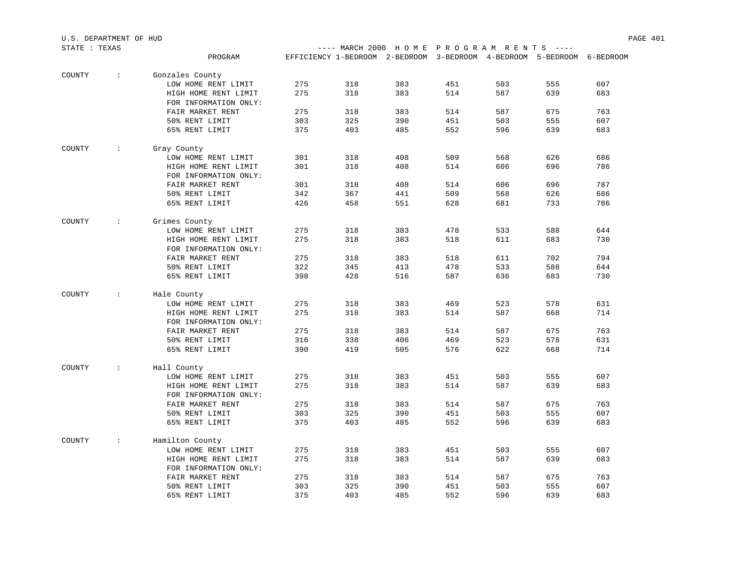| STATE : TEXAS |             |                       |     |     | ---- MARCH 2000 HOME PROGRAM RENTS ----                                |     |     |     |     |
|---------------|-------------|-----------------------|-----|-----|------------------------------------------------------------------------|-----|-----|-----|-----|
|               |             | PROGRAM               |     |     | EFFICIENCY 1-BEDROOM 2-BEDROOM 3-BEDROOM 4-BEDROOM 5-BEDROOM 6-BEDROOM |     |     |     |     |
| COUNTY        | $\sim 10$   | Gonzales County       |     |     |                                                                        |     |     |     |     |
|               |             | LOW HOME RENT LIMIT   | 275 | 318 | 383                                                                    | 451 | 503 | 555 | 607 |
|               |             | HIGH HOME RENT LIMIT  | 275 | 318 | 383                                                                    | 514 | 587 | 639 | 683 |
|               |             | FOR INFORMATION ONLY: |     |     |                                                                        |     |     |     |     |
|               |             | FAIR MARKET RENT      | 275 | 318 | 383                                                                    | 514 | 587 | 675 | 763 |
|               |             | 50% RENT LIMIT        | 303 | 325 | 390                                                                    | 451 | 503 | 555 | 607 |
|               |             | 65% RENT LIMIT        | 375 | 403 | 485                                                                    | 552 | 596 | 639 | 683 |
| COUNTY        | $\sim 1000$ | Gray County           |     |     |                                                                        |     |     |     |     |
|               |             | LOW HOME RENT LIMIT   | 301 | 318 | 408                                                                    | 509 | 568 | 626 | 686 |
|               |             | HIGH HOME RENT LIMIT  | 301 | 318 | 408                                                                    | 514 | 606 | 696 | 786 |
|               |             | FOR INFORMATION ONLY: |     |     |                                                                        |     |     |     |     |
|               |             | FAIR MARKET RENT      | 301 | 318 | 408                                                                    | 514 | 606 | 696 | 787 |
|               |             | 50% RENT LIMIT        | 342 | 367 | 441                                                                    | 509 | 568 | 626 | 686 |
|               |             | 65% RENT LIMIT        | 426 | 458 | 551                                                                    | 628 | 681 | 733 | 786 |
| COUNTY        | $\sim$      | Grimes County         |     |     |                                                                        |     |     |     |     |
|               |             | LOW HOME RENT LIMIT   | 275 | 318 | 383                                                                    | 478 | 533 | 588 | 644 |
|               |             | HIGH HOME RENT LIMIT  | 275 | 318 | 383                                                                    | 518 | 611 | 683 | 730 |
|               |             | FOR INFORMATION ONLY: |     |     |                                                                        |     |     |     |     |
|               |             | FAIR MARKET RENT      | 275 | 318 | 383                                                                    | 518 | 611 | 702 | 794 |
|               |             | 50% RENT LIMIT        | 322 | 345 | 413                                                                    | 478 | 533 | 588 | 644 |
|               |             | 65% RENT LIMIT        | 398 | 428 | 516                                                                    | 587 | 636 | 683 | 730 |
| COUNTY        | $\sim$      | Hale County           |     |     |                                                                        |     |     |     |     |
|               |             | LOW HOME RENT LIMIT   | 275 | 318 | 383                                                                    | 469 | 523 | 578 | 631 |
|               |             | HIGH HOME RENT LIMIT  | 275 | 318 | 383                                                                    | 514 | 587 | 668 | 714 |
|               |             | FOR INFORMATION ONLY: |     |     |                                                                        |     |     |     |     |
|               |             | FAIR MARKET RENT      | 275 | 318 | 383                                                                    | 514 | 587 | 675 | 763 |
|               |             | 50% RENT LIMIT        | 316 | 338 | 406                                                                    | 469 | 523 | 578 | 631 |
|               |             | 65% RENT LIMIT        | 390 | 419 | 505                                                                    | 576 | 622 | 668 | 714 |
| COUNTY        | $\sim$      | Hall County           |     |     |                                                                        |     |     |     |     |
|               |             | LOW HOME RENT LIMIT   | 275 | 318 | 383                                                                    | 451 | 503 | 555 | 607 |
|               |             | HIGH HOME RENT LIMIT  | 275 | 318 | 383                                                                    | 514 | 587 | 639 | 683 |
|               |             | FOR INFORMATION ONLY: |     |     |                                                                        |     |     |     |     |
|               |             | FAIR MARKET RENT      | 275 | 318 | 383                                                                    | 514 | 587 | 675 | 763 |
|               |             | 50% RENT LIMIT        | 303 | 325 | 390                                                                    | 451 | 503 | 555 | 607 |
|               |             | 65% RENT LIMIT        | 375 | 403 | 485                                                                    | 552 | 596 | 639 | 683 |
| COUNTY        | $\sim$      | Hamilton County       |     |     |                                                                        |     |     |     |     |
|               |             | LOW HOME RENT LIMIT   | 275 | 318 | 383                                                                    | 451 | 503 | 555 | 607 |
|               |             | HIGH HOME RENT LIMIT  | 275 | 318 | 383                                                                    | 514 | 587 | 639 | 683 |
|               |             | FOR INFORMATION ONLY: |     |     |                                                                        |     |     |     |     |
|               |             | FAIR MARKET RENT      | 275 | 318 | 383                                                                    | 514 | 587 | 675 | 763 |
|               |             | 50% RENT LIMIT        | 303 | 325 | 390                                                                    | 451 | 503 | 555 | 607 |
|               |             | 65% RENT LIMIT        | 375 | 403 | 485                                                                    | 552 | 596 | 639 | 683 |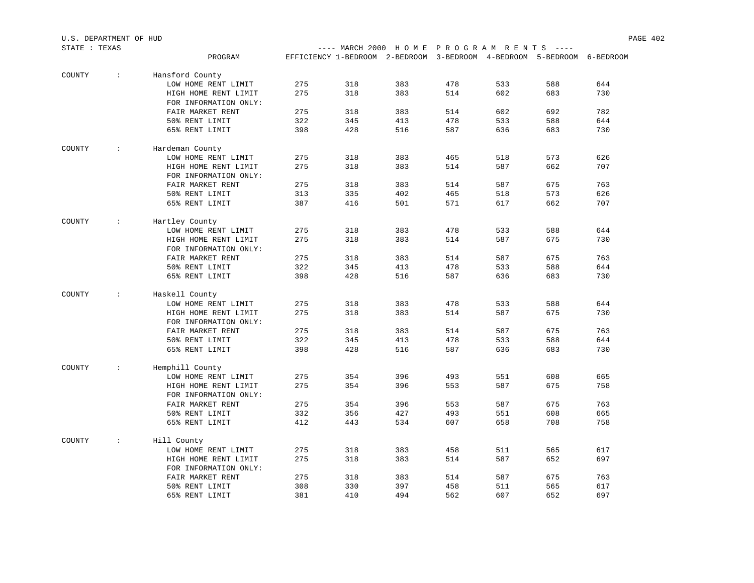| STATE : TEXAS |               |                       |     | ---- MARCH 2000 HOME PROGRAM RENTS ----                                |     |     |     |     |     |
|---------------|---------------|-----------------------|-----|------------------------------------------------------------------------|-----|-----|-----|-----|-----|
|               |               | PROGRAM               |     | EFFICIENCY 1-BEDROOM 2-BEDROOM 3-BEDROOM 4-BEDROOM 5-BEDROOM 6-BEDROOM |     |     |     |     |     |
| COUNTY        | $\div$        | Hansford County       |     |                                                                        |     |     |     |     |     |
|               |               | LOW HOME RENT LIMIT   | 275 | 318                                                                    | 383 | 478 | 533 | 588 | 644 |
|               |               | HIGH HOME RENT LIMIT  | 275 | 318                                                                    | 383 | 514 | 602 | 683 | 730 |
|               |               | FOR INFORMATION ONLY: |     |                                                                        |     |     |     |     |     |
|               |               | FAIR MARKET RENT      | 275 | 318                                                                    | 383 | 514 | 602 | 692 | 782 |
|               |               | 50% RENT LIMIT        | 322 | 345                                                                    | 413 | 478 | 533 | 588 | 644 |
|               |               | 65% RENT LIMIT        | 398 | 428                                                                    | 516 | 587 | 636 | 683 | 730 |
| COUNTY        | $\sim 100$ .  | Hardeman County       |     |                                                                        |     |     |     |     |     |
|               |               | LOW HOME RENT LIMIT   | 275 | 318                                                                    | 383 | 465 | 518 | 573 | 626 |
|               |               | HIGH HOME RENT LIMIT  | 275 | 318                                                                    | 383 | 514 | 587 | 662 | 707 |
|               |               | FOR INFORMATION ONLY: |     |                                                                        |     |     |     |     |     |
|               |               | FAIR MARKET RENT      | 275 | 318                                                                    | 383 | 514 | 587 | 675 | 763 |
|               |               | 50% RENT LIMIT        | 313 | 335                                                                    | 402 | 465 | 518 | 573 | 626 |
|               |               | 65% RENT LIMIT        | 387 | 416                                                                    | 501 | 571 | 617 | 662 | 707 |
| COUNTY        | $\sim 1000$   | Hartley County        |     |                                                                        |     |     |     |     |     |
|               |               | LOW HOME RENT LIMIT   | 275 | 318                                                                    | 383 | 478 | 533 | 588 | 644 |
|               |               | HIGH HOME RENT LIMIT  | 275 | 318                                                                    | 383 | 514 | 587 | 675 | 730 |
|               |               | FOR INFORMATION ONLY: |     |                                                                        |     |     |     |     |     |
|               |               | FAIR MARKET RENT      | 275 | 318                                                                    | 383 | 514 | 587 | 675 | 763 |
|               |               | 50% RENT LIMIT        | 322 | 345                                                                    | 413 | 478 | 533 | 588 | 644 |
|               |               | 65% RENT LIMIT        | 398 | 428                                                                    | 516 | 587 | 636 | 683 | 730 |
| COUNTY        | $\mathcal{L}$ | Haskell County        |     |                                                                        |     |     |     |     |     |
|               |               | LOW HOME RENT LIMIT   | 275 | 318                                                                    | 383 | 478 | 533 | 588 | 644 |
|               |               | HIGH HOME RENT LIMIT  | 275 | 318                                                                    | 383 | 514 | 587 | 675 | 730 |
|               |               | FOR INFORMATION ONLY: |     |                                                                        |     |     |     |     |     |
|               |               | FAIR MARKET RENT      | 275 | 318                                                                    | 383 | 514 | 587 | 675 | 763 |
|               |               | 50% RENT LIMIT        | 322 | 345                                                                    | 413 | 478 | 533 | 588 | 644 |
|               |               | 65% RENT LIMIT        | 398 | 428                                                                    | 516 | 587 | 636 | 683 | 730 |
| COUNTY        | $\mathbf{L}$  | Hemphill County       |     |                                                                        |     |     |     |     |     |
|               |               | LOW HOME RENT LIMIT   | 275 | 354                                                                    | 396 | 493 | 551 | 608 | 665 |
|               |               | HIGH HOME RENT LIMIT  | 275 | 354                                                                    | 396 | 553 | 587 | 675 | 758 |
|               |               | FOR INFORMATION ONLY: |     |                                                                        |     |     |     |     |     |
|               |               | FAIR MARKET RENT      | 275 | 354                                                                    | 396 | 553 | 587 | 675 | 763 |
|               |               | 50% RENT LIMIT        | 332 | 356                                                                    | 427 | 493 | 551 | 608 | 665 |
|               |               | 65% RENT LIMIT        | 412 | 443                                                                    | 534 | 607 | 658 | 708 | 758 |
| COUNTY        | $\mathbf{L}$  | Hill County           |     |                                                                        |     |     |     |     |     |
|               |               | LOW HOME RENT LIMIT   | 275 | 318                                                                    | 383 | 458 | 511 | 565 | 617 |
|               |               | HIGH HOME RENT LIMIT  | 275 | 318                                                                    | 383 | 514 | 587 | 652 | 697 |
|               |               | FOR INFORMATION ONLY: |     |                                                                        |     |     |     |     |     |
|               |               | FAIR MARKET RENT      | 275 | 318                                                                    | 383 | 514 | 587 | 675 | 763 |
|               |               | 50% RENT LIMIT        | 308 | 330                                                                    | 397 | 458 | 511 | 565 | 617 |
|               |               | 65% RENT LIMIT        | 381 | 410                                                                    | 494 | 562 | 607 | 652 | 697 |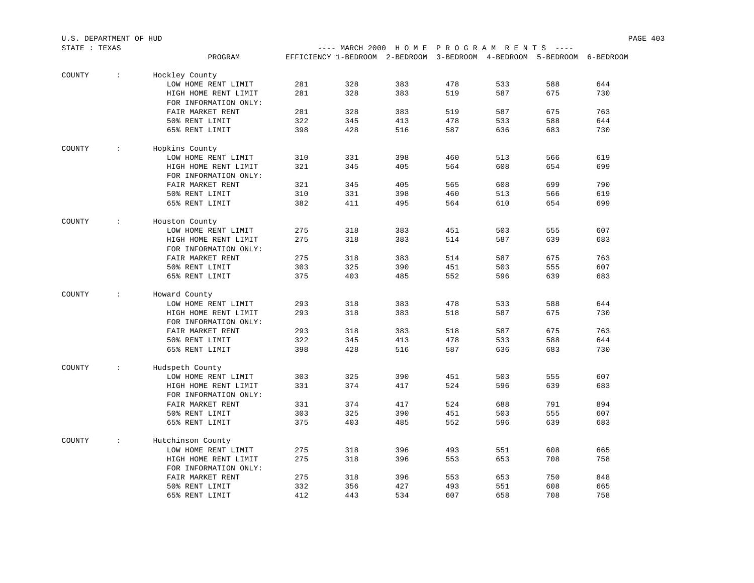| STATE : TEXAS |                      |                                               |     | ---- MARCH 2000 HOME PROGRAM RENTS ----                                |     |     |     |     |     |
|---------------|----------------------|-----------------------------------------------|-----|------------------------------------------------------------------------|-----|-----|-----|-----|-----|
|               |                      | PROGRAM                                       |     | EFFICIENCY 1-BEDROOM 2-BEDROOM 3-BEDROOM 4-BEDROOM 5-BEDROOM 6-BEDROOM |     |     |     |     |     |
|               |                      |                                               |     |                                                                        |     |     |     |     |     |
| COUNTY        | $\sim$               | Hockley County                                |     |                                                                        |     |     |     |     |     |
|               |                      | LOW HOME RENT LIMIT                           | 281 | 328                                                                    | 383 | 478 | 533 | 588 | 644 |
|               |                      | HIGH HOME RENT LIMIT                          | 281 | 328                                                                    | 383 | 519 | 587 | 675 | 730 |
|               |                      | FOR INFORMATION ONLY:                         |     |                                                                        |     |     |     |     |     |
|               |                      | FAIR MARKET RENT                              | 281 | 328                                                                    | 383 | 519 | 587 | 675 | 763 |
|               |                      | 50% RENT LIMIT                                | 322 | 345                                                                    | 413 | 478 | 533 | 588 | 644 |
|               |                      | 65% RENT LIMIT                                | 398 | 428                                                                    | 516 | 587 | 636 | 683 | 730 |
| COUNTY        | $\ddot{\phantom{a}}$ |                                               |     |                                                                        |     |     |     |     |     |
|               |                      | Hopkins County<br>LOW HOME RENT LIMIT         | 310 | 331                                                                    | 398 | 460 | 513 | 566 | 619 |
|               |                      |                                               | 321 | 345                                                                    | 405 | 564 | 608 | 654 | 699 |
|               |                      | HIGH HOME RENT LIMIT<br>FOR INFORMATION ONLY: |     |                                                                        |     |     |     |     |     |
|               |                      | FAIR MARKET RENT                              | 321 | 345                                                                    | 405 | 565 | 608 | 699 | 790 |
|               |                      |                                               |     |                                                                        |     |     |     |     |     |
|               |                      | 50% RENT LIMIT                                | 310 | 331                                                                    | 398 | 460 | 513 | 566 | 619 |
|               |                      | 65% RENT LIMIT                                | 382 | 411                                                                    | 495 | 564 | 610 | 654 | 699 |
| COUNTY        | $\sim$               | Houston County                                |     |                                                                        |     |     |     |     |     |
|               |                      | LOW HOME RENT LIMIT                           | 275 | 318                                                                    | 383 | 451 | 503 | 555 | 607 |
|               |                      | HIGH HOME RENT LIMIT                          | 275 | 318                                                                    | 383 | 514 | 587 | 639 | 683 |
|               |                      | FOR INFORMATION ONLY:                         |     |                                                                        |     |     |     |     |     |
|               |                      | FAIR MARKET RENT                              | 275 | 318                                                                    | 383 | 514 | 587 | 675 | 763 |
|               |                      | 50% RENT LIMIT                                | 303 | 325                                                                    | 390 | 451 | 503 | 555 | 607 |
|               |                      | 65% RENT LIMIT                                | 375 | 403                                                                    | 485 | 552 | 596 | 639 | 683 |
| COUNTY        | $\sim$               | Howard County                                 |     |                                                                        |     |     |     |     |     |
|               |                      | LOW HOME RENT LIMIT                           | 293 | 318                                                                    | 383 | 478 | 533 | 588 | 644 |
|               |                      | HIGH HOME RENT LIMIT                          | 293 | 318                                                                    | 383 | 518 | 587 | 675 | 730 |
|               |                      | FOR INFORMATION ONLY:                         |     |                                                                        |     |     |     |     |     |
|               |                      | FAIR MARKET RENT                              | 293 | 318                                                                    | 383 | 518 | 587 | 675 | 763 |
|               |                      | 50% RENT LIMIT                                | 322 | 345                                                                    | 413 | 478 | 533 | 588 | 644 |
|               |                      | 65% RENT LIMIT                                | 398 | 428                                                                    | 516 | 587 | 636 | 683 | 730 |
|               |                      |                                               |     |                                                                        |     |     |     |     |     |
| COUNTY        | $\ddot{\phantom{0}}$ | Hudspeth County                               |     |                                                                        |     |     |     |     |     |
|               |                      | LOW HOME RENT LIMIT                           | 303 | 325                                                                    | 390 | 451 | 503 | 555 | 607 |
|               |                      | HIGH HOME RENT LIMIT                          | 331 | 374                                                                    | 417 | 524 | 596 | 639 | 683 |
|               |                      | FOR INFORMATION ONLY:                         |     |                                                                        |     |     |     |     |     |
|               |                      | FAIR MARKET RENT                              | 331 | 374                                                                    | 417 | 524 | 688 | 791 | 894 |
|               |                      | 50% RENT LIMIT                                | 303 | 325                                                                    | 390 | 451 | 503 | 555 | 607 |
|               |                      | 65% RENT LIMIT                                | 375 | 403                                                                    | 485 | 552 | 596 | 639 | 683 |
| COUNTY        | $\sim$               | Hutchinson County                             |     |                                                                        |     |     |     |     |     |
|               |                      | LOW HOME RENT LIMIT                           | 275 | 318                                                                    | 396 | 493 | 551 | 608 | 665 |
|               |                      | HIGH HOME RENT LIMIT                          | 275 | 318                                                                    | 396 | 553 | 653 | 708 | 758 |
|               |                      | FOR INFORMATION ONLY:                         |     |                                                                        |     |     |     |     |     |
|               |                      | FAIR MARKET RENT                              | 275 | 318                                                                    | 396 | 553 | 653 | 750 | 848 |
|               |                      | 50% RENT LIMIT                                | 332 | 356                                                                    | 427 | 493 | 551 | 608 | 665 |
|               |                      | 65% RENT LIMIT                                | 412 | 443                                                                    | 534 | 607 | 658 | 708 | 758 |
|               |                      |                                               |     |                                                                        |     |     |     |     |     |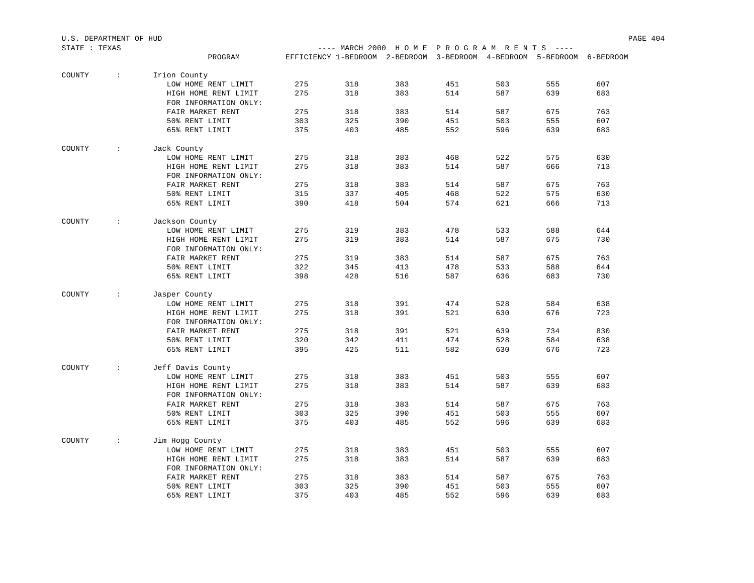| STATE : TEXAS |            |                                               |     |     | ---- MARCH 2000 HOME PROGRAM RENTS ----                                |     |     |     |     |
|---------------|------------|-----------------------------------------------|-----|-----|------------------------------------------------------------------------|-----|-----|-----|-----|
|               |            | PROGRAM                                       |     |     | EFFICIENCY 1-BEDROOM 2-BEDROOM 3-BEDROOM 4-BEDROOM 5-BEDROOM 6-BEDROOM |     |     |     |     |
| COUNTY        | $\sim 10$  | Irion County                                  |     |     |                                                                        |     |     |     |     |
|               |            | LOW HOME RENT LIMIT                           | 275 | 318 | 383                                                                    | 451 | 503 | 555 | 607 |
|               |            | HIGH HOME RENT LIMIT                          | 275 | 318 | 383                                                                    | 514 | 587 | 639 | 683 |
|               |            | FOR INFORMATION ONLY:                         |     |     |                                                                        |     |     |     |     |
|               |            | FAIR MARKET RENT                              | 275 | 318 | 383                                                                    | 514 | 587 | 675 | 763 |
|               |            | 50% RENT LIMIT                                | 303 | 325 | 390                                                                    | 451 | 503 | 555 | 607 |
|               |            | 65% RENT LIMIT                                | 375 | 403 | 485                                                                    | 552 | 596 | 639 | 683 |
| COUNTY        | $\sim 100$ | Jack County                                   |     |     |                                                                        |     |     |     |     |
|               |            | LOW HOME RENT LIMIT                           | 275 | 318 | 383                                                                    | 468 | 522 | 575 | 630 |
|               |            | HIGH HOME RENT LIMIT                          | 275 | 318 | 383                                                                    | 514 | 587 | 666 | 713 |
|               |            | FOR INFORMATION ONLY:                         |     |     |                                                                        |     |     |     |     |
|               |            | FAIR MARKET RENT                              | 275 | 318 | 383                                                                    | 514 | 587 | 675 | 763 |
|               |            | 50% RENT LIMIT                                | 315 | 337 | 405                                                                    | 468 | 522 | 575 | 630 |
|               |            | 65% RENT LIMIT                                | 390 | 418 | 504                                                                    | 574 | 621 | 666 | 713 |
| COUNTY        | $\sim$ 1.1 | Jackson County                                |     |     |                                                                        |     |     |     |     |
|               |            | LOW HOME RENT LIMIT                           | 275 | 319 | 383                                                                    | 478 | 533 | 588 | 644 |
|               |            | HIGH HOME RENT LIMIT                          | 275 | 319 | 383                                                                    | 514 | 587 | 675 | 730 |
|               |            | FOR INFORMATION ONLY:                         |     |     |                                                                        |     |     |     |     |
|               |            | FAIR MARKET RENT                              | 275 | 319 | 383                                                                    | 514 | 587 | 675 | 763 |
|               |            | 50% RENT LIMIT                                | 322 | 345 | 413                                                                    | 478 | 533 | 588 | 644 |
|               |            | 65% RENT LIMIT                                | 398 | 428 | 516                                                                    | 587 | 636 | 683 | 730 |
| COUNTY        | $\sim 100$ | Jasper County                                 |     |     |                                                                        |     |     |     |     |
|               |            | LOW HOME RENT LIMIT                           | 275 | 318 | 391                                                                    | 474 | 528 | 584 | 638 |
|               |            | HIGH HOME RENT LIMIT                          | 275 | 318 | 391                                                                    | 521 | 630 | 676 | 723 |
|               |            | FOR INFORMATION ONLY:                         |     |     |                                                                        |     |     |     |     |
|               |            | FAIR MARKET RENT                              | 275 | 318 | 391                                                                    | 521 | 639 | 734 | 830 |
|               |            | 50% RENT LIMIT                                | 320 | 342 | 411                                                                    | 474 | 528 | 584 | 638 |
|               |            | 65% RENT LIMIT                                | 395 | 425 | 511                                                                    | 582 | 630 | 676 | 723 |
| COUNTY        | $\sim 100$ | Jeff Davis County                             |     |     |                                                                        |     |     |     |     |
|               |            | LOW HOME RENT LIMIT                           | 275 | 318 | 383                                                                    | 451 | 503 | 555 | 607 |
|               |            | HIGH HOME RENT LIMIT                          | 275 | 318 | 383                                                                    | 514 | 587 | 639 | 683 |
|               |            | FOR INFORMATION ONLY:                         |     |     |                                                                        |     |     |     |     |
|               |            | FAIR MARKET RENT                              | 275 | 318 | 383                                                                    | 514 | 587 | 675 | 763 |
|               |            | 50% RENT LIMIT                                | 303 | 325 | 390                                                                    | 451 | 503 | 555 | 607 |
|               |            | 65% RENT LIMIT                                | 375 | 403 | 485                                                                    | 552 | 596 | 639 | 683 |
| COUNTY        | $\sim$ 1.1 | Jim Hogg County                               |     |     |                                                                        |     |     |     |     |
|               |            | LOW HOME RENT LIMIT                           | 275 | 318 | 383                                                                    | 451 | 503 | 555 | 607 |
|               |            | HIGH HOME RENT LIMIT<br>FOR INFORMATION ONLY: | 275 | 318 | 383                                                                    | 514 | 587 | 639 | 683 |
|               |            | FAIR MARKET RENT                              | 275 | 318 | 383                                                                    | 514 | 587 | 675 | 763 |
|               |            | 50% RENT LIMIT                                | 303 | 325 | 390                                                                    | 451 | 503 | 555 | 607 |
|               |            | 65% RENT LIMIT                                | 375 | 403 | 485                                                                    | 552 | 596 | 639 | 683 |
|               |            |                                               |     |     |                                                                        |     |     |     |     |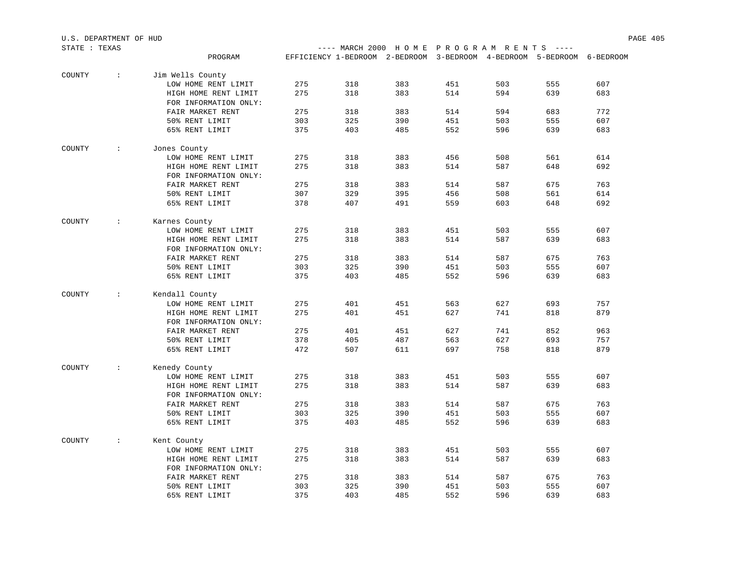| STATE : TEXAS |                      |                       |     | ---- MARCH 2000 HOME PROGRAM RENTS ----                                |     |     |     |     |     |
|---------------|----------------------|-----------------------|-----|------------------------------------------------------------------------|-----|-----|-----|-----|-----|
|               |                      | PROGRAM               |     | EFFICIENCY 1-BEDROOM 2-BEDROOM 3-BEDROOM 4-BEDROOM 5-BEDROOM 6-BEDROOM |     |     |     |     |     |
| COUNTY        | $\ddot{\phantom{a}}$ | Jim Wells County      |     |                                                                        |     |     |     |     |     |
|               |                      | LOW HOME RENT LIMIT   | 275 | 318                                                                    | 383 | 451 | 503 | 555 | 607 |
|               |                      | HIGH HOME RENT LIMIT  | 275 | 318                                                                    | 383 | 514 | 594 | 639 | 683 |
|               |                      | FOR INFORMATION ONLY: |     |                                                                        |     |     |     |     |     |
|               |                      | FAIR MARKET RENT      | 275 | 318                                                                    | 383 | 514 | 594 | 683 | 772 |
|               |                      | 50% RENT LIMIT        | 303 | 325                                                                    | 390 | 451 | 503 | 555 | 607 |
|               |                      | 65% RENT LIMIT        | 375 | 403                                                                    | 485 | 552 | 596 | 639 | 683 |
| COUNTY        | $\sim$               | Jones County          |     |                                                                        |     |     |     |     |     |
|               |                      | LOW HOME RENT LIMIT   | 275 | 318                                                                    | 383 | 456 | 508 | 561 | 614 |
|               |                      | HIGH HOME RENT LIMIT  | 275 | 318                                                                    | 383 | 514 | 587 | 648 | 692 |
|               |                      | FOR INFORMATION ONLY: |     |                                                                        |     |     |     |     |     |
|               |                      | FAIR MARKET RENT      | 275 | 318                                                                    | 383 | 514 | 587 | 675 | 763 |
|               |                      | 50% RENT LIMIT        | 307 | 329                                                                    | 395 | 456 | 508 | 561 | 614 |
|               |                      | 65% RENT LIMIT        | 378 | 407                                                                    | 491 | 559 | 603 | 648 | 692 |
| COUNTY        | $\sim$               | Karnes County         |     |                                                                        |     |     |     |     |     |
|               |                      | LOW HOME RENT LIMIT   | 275 | 318                                                                    | 383 | 451 | 503 | 555 | 607 |
|               |                      | HIGH HOME RENT LIMIT  | 275 | 318                                                                    | 383 | 514 | 587 | 639 | 683 |
|               |                      | FOR INFORMATION ONLY: |     |                                                                        |     |     |     |     |     |
|               |                      | FAIR MARKET RENT      | 275 | 318                                                                    | 383 | 514 | 587 | 675 | 763 |
|               |                      | 50% RENT LIMIT        | 303 | 325                                                                    | 390 | 451 | 503 | 555 | 607 |
|               |                      | 65% RENT LIMIT        | 375 | 403                                                                    | 485 | 552 | 596 | 639 | 683 |
| COUNTY        | $\sim$               | Kendall County        |     |                                                                        |     |     |     |     |     |
|               |                      | LOW HOME RENT LIMIT   | 275 | 401                                                                    | 451 | 563 | 627 | 693 | 757 |
|               |                      | HIGH HOME RENT LIMIT  | 275 | 401                                                                    | 451 | 627 | 741 | 818 | 879 |
|               |                      | FOR INFORMATION ONLY: |     |                                                                        |     |     |     |     |     |
|               |                      | FAIR MARKET RENT      | 275 | 401                                                                    | 451 | 627 | 741 | 852 | 963 |
|               |                      | 50% RENT LIMIT        | 378 | 405                                                                    | 487 | 563 | 627 | 693 | 757 |
|               |                      | 65% RENT LIMIT        | 472 | 507                                                                    | 611 | 697 | 758 | 818 | 879 |
| COUNTY        | $\sim$               | Kenedy County         |     |                                                                        |     |     |     |     |     |
|               |                      | LOW HOME RENT LIMIT   | 275 | 318                                                                    | 383 | 451 | 503 | 555 | 607 |
|               |                      | HIGH HOME RENT LIMIT  | 275 | 318                                                                    | 383 | 514 | 587 | 639 | 683 |
|               |                      | FOR INFORMATION ONLY: |     |                                                                        |     |     |     |     |     |
|               |                      | FAIR MARKET RENT      | 275 | 318                                                                    | 383 | 514 | 587 | 675 | 763 |
|               |                      | 50% RENT LIMIT        | 303 | 325                                                                    | 390 | 451 | 503 | 555 | 607 |
|               |                      | 65% RENT LIMIT        | 375 | 403                                                                    | 485 | 552 | 596 | 639 | 683 |
| COUNTY        | $\sim$               | Kent County           |     |                                                                        |     |     |     |     |     |
|               |                      | LOW HOME RENT LIMIT   | 275 | 318                                                                    | 383 | 451 | 503 | 555 | 607 |
|               |                      | HIGH HOME RENT LIMIT  | 275 | 318                                                                    | 383 | 514 | 587 | 639 | 683 |
|               |                      | FOR INFORMATION ONLY: |     |                                                                        |     |     |     |     |     |
|               |                      | FAIR MARKET RENT      | 275 | 318                                                                    | 383 | 514 | 587 | 675 | 763 |
|               |                      | 50% RENT LIMIT        | 303 | 325                                                                    | 390 | 451 | 503 | 555 | 607 |
|               |                      | 65% RENT LIMIT        | 375 | 403                                                                    | 485 | 552 | 596 | 639 | 683 |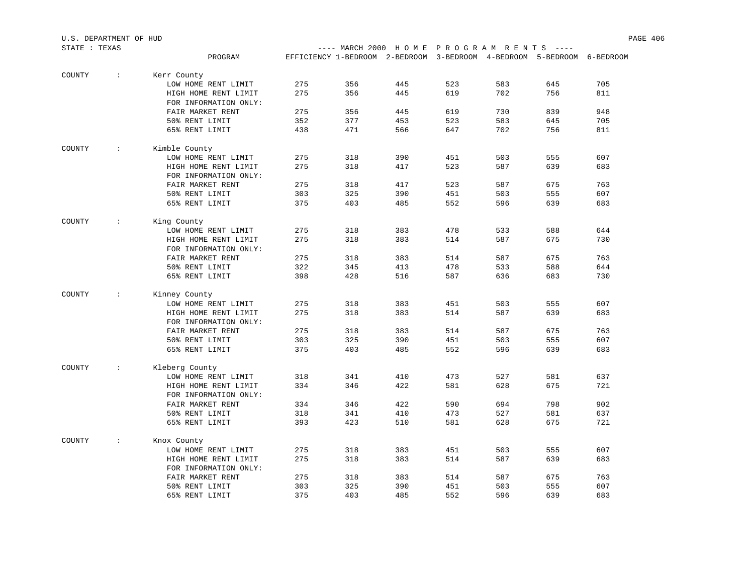| STATE : TEXAS |                          |                                               |     |            | ---- MARCH 2000 HOME PROGRAM RENTS ----                                |            |            |            |     |
|---------------|--------------------------|-----------------------------------------------|-----|------------|------------------------------------------------------------------------|------------|------------|------------|-----|
|               |                          | PROGRAM                                       |     |            | EFFICIENCY 1-BEDROOM 2-BEDROOM 3-BEDROOM 4-BEDROOM 5-BEDROOM 6-BEDROOM |            |            |            |     |
| COUNTY        | $\sim 10$                | Kerr County                                   |     |            |                                                                        |            |            |            |     |
|               |                          | LOW HOME RENT LIMIT                           | 275 | 356        | 445                                                                    | 523        | 583        | 645        | 705 |
|               |                          | HIGH HOME RENT LIMIT                          | 275 | 356        | 445                                                                    | 619        | 702        | 756        | 811 |
|               |                          | FOR INFORMATION ONLY:                         |     |            |                                                                        |            |            |            |     |
|               |                          | FAIR MARKET RENT                              | 275 | 356        | 445                                                                    | 619        | 730        | 839        | 948 |
|               |                          | 50% RENT LIMIT                                | 352 | 377        | 453                                                                    | 523        | 583        | 645        | 705 |
|               |                          | 65% RENT LIMIT                                | 438 | 471        | 566                                                                    | 647        | 702        | 756        | 811 |
| COUNTY        | $\sim 1000$ km s $^{-1}$ | Kimble County                                 |     |            |                                                                        |            |            |            |     |
|               |                          | LOW HOME RENT LIMIT                           | 275 | 318        | 390                                                                    | 451        | 503        | 555        | 607 |
|               |                          | HIGH HOME RENT LIMIT                          | 275 | 318        | 417                                                                    | 523        | 587        | 639        | 683 |
|               |                          | FOR INFORMATION ONLY:                         |     |            |                                                                        |            |            |            |     |
|               |                          | FAIR MARKET RENT                              | 275 | 318        | 417                                                                    | 523        | 587        | 675        | 763 |
|               |                          | 50% RENT LIMIT                                | 303 | 325        | 390                                                                    | 451        | 503        | 555        | 607 |
|               |                          | 65% RENT LIMIT                                | 375 | 403        | 485                                                                    | 552        | 596        | 639        | 683 |
| COUNTY        | $\sim 1000$ km s $^{-1}$ | King County                                   |     |            |                                                                        |            |            |            |     |
|               |                          | LOW HOME RENT LIMIT                           | 275 | 318        | 383                                                                    | 478        | 533        | 588        | 644 |
|               |                          | HIGH HOME RENT LIMIT                          | 275 | 318        | 383                                                                    | 514        | 587        | 675        | 730 |
|               |                          | FOR INFORMATION ONLY:                         |     |            |                                                                        |            |            |            |     |
|               |                          | FAIR MARKET RENT                              | 275 | 318        | 383                                                                    | 514        | 587        | 675        | 763 |
|               |                          | 50% RENT LIMIT                                | 322 | 345        | 413                                                                    | 478        | 533        | 588        | 644 |
|               |                          | 65% RENT LIMIT                                | 398 | 428        | 516                                                                    | 587        | 636        | 683        | 730 |
| COUNTY        | $\sim 100$ M $_{\odot}$  | Kinney County                                 |     |            |                                                                        |            |            |            |     |
|               |                          | LOW HOME RENT LIMIT                           | 275 | 318        | 383                                                                    | 451        | 503        | 555        | 607 |
|               |                          | HIGH HOME RENT LIMIT<br>FOR INFORMATION ONLY: | 275 | 318        | 383                                                                    | 514        | 587        | 639        | 683 |
|               |                          | FAIR MARKET RENT                              | 275 | 318        | 383                                                                    | 514        | 587        | 675        | 763 |
|               |                          | 50% RENT LIMIT                                | 303 | 325        | 390                                                                    | 451        | 503        | 555        | 607 |
|               |                          | 65% RENT LIMIT                                | 375 | 403        | 485                                                                    | 552        | 596        | 639        | 683 |
|               |                          |                                               |     |            |                                                                        |            |            |            |     |
| COUNTY        | <b>Contractor</b>        | Kleberg County<br>LOW HOME RENT LIMIT         | 318 | 341        | 410                                                                    | 473        | 527        | 581        | 637 |
|               |                          | HIGH HOME RENT LIMIT                          | 334 | 346        | 422                                                                    | 581        | 628        | 675        | 721 |
|               |                          | FOR INFORMATION ONLY:                         |     |            |                                                                        |            |            |            |     |
|               |                          | FAIR MARKET RENT                              | 334 | 346        | 422                                                                    | 590        | 694        | 798        | 902 |
|               |                          |                                               | 318 |            | 410                                                                    |            |            |            | 637 |
|               |                          | 50% RENT LIMIT<br>65% RENT LIMIT              | 393 | 341<br>423 | 510                                                                    | 473<br>581 | 527<br>628 | 581<br>675 | 721 |
| COUNTY        | $\sim 100$               | Knox County                                   |     |            |                                                                        |            |            |            |     |
|               |                          | LOW HOME RENT LIMIT                           | 275 | 318        | 383                                                                    | 451        | 503        | 555        | 607 |
|               |                          | HIGH HOME RENT LIMIT                          | 275 | 318        | 383                                                                    | 514        | 587        | 639        | 683 |
|               |                          | FOR INFORMATION ONLY:                         |     |            |                                                                        |            |            |            |     |
|               |                          | FAIR MARKET RENT                              | 275 | 318        | 383                                                                    | 514        | 587        | 675        | 763 |
|               |                          | 50% RENT LIMIT                                | 303 | 325        | 390                                                                    | 451        | 503        | 555        | 607 |
|               |                          | 65% RENT LIMIT                                | 375 | 403        | 485                                                                    | 552        | 596        | 639        | 683 |
|               |                          |                                               |     |            |                                                                        |            |            |            |     |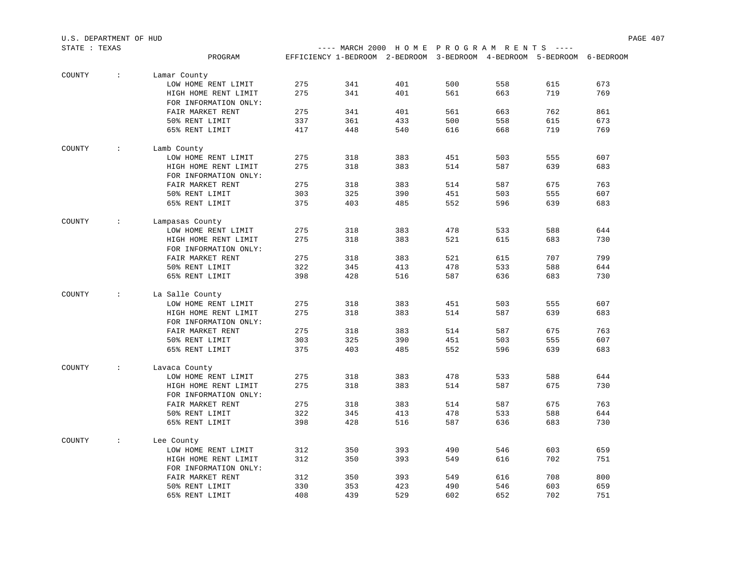| PROGRAM<br>EFFICIENCY 1-BEDROOM 2-BEDROOM 3-BEDROOM 4-BEDROOM 5-BEDROOM 6-BEDROOM<br>COUNTY<br>$\ddot{\phantom{a}}$ .<br>Lamar County<br>673<br>LOW HOME RENT LIMIT<br>275<br>341<br>401<br>500<br>558<br>615<br>769<br>HIGH HOME RENT LIMIT<br>275<br>341<br>401<br>561<br>663<br>719<br>FOR INFORMATION ONLY:<br>401<br>762<br>861<br>FAIR MARKET RENT<br>275<br>341<br>561<br>663<br>500<br>673<br>50% RENT LIMIT<br>337<br>361<br>433<br>558<br>615<br>769<br>65% RENT LIMIT<br>417<br>448<br>540<br>616<br>668<br>719<br>COUNTY<br>Lamb County<br>$\ddot{\phantom{0}}$<br>383<br>607<br>275<br>318<br>451<br>503<br>555<br>LOW HOME RENT LIMIT<br>683<br>275<br>318<br>383<br>514<br>587<br>639<br>HIGH HOME RENT LIMIT<br>FOR INFORMATION ONLY:<br>275<br>383<br>587<br>675<br>763<br>FAIR MARKET RENT<br>318<br>514<br>325<br>390<br>451<br>607<br>50% RENT LIMIT<br>303<br>503<br>555<br>403<br>552<br>683<br>65% RENT LIMIT<br>375<br>485<br>596<br>639<br>COUNTY<br>$\cdot$ :<br>Lampasas County<br>275<br>383<br>478<br>644<br>318<br>533<br>588<br>LOW HOME RENT LIMIT<br>730<br>275<br>318<br>383<br>521<br>615<br>683<br>HIGH HOME RENT LIMIT<br>FOR INFORMATION ONLY:<br>799<br>275<br>318<br>383<br>521<br>615<br>707<br>FAIR MARKET RENT<br>345<br>478<br>644<br>50% RENT LIMIT<br>322<br>413<br>533<br>588<br>428<br>587<br>730<br>65% RENT LIMIT<br>398<br>516<br>636<br>683 | STATE : TEXAS |  |  | ---- MARCH 2000 HOME PROGRAM RENTS ---- |  |  |
|-------------------------------------------------------------------------------------------------------------------------------------------------------------------------------------------------------------------------------------------------------------------------------------------------------------------------------------------------------------------------------------------------------------------------------------------------------------------------------------------------------------------------------------------------------------------------------------------------------------------------------------------------------------------------------------------------------------------------------------------------------------------------------------------------------------------------------------------------------------------------------------------------------------------------------------------------------------------------------------------------------------------------------------------------------------------------------------------------------------------------------------------------------------------------------------------------------------------------------------------------------------------------------------------------------------------------------------------------------------------------------------------------|---------------|--|--|-----------------------------------------|--|--|
|                                                                                                                                                                                                                                                                                                                                                                                                                                                                                                                                                                                                                                                                                                                                                                                                                                                                                                                                                                                                                                                                                                                                                                                                                                                                                                                                                                                                 |               |  |  |                                         |  |  |
|                                                                                                                                                                                                                                                                                                                                                                                                                                                                                                                                                                                                                                                                                                                                                                                                                                                                                                                                                                                                                                                                                                                                                                                                                                                                                                                                                                                                 |               |  |  |                                         |  |  |
|                                                                                                                                                                                                                                                                                                                                                                                                                                                                                                                                                                                                                                                                                                                                                                                                                                                                                                                                                                                                                                                                                                                                                                                                                                                                                                                                                                                                 |               |  |  |                                         |  |  |
|                                                                                                                                                                                                                                                                                                                                                                                                                                                                                                                                                                                                                                                                                                                                                                                                                                                                                                                                                                                                                                                                                                                                                                                                                                                                                                                                                                                                 |               |  |  |                                         |  |  |
|                                                                                                                                                                                                                                                                                                                                                                                                                                                                                                                                                                                                                                                                                                                                                                                                                                                                                                                                                                                                                                                                                                                                                                                                                                                                                                                                                                                                 |               |  |  |                                         |  |  |
|                                                                                                                                                                                                                                                                                                                                                                                                                                                                                                                                                                                                                                                                                                                                                                                                                                                                                                                                                                                                                                                                                                                                                                                                                                                                                                                                                                                                 |               |  |  |                                         |  |  |
|                                                                                                                                                                                                                                                                                                                                                                                                                                                                                                                                                                                                                                                                                                                                                                                                                                                                                                                                                                                                                                                                                                                                                                                                                                                                                                                                                                                                 |               |  |  |                                         |  |  |
|                                                                                                                                                                                                                                                                                                                                                                                                                                                                                                                                                                                                                                                                                                                                                                                                                                                                                                                                                                                                                                                                                                                                                                                                                                                                                                                                                                                                 |               |  |  |                                         |  |  |
|                                                                                                                                                                                                                                                                                                                                                                                                                                                                                                                                                                                                                                                                                                                                                                                                                                                                                                                                                                                                                                                                                                                                                                                                                                                                                                                                                                                                 |               |  |  |                                         |  |  |
|                                                                                                                                                                                                                                                                                                                                                                                                                                                                                                                                                                                                                                                                                                                                                                                                                                                                                                                                                                                                                                                                                                                                                                                                                                                                                                                                                                                                 |               |  |  |                                         |  |  |
|                                                                                                                                                                                                                                                                                                                                                                                                                                                                                                                                                                                                                                                                                                                                                                                                                                                                                                                                                                                                                                                                                                                                                                                                                                                                                                                                                                                                 |               |  |  |                                         |  |  |
|                                                                                                                                                                                                                                                                                                                                                                                                                                                                                                                                                                                                                                                                                                                                                                                                                                                                                                                                                                                                                                                                                                                                                                                                                                                                                                                                                                                                 |               |  |  |                                         |  |  |
|                                                                                                                                                                                                                                                                                                                                                                                                                                                                                                                                                                                                                                                                                                                                                                                                                                                                                                                                                                                                                                                                                                                                                                                                                                                                                                                                                                                                 |               |  |  |                                         |  |  |
|                                                                                                                                                                                                                                                                                                                                                                                                                                                                                                                                                                                                                                                                                                                                                                                                                                                                                                                                                                                                                                                                                                                                                                                                                                                                                                                                                                                                 |               |  |  |                                         |  |  |
|                                                                                                                                                                                                                                                                                                                                                                                                                                                                                                                                                                                                                                                                                                                                                                                                                                                                                                                                                                                                                                                                                                                                                                                                                                                                                                                                                                                                 |               |  |  |                                         |  |  |
|                                                                                                                                                                                                                                                                                                                                                                                                                                                                                                                                                                                                                                                                                                                                                                                                                                                                                                                                                                                                                                                                                                                                                                                                                                                                                                                                                                                                 |               |  |  |                                         |  |  |
|                                                                                                                                                                                                                                                                                                                                                                                                                                                                                                                                                                                                                                                                                                                                                                                                                                                                                                                                                                                                                                                                                                                                                                                                                                                                                                                                                                                                 |               |  |  |                                         |  |  |
|                                                                                                                                                                                                                                                                                                                                                                                                                                                                                                                                                                                                                                                                                                                                                                                                                                                                                                                                                                                                                                                                                                                                                                                                                                                                                                                                                                                                 |               |  |  |                                         |  |  |
|                                                                                                                                                                                                                                                                                                                                                                                                                                                                                                                                                                                                                                                                                                                                                                                                                                                                                                                                                                                                                                                                                                                                                                                                                                                                                                                                                                                                 |               |  |  |                                         |  |  |
|                                                                                                                                                                                                                                                                                                                                                                                                                                                                                                                                                                                                                                                                                                                                                                                                                                                                                                                                                                                                                                                                                                                                                                                                                                                                                                                                                                                                 |               |  |  |                                         |  |  |
|                                                                                                                                                                                                                                                                                                                                                                                                                                                                                                                                                                                                                                                                                                                                                                                                                                                                                                                                                                                                                                                                                                                                                                                                                                                                                                                                                                                                 |               |  |  |                                         |  |  |
|                                                                                                                                                                                                                                                                                                                                                                                                                                                                                                                                                                                                                                                                                                                                                                                                                                                                                                                                                                                                                                                                                                                                                                                                                                                                                                                                                                                                 |               |  |  |                                         |  |  |
| COUNTY<br>La Salle County<br>$\mathcal{L}$                                                                                                                                                                                                                                                                                                                                                                                                                                                                                                                                                                                                                                                                                                                                                                                                                                                                                                                                                                                                                                                                                                                                                                                                                                                                                                                                                      |               |  |  |                                         |  |  |
| 383<br>607<br>275<br>318<br>451<br>503<br>555<br>LOW HOME RENT LIMIT                                                                                                                                                                                                                                                                                                                                                                                                                                                                                                                                                                                                                                                                                                                                                                                                                                                                                                                                                                                                                                                                                                                                                                                                                                                                                                                            |               |  |  |                                         |  |  |
| 683<br>275<br>318<br>383<br>514<br>587<br>639<br>HIGH HOME RENT LIMIT                                                                                                                                                                                                                                                                                                                                                                                                                                                                                                                                                                                                                                                                                                                                                                                                                                                                                                                                                                                                                                                                                                                                                                                                                                                                                                                           |               |  |  |                                         |  |  |
| FOR INFORMATION ONLY:                                                                                                                                                                                                                                                                                                                                                                                                                                                                                                                                                                                                                                                                                                                                                                                                                                                                                                                                                                                                                                                                                                                                                                                                                                                                                                                                                                           |               |  |  |                                         |  |  |
| 763<br>FAIR MARKET RENT<br>275<br>318<br>383<br>514<br>587<br>675                                                                                                                                                                                                                                                                                                                                                                                                                                                                                                                                                                                                                                                                                                                                                                                                                                                                                                                                                                                                                                                                                                                                                                                                                                                                                                                               |               |  |  |                                         |  |  |
| 325<br>607<br>50% RENT LIMIT<br>303<br>390<br>451<br>503<br>555                                                                                                                                                                                                                                                                                                                                                                                                                                                                                                                                                                                                                                                                                                                                                                                                                                                                                                                                                                                                                                                                                                                                                                                                                                                                                                                                 |               |  |  |                                         |  |  |
| 552<br>683<br>65% RENT LIMIT<br>375<br>403<br>485<br>596<br>639                                                                                                                                                                                                                                                                                                                                                                                                                                                                                                                                                                                                                                                                                                                                                                                                                                                                                                                                                                                                                                                                                                                                                                                                                                                                                                                                 |               |  |  |                                         |  |  |
| COUNTY<br>$\ddot{\phantom{0}}$<br>Lavaca County                                                                                                                                                                                                                                                                                                                                                                                                                                                                                                                                                                                                                                                                                                                                                                                                                                                                                                                                                                                                                                                                                                                                                                                                                                                                                                                                                 |               |  |  |                                         |  |  |
| 383<br>478<br>644<br>275<br>318<br>533<br>588<br>LOW HOME RENT LIMIT                                                                                                                                                                                                                                                                                                                                                                                                                                                                                                                                                                                                                                                                                                                                                                                                                                                                                                                                                                                                                                                                                                                                                                                                                                                                                                                            |               |  |  |                                         |  |  |
| 275<br>730<br>318<br>383<br>514<br>587<br>675<br>HIGH HOME RENT LIMIT                                                                                                                                                                                                                                                                                                                                                                                                                                                                                                                                                                                                                                                                                                                                                                                                                                                                                                                                                                                                                                                                                                                                                                                                                                                                                                                           |               |  |  |                                         |  |  |
| FOR INFORMATION ONLY:                                                                                                                                                                                                                                                                                                                                                                                                                                                                                                                                                                                                                                                                                                                                                                                                                                                                                                                                                                                                                                                                                                                                                                                                                                                                                                                                                                           |               |  |  |                                         |  |  |
| 275<br>318<br>587<br>763<br>FAIR MARKET RENT<br>383<br>514<br>675                                                                                                                                                                                                                                                                                                                                                                                                                                                                                                                                                                                                                                                                                                                                                                                                                                                                                                                                                                                                                                                                                                                                                                                                                                                                                                                               |               |  |  |                                         |  |  |
| 322<br>478<br>588<br>644<br>50% RENT LIMIT<br>345<br>413<br>533                                                                                                                                                                                                                                                                                                                                                                                                                                                                                                                                                                                                                                                                                                                                                                                                                                                                                                                                                                                                                                                                                                                                                                                                                                                                                                                                 |               |  |  |                                         |  |  |
| 428<br>730<br>65% RENT LIMIT<br>398<br>516<br>587<br>636<br>683                                                                                                                                                                                                                                                                                                                                                                                                                                                                                                                                                                                                                                                                                                                                                                                                                                                                                                                                                                                                                                                                                                                                                                                                                                                                                                                                 |               |  |  |                                         |  |  |
| COUNTY<br>$\ddot{\phantom{a}}$<br>Lee County                                                                                                                                                                                                                                                                                                                                                                                                                                                                                                                                                                                                                                                                                                                                                                                                                                                                                                                                                                                                                                                                                                                                                                                                                                                                                                                                                    |               |  |  |                                         |  |  |
| 490<br>659<br>312<br>350<br>393<br>546<br>603<br>LOW HOME RENT LIMIT                                                                                                                                                                                                                                                                                                                                                                                                                                                                                                                                                                                                                                                                                                                                                                                                                                                                                                                                                                                                                                                                                                                                                                                                                                                                                                                            |               |  |  |                                         |  |  |
| 312<br>350<br>702<br>751<br>393<br>549<br>616<br>HIGH HOME RENT LIMIT<br>FOR INFORMATION ONLY:                                                                                                                                                                                                                                                                                                                                                                                                                                                                                                                                                                                                                                                                                                                                                                                                                                                                                                                                                                                                                                                                                                                                                                                                                                                                                                  |               |  |  |                                         |  |  |
| 350<br>393<br>549<br>708<br>800<br>FAIR MARKET RENT<br>312<br>616                                                                                                                                                                                                                                                                                                                                                                                                                                                                                                                                                                                                                                                                                                                                                                                                                                                                                                                                                                                                                                                                                                                                                                                                                                                                                                                               |               |  |  |                                         |  |  |
| 50% RENT LIMIT<br>490<br>659<br>330<br>353<br>423<br>546<br>603                                                                                                                                                                                                                                                                                                                                                                                                                                                                                                                                                                                                                                                                                                                                                                                                                                                                                                                                                                                                                                                                                                                                                                                                                                                                                                                                 |               |  |  |                                         |  |  |
| 408<br>439<br>529<br>602<br>702<br>751<br>65% RENT LIMIT<br>652                                                                                                                                                                                                                                                                                                                                                                                                                                                                                                                                                                                                                                                                                                                                                                                                                                                                                                                                                                                                                                                                                                                                                                                                                                                                                                                                 |               |  |  |                                         |  |  |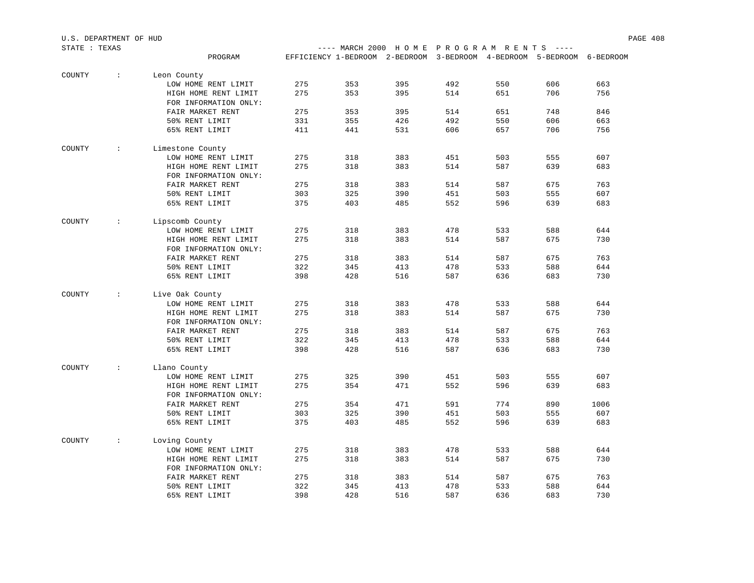| STATE : TEXAS |                      |                       |     | ---- MARCH 2000 HOME PROGRAM RENTS ----                                |     |     |     |     |      |
|---------------|----------------------|-----------------------|-----|------------------------------------------------------------------------|-----|-----|-----|-----|------|
|               |                      | PROGRAM               |     | EFFICIENCY 1-BEDROOM 2-BEDROOM 3-BEDROOM 4-BEDROOM 5-BEDROOM 6-BEDROOM |     |     |     |     |      |
| COUNTY        | $\sim$               | Leon County           |     |                                                                        |     |     |     |     |      |
|               |                      | LOW HOME RENT LIMIT   | 275 | 353                                                                    | 395 | 492 | 550 | 606 | 663  |
|               |                      | HIGH HOME RENT LIMIT  | 275 | 353                                                                    | 395 | 514 | 651 | 706 | 756  |
|               |                      | FOR INFORMATION ONLY: |     |                                                                        |     |     |     |     |      |
|               |                      | FAIR MARKET RENT      | 275 | 353                                                                    | 395 | 514 | 651 | 748 | 846  |
|               |                      | 50% RENT LIMIT        | 331 | 355                                                                    | 426 | 492 | 550 | 606 | 663  |
|               |                      | 65% RENT LIMIT        | 411 | 441                                                                    | 531 | 606 | 657 | 706 | 756  |
| COUNTY        | $\mathcal{L}$        | Limestone County      |     |                                                                        |     |     |     |     |      |
|               |                      | LOW HOME RENT LIMIT   | 275 | 318                                                                    | 383 | 451 | 503 | 555 | 607  |
|               |                      | HIGH HOME RENT LIMIT  | 275 | 318                                                                    | 383 | 514 | 587 | 639 | 683  |
|               |                      | FOR INFORMATION ONLY: |     |                                                                        |     |     |     |     |      |
|               |                      | FAIR MARKET RENT      | 275 | 318                                                                    | 383 | 514 | 587 | 675 | 763  |
|               |                      | 50% RENT LIMIT        | 303 | 325                                                                    | 390 | 451 | 503 | 555 | 607  |
|               |                      | 65% RENT LIMIT        | 375 | 403                                                                    | 485 | 552 | 596 | 639 | 683  |
| COUNTY        | $\ddot{\phantom{a}}$ | Lipscomb County       |     |                                                                        |     |     |     |     |      |
|               |                      | LOW HOME RENT LIMIT   | 275 | 318                                                                    | 383 | 478 | 533 | 588 | 644  |
|               |                      | HIGH HOME RENT LIMIT  | 275 | 318                                                                    | 383 | 514 | 587 | 675 | 730  |
|               |                      | FOR INFORMATION ONLY: |     |                                                                        |     |     |     |     |      |
|               |                      | FAIR MARKET RENT      | 275 | 318                                                                    | 383 | 514 | 587 | 675 | 763  |
|               |                      | 50% RENT LIMIT        | 322 | 345                                                                    | 413 | 478 | 533 | 588 | 644  |
|               |                      | 65% RENT LIMIT        | 398 | 428                                                                    | 516 | 587 | 636 | 683 | 730  |
| COUNTY        | $\ddot{\phantom{0}}$ | Live Oak County       |     |                                                                        |     |     |     |     |      |
|               |                      | LOW HOME RENT LIMIT   | 275 | 318                                                                    | 383 | 478 | 533 | 588 | 644  |
|               |                      | HIGH HOME RENT LIMIT  | 275 | 318                                                                    | 383 | 514 | 587 | 675 | 730  |
|               |                      | FOR INFORMATION ONLY: |     |                                                                        |     |     |     |     |      |
|               |                      | FAIR MARKET RENT      | 275 | 318                                                                    | 383 | 514 | 587 | 675 | 763  |
|               |                      | 50% RENT LIMIT        | 322 | 345                                                                    | 413 | 478 | 533 | 588 | 644  |
|               |                      | 65% RENT LIMIT        | 398 | 428                                                                    | 516 | 587 | 636 | 683 | 730  |
| COUNTY        | $\mathcal{L}$        | Llano County          |     |                                                                        |     |     |     |     |      |
|               |                      | LOW HOME RENT LIMIT   | 275 | 325                                                                    | 390 | 451 | 503 | 555 | 607  |
|               |                      | HIGH HOME RENT LIMIT  | 275 | 354                                                                    | 471 | 552 | 596 | 639 | 683  |
|               |                      | FOR INFORMATION ONLY: |     |                                                                        |     |     |     |     |      |
|               |                      | FAIR MARKET RENT      | 275 | 354                                                                    | 471 | 591 | 774 | 890 | 1006 |
|               |                      | 50% RENT LIMIT        | 303 | 325                                                                    | 390 | 451 | 503 | 555 | 607  |
|               |                      | 65% RENT LIMIT        | 375 | 403                                                                    | 485 | 552 | 596 | 639 | 683  |
| COUNTY        | $\mathcal{L}$        | Loving County         |     |                                                                        |     |     |     |     |      |
|               |                      | LOW HOME RENT LIMIT   | 275 | 318                                                                    | 383 | 478 | 533 | 588 | 644  |
|               |                      | HIGH HOME RENT LIMIT  | 275 | 318                                                                    | 383 | 514 | 587 | 675 | 730  |
|               |                      | FOR INFORMATION ONLY: |     |                                                                        |     |     |     |     |      |
|               |                      | FAIR MARKET RENT      | 275 | 318                                                                    | 383 | 514 | 587 | 675 | 763  |
|               |                      | 50% RENT LIMIT        | 322 | 345                                                                    | 413 | 478 | 533 | 588 | 644  |
|               |                      | 65% RENT LIMIT        | 398 | 428                                                                    | 516 | 587 | 636 | 683 | 730  |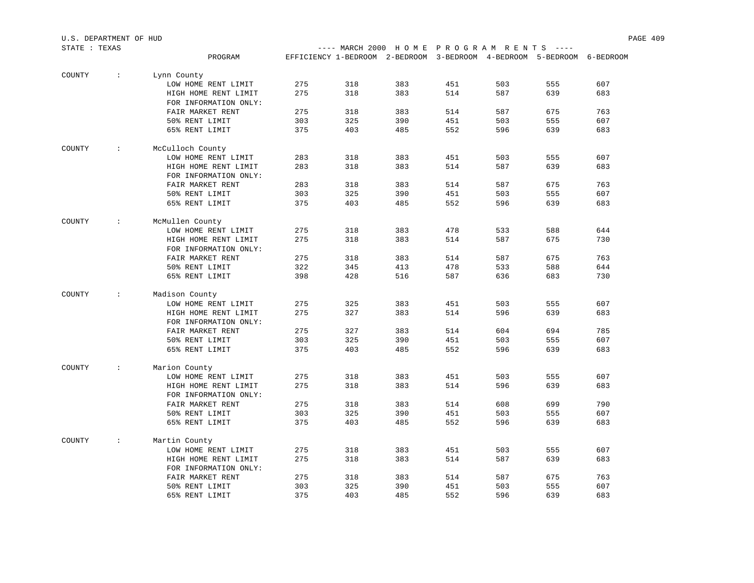| STATE : TEXAS |                      |                                               |     |     | ---- MARCH 2000 HOME PROGRAM RENTS ----                                |     |     |     |     |
|---------------|----------------------|-----------------------------------------------|-----|-----|------------------------------------------------------------------------|-----|-----|-----|-----|
|               |                      | PROGRAM                                       |     |     | EFFICIENCY 1-BEDROOM 2-BEDROOM 3-BEDROOM 4-BEDROOM 5-BEDROOM 6-BEDROOM |     |     |     |     |
| COUNTY        | $\ddot{\phantom{a}}$ | Lynn County                                   |     |     |                                                                        |     |     |     |     |
|               |                      | LOW HOME RENT LIMIT                           | 275 | 318 | 383                                                                    | 451 | 503 | 555 | 607 |
|               |                      | HIGH HOME RENT LIMIT                          | 275 | 318 | 383                                                                    | 514 | 587 | 639 | 683 |
|               |                      | FOR INFORMATION ONLY:                         |     |     |                                                                        |     |     |     |     |
|               |                      | FAIR MARKET RENT                              | 275 | 318 | 383                                                                    | 514 | 587 | 675 | 763 |
|               |                      | 50% RENT LIMIT                                | 303 | 325 | 390                                                                    | 451 | 503 | 555 | 607 |
|               |                      | 65% RENT LIMIT                                | 375 | 403 | 485                                                                    | 552 | 596 | 639 | 683 |
| COUNTY        | $\cdot$ :            | McCulloch County                              |     |     |                                                                        |     |     |     |     |
|               |                      | LOW HOME RENT LIMIT                           | 283 | 318 | 383                                                                    | 451 | 503 | 555 | 607 |
|               |                      | HIGH HOME RENT LIMIT                          | 283 | 318 | 383                                                                    | 514 | 587 | 639 | 683 |
|               |                      | FOR INFORMATION ONLY:                         |     |     |                                                                        |     |     |     |     |
|               |                      | FAIR MARKET RENT                              | 283 | 318 | 383                                                                    | 514 | 587 | 675 | 763 |
|               |                      | 50% RENT LIMIT                                | 303 | 325 | 390                                                                    | 451 | 503 | 555 | 607 |
|               |                      | 65% RENT LIMIT                                | 375 | 403 | 485                                                                    | 552 | 596 | 639 | 683 |
| COUNTY        | $\cdot$ :            | McMullen County                               |     |     |                                                                        |     |     |     |     |
|               |                      | LOW HOME RENT LIMIT                           | 275 | 318 | 383                                                                    | 478 | 533 | 588 | 644 |
|               |                      | HIGH HOME RENT LIMIT                          | 275 | 318 | 383                                                                    | 514 | 587 | 675 | 730 |
|               |                      | FOR INFORMATION ONLY:                         |     |     |                                                                        |     |     |     |     |
|               |                      | FAIR MARKET RENT                              | 275 | 318 | 383                                                                    | 514 | 587 | 675 | 763 |
|               |                      | 50% RENT LIMIT                                | 322 | 345 | 413                                                                    | 478 | 533 | 588 | 644 |
|               |                      | 65% RENT LIMIT                                | 398 | 428 | 516                                                                    | 587 | 636 | 683 | 730 |
| COUNTY        | $\cdot$ :            | Madison County                                |     |     |                                                                        |     |     |     |     |
|               |                      | LOW HOME RENT LIMIT                           | 275 | 325 | 383                                                                    | 451 | 503 | 555 | 607 |
|               |                      | HIGH HOME RENT LIMIT                          | 275 | 327 | 383                                                                    | 514 | 596 | 639 | 683 |
|               |                      | FOR INFORMATION ONLY:                         |     |     |                                                                        |     |     |     |     |
|               |                      | FAIR MARKET RENT                              | 275 | 327 | 383                                                                    | 514 | 604 | 694 | 785 |
|               |                      | 50% RENT LIMIT                                | 303 | 325 | 390                                                                    | 451 | 503 | 555 | 607 |
|               |                      | 65% RENT LIMIT                                | 375 | 403 | 485                                                                    | 552 | 596 | 639 | 683 |
| COUNTY        | $\ddot{\phantom{0}}$ | Marion County                                 |     |     |                                                                        |     |     |     |     |
|               |                      | LOW HOME RENT LIMIT                           | 275 | 318 | 383                                                                    | 451 | 503 | 555 | 607 |
|               |                      | HIGH HOME RENT LIMIT                          | 275 | 318 | 383                                                                    | 514 | 596 | 639 | 683 |
|               |                      | FOR INFORMATION ONLY:                         |     |     |                                                                        |     |     |     |     |
|               |                      | FAIR MARKET RENT                              | 275 | 318 | 383                                                                    | 514 | 608 | 699 | 790 |
|               |                      | 50% RENT LIMIT                                | 303 | 325 | 390                                                                    | 451 | 503 | 555 | 607 |
|               |                      | 65% RENT LIMIT                                | 375 | 403 | 485                                                                    | 552 | 596 | 639 | 683 |
| COUNTY        | $\mathcal{L}$        | Martin County                                 |     |     |                                                                        |     |     |     |     |
|               |                      | LOW HOME RENT LIMIT                           | 275 | 318 | 383                                                                    | 451 | 503 | 555 | 607 |
|               |                      | HIGH HOME RENT LIMIT<br>FOR INFORMATION ONLY: | 275 | 318 | 383                                                                    | 514 | 587 | 639 | 683 |
|               |                      | FAIR MARKET RENT                              | 275 | 318 | 383                                                                    | 514 | 587 | 675 | 763 |
|               |                      | 50% RENT LIMIT                                | 303 | 325 | 390                                                                    | 451 | 503 | 555 | 607 |
|               |                      | 65% RENT LIMIT                                | 375 | 403 | 485                                                                    | 552 | 596 | 639 | 683 |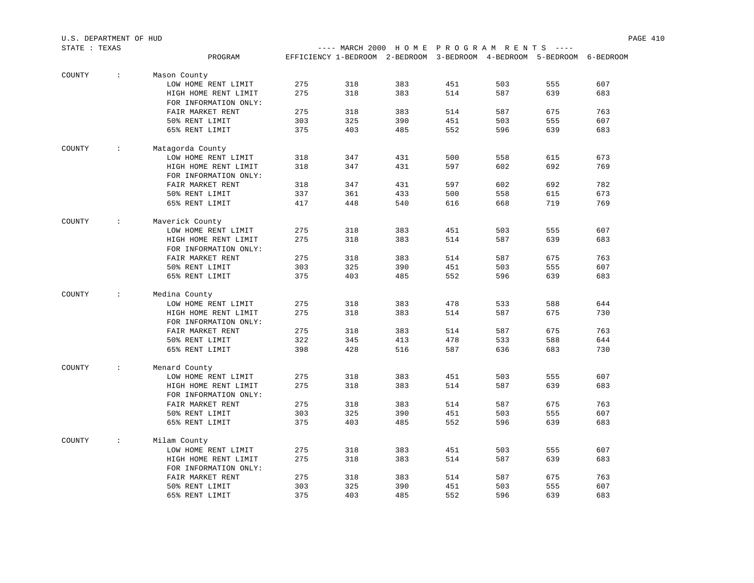| STATE : TEXAS |                        |                                               |     |     | ---- MARCH 2000 HOME PROGRAM RENTS ---- |     |     |                                                                        |     |
|---------------|------------------------|-----------------------------------------------|-----|-----|-----------------------------------------|-----|-----|------------------------------------------------------------------------|-----|
|               |                        | PROGRAM                                       |     |     |                                         |     |     | EFFICIENCY 1-BEDROOM 2-BEDROOM 3-BEDROOM 4-BEDROOM 5-BEDROOM 6-BEDROOM |     |
| COUNTY        | $\ddot{\phantom{a}}$ : | Mason County                                  |     |     |                                         |     |     |                                                                        |     |
|               |                        | LOW HOME RENT LIMIT                           | 275 | 318 | 383                                     | 451 | 503 | 555                                                                    | 607 |
|               |                        | HIGH HOME RENT LIMIT                          | 275 | 318 | 383                                     | 514 | 587 | 639                                                                    | 683 |
|               |                        | FOR INFORMATION ONLY:                         |     |     |                                         |     |     |                                                                        |     |
|               |                        | FAIR MARKET RENT                              | 275 | 318 | 383                                     | 514 | 587 | 675                                                                    | 763 |
|               |                        | 50% RENT LIMIT                                | 303 | 325 | 390                                     | 451 | 503 | 555                                                                    | 607 |
|               |                        | 65% RENT LIMIT                                | 375 | 403 | 485                                     | 552 | 596 | 639                                                                    | 683 |
| COUNTY        | $\sim$ 100 $\pm$       | Matagorda County                              |     |     |                                         |     |     |                                                                        |     |
|               |                        | LOW HOME RENT LIMIT                           | 318 | 347 | 431                                     | 500 | 558 | 615                                                                    | 673 |
|               |                        | HIGH HOME RENT LIMIT                          | 318 | 347 | 431                                     | 597 | 602 | 692                                                                    | 769 |
|               |                        | FOR INFORMATION ONLY:                         |     |     |                                         |     |     |                                                                        |     |
|               |                        | FAIR MARKET RENT                              | 318 | 347 | 431                                     | 597 | 602 | 692                                                                    | 782 |
|               |                        | 50% RENT LIMIT                                | 337 | 361 | 433                                     | 500 | 558 | 615                                                                    | 673 |
|               |                        | 65% RENT LIMIT                                | 417 | 448 | 540                                     | 616 | 668 | 719                                                                    | 769 |
| COUNTY        | $\sim$ 100 $\pm$       | Maverick County                               |     |     |                                         |     |     |                                                                        |     |
|               |                        | LOW HOME RENT LIMIT                           | 275 | 318 | 383                                     | 451 | 503 | 555                                                                    | 607 |
|               |                        | HIGH HOME RENT LIMIT                          | 275 | 318 | 383                                     | 514 | 587 | 639                                                                    | 683 |
|               |                        | FOR INFORMATION ONLY:                         |     |     |                                         |     |     |                                                                        |     |
|               |                        | FAIR MARKET RENT                              | 275 | 318 | 383                                     | 514 | 587 | 675                                                                    | 763 |
|               |                        | 50% RENT LIMIT                                | 303 | 325 | 390                                     | 451 | 503 | 555                                                                    | 607 |
|               |                        | 65% RENT LIMIT                                | 375 | 403 | 485                                     | 552 | 596 | 639                                                                    | 683 |
| COUNTY        | $\sim$ 100 $\pm$       | Medina County                                 |     |     |                                         |     |     |                                                                        |     |
|               |                        | LOW HOME RENT LIMIT                           | 275 | 318 | 383                                     | 478 | 533 | 588                                                                    | 644 |
|               |                        | HIGH HOME RENT LIMIT                          | 275 | 318 | 383                                     | 514 | 587 | 675                                                                    | 730 |
|               |                        | FOR INFORMATION ONLY:                         |     |     |                                         |     |     |                                                                        |     |
|               |                        | FAIR MARKET RENT                              | 275 | 318 | 383                                     | 514 | 587 | 675                                                                    | 763 |
|               |                        | 50% RENT LIMIT                                | 322 | 345 | 413                                     | 478 | 533 | 588                                                                    | 644 |
|               |                        | 65% RENT LIMIT                                | 398 | 428 | 516                                     | 587 | 636 | 683                                                                    | 730 |
| COUNTY        | $\sim$ 1.1             | Menard County                                 |     |     |                                         |     |     |                                                                        |     |
|               |                        | LOW HOME RENT LIMIT                           | 275 | 318 | 383                                     | 451 | 503 | 555                                                                    | 607 |
|               |                        | HIGH HOME RENT LIMIT                          | 275 | 318 | 383                                     | 514 | 587 | 639                                                                    | 683 |
|               |                        | FOR INFORMATION ONLY:                         |     |     |                                         |     |     |                                                                        |     |
|               |                        | FAIR MARKET RENT                              | 275 | 318 | 383                                     | 514 | 587 | 675                                                                    | 763 |
|               |                        | 50% RENT LIMIT                                | 303 | 325 | 390                                     | 451 | 503 | 555                                                                    | 607 |
|               |                        | 65% RENT LIMIT                                | 375 | 403 | 485                                     | 552 | 596 | 639                                                                    | 683 |
| COUNTY        | $\mathcal{L}$          | Milam County                                  |     |     |                                         |     |     |                                                                        |     |
|               |                        | LOW HOME RENT LIMIT                           | 275 | 318 | 383                                     | 451 | 503 | 555                                                                    | 607 |
|               |                        | HIGH HOME RENT LIMIT<br>FOR INFORMATION ONLY: | 275 | 318 | 383                                     | 514 | 587 | 639                                                                    | 683 |
|               |                        | FAIR MARKET RENT                              | 275 | 318 | 383                                     | 514 | 587 | 675                                                                    | 763 |
|               |                        | 50% RENT LIMIT                                | 303 | 325 | 390                                     | 451 | 503 | 555                                                                    | 607 |
|               |                        | 65% RENT LIMIT                                | 375 | 403 | 485                                     | 552 | 596 | 639                                                                    | 683 |
|               |                        |                                               |     |     |                                         |     |     |                                                                        |     |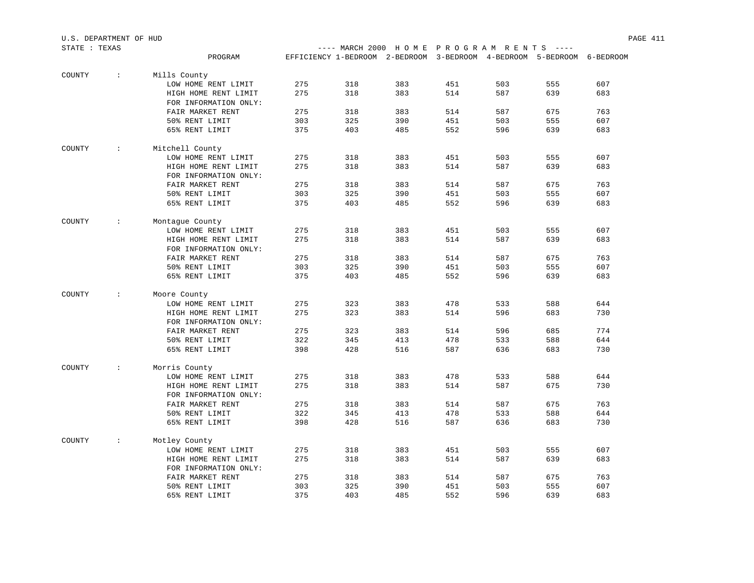| STATE : TEXAS |                      |                       |     | ---- MARCH 2000 HOME PROGRAM RENTS ----                                |     |     |     |     |     |
|---------------|----------------------|-----------------------|-----|------------------------------------------------------------------------|-----|-----|-----|-----|-----|
|               |                      | PROGRAM               |     | EFFICIENCY 1-BEDROOM 2-BEDROOM 3-BEDROOM 4-BEDROOM 5-BEDROOM 6-BEDROOM |     |     |     |     |     |
|               |                      |                       |     |                                                                        |     |     |     |     |     |
| COUNTY        | $\sim$               | Mills County          |     |                                                                        |     |     |     |     |     |
|               |                      | LOW HOME RENT LIMIT   | 275 | 318                                                                    | 383 | 451 | 503 | 555 | 607 |
|               |                      | HIGH HOME RENT LIMIT  | 275 | 318                                                                    | 383 | 514 | 587 | 639 | 683 |
|               |                      | FOR INFORMATION ONLY: |     |                                                                        |     |     |     |     |     |
|               |                      | FAIR MARKET RENT      | 275 | 318                                                                    | 383 | 514 | 587 | 675 | 763 |
|               |                      | 50% RENT LIMIT        | 303 | 325                                                                    | 390 | 451 | 503 | 555 | 607 |
|               |                      | 65% RENT LIMIT        | 375 | 403                                                                    | 485 | 552 | 596 | 639 | 683 |
| COUNTY        | $\ddot{\phantom{0}}$ | Mitchell County       |     |                                                                        |     |     |     |     |     |
|               |                      | LOW HOME RENT LIMIT   | 275 | 318                                                                    | 383 | 451 | 503 | 555 | 607 |
|               |                      | HIGH HOME RENT LIMIT  | 275 | 318                                                                    | 383 | 514 | 587 | 639 | 683 |
|               |                      | FOR INFORMATION ONLY: |     |                                                                        |     |     |     |     |     |
|               |                      | FAIR MARKET RENT      | 275 | 318                                                                    | 383 | 514 | 587 | 675 | 763 |
|               |                      | 50% RENT LIMIT        | 303 | 325                                                                    | 390 | 451 | 503 | 555 | 607 |
|               |                      | 65% RENT LIMIT        | 375 | 403                                                                    | 485 | 552 | 596 | 639 | 683 |
|               |                      |                       |     |                                                                        |     |     |     |     |     |
| COUNTY        | $\ddot{\phantom{a}}$ | Montague County       |     |                                                                        |     |     |     |     |     |
|               |                      | LOW HOME RENT LIMIT   | 275 | 318                                                                    | 383 | 451 | 503 | 555 | 607 |
|               |                      | HIGH HOME RENT LIMIT  | 275 | 318                                                                    | 383 | 514 | 587 | 639 | 683 |
|               |                      | FOR INFORMATION ONLY: |     |                                                                        |     |     |     |     |     |
|               |                      | FAIR MARKET RENT      | 275 | 318                                                                    | 383 | 514 | 587 | 675 | 763 |
|               |                      | 50% RENT LIMIT        | 303 | 325                                                                    | 390 | 451 | 503 | 555 | 607 |
|               |                      | 65% RENT LIMIT        | 375 | 403                                                                    | 485 | 552 | 596 | 639 | 683 |
| COUNTY        | $\ddot{\phantom{a}}$ | Moore County          |     |                                                                        |     |     |     |     |     |
|               |                      | LOW HOME RENT LIMIT   | 275 | 323                                                                    | 383 | 478 | 533 | 588 | 644 |
|               |                      | HIGH HOME RENT LIMIT  | 275 | 323                                                                    | 383 | 514 | 596 | 683 | 730 |
|               |                      | FOR INFORMATION ONLY: |     |                                                                        |     |     |     |     |     |
|               |                      | FAIR MARKET RENT      | 275 | 323                                                                    | 383 | 514 | 596 | 685 | 774 |
|               |                      | 50% RENT LIMIT        | 322 | 345                                                                    | 413 | 478 | 533 | 588 | 644 |
|               |                      | 65% RENT LIMIT        | 398 | 428                                                                    | 516 | 587 | 636 | 683 | 730 |
| COUNTY        | $\ddot{\phantom{0}}$ | Morris County         |     |                                                                        |     |     |     |     |     |
|               |                      | LOW HOME RENT LIMIT   | 275 | 318                                                                    | 383 | 478 | 533 | 588 | 644 |
|               |                      | HIGH HOME RENT LIMIT  | 275 | 318                                                                    | 383 | 514 | 587 | 675 | 730 |
|               |                      | FOR INFORMATION ONLY: |     |                                                                        |     |     |     |     |     |
|               |                      | FAIR MARKET RENT      | 275 | 318                                                                    | 383 | 514 | 587 | 675 | 763 |
|               |                      | 50% RENT LIMIT        | 322 | 345                                                                    | 413 | 478 | 533 | 588 | 644 |
|               |                      | 65% RENT LIMIT        | 398 | 428                                                                    | 516 | 587 | 636 | 683 | 730 |
|               |                      |                       |     |                                                                        |     |     |     |     |     |
| COUNTY        | $\ddot{\phantom{a}}$ | Motley County         |     |                                                                        |     |     |     |     |     |
|               |                      | LOW HOME RENT LIMIT   | 275 | 318                                                                    | 383 | 451 | 503 | 555 | 607 |
|               |                      | HIGH HOME RENT LIMIT  | 275 | 318                                                                    | 383 | 514 | 587 | 639 | 683 |
|               |                      | FOR INFORMATION ONLY: |     |                                                                        |     |     |     |     |     |
|               |                      | FAIR MARKET RENT      | 275 | 318                                                                    | 383 | 514 | 587 | 675 | 763 |
|               |                      | 50% RENT LIMIT        | 303 | 325                                                                    | 390 | 451 | 503 | 555 | 607 |
|               |                      | 65% RENT LIMIT        | 375 | 403                                                                    | 485 | 552 | 596 | 639 | 683 |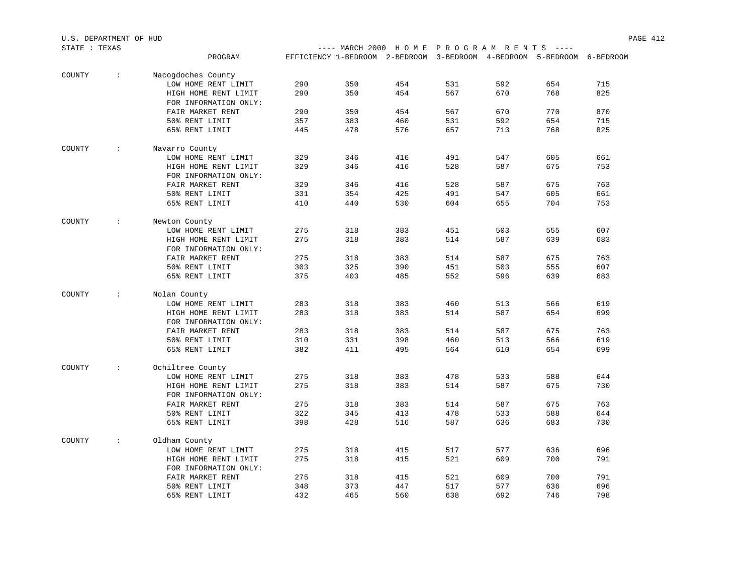| STATE : TEXAS |                 |                       |     |     | ---- MARCH 2000 HOME PROGRAM RENTS ----                                |     |     |     |     |
|---------------|-----------------|-----------------------|-----|-----|------------------------------------------------------------------------|-----|-----|-----|-----|
|               |                 | PROGRAM               |     |     | EFFICIENCY 1-BEDROOM 2-BEDROOM 3-BEDROOM 4-BEDROOM 5-BEDROOM 6-BEDROOM |     |     |     |     |
| COUNTY        | $\sim 100$      | Nacogdoches County    |     |     |                                                                        |     |     |     |     |
|               |                 | LOW HOME RENT LIMIT   | 290 | 350 | 454                                                                    | 531 | 592 | 654 | 715 |
|               |                 | HIGH HOME RENT LIMIT  | 290 | 350 | 454                                                                    | 567 | 670 | 768 | 825 |
|               |                 | FOR INFORMATION ONLY: |     |     |                                                                        |     |     |     |     |
|               |                 | FAIR MARKET RENT      | 290 | 350 | 454                                                                    | 567 | 670 | 770 | 870 |
|               |                 | 50% RENT LIMIT        | 357 | 383 | 460                                                                    | 531 | 592 | 654 | 715 |
|               |                 | 65% RENT LIMIT        | 445 | 478 | 576                                                                    | 657 | 713 | 768 | 825 |
| COUNTY        | <b>Contract</b> | Navarro County        |     |     |                                                                        |     |     |     |     |
|               |                 | LOW HOME RENT LIMIT   | 329 | 346 | 416                                                                    | 491 | 547 | 605 | 661 |
|               |                 | HIGH HOME RENT LIMIT  | 329 | 346 | 416                                                                    | 528 | 587 | 675 | 753 |
|               |                 | FOR INFORMATION ONLY: |     |     |                                                                        |     |     |     |     |
|               |                 | FAIR MARKET RENT      | 329 | 346 | 416                                                                    | 528 | 587 | 675 | 763 |
|               |                 | 50% RENT LIMIT        | 331 | 354 | 425                                                                    | 491 | 547 | 605 | 661 |
|               |                 | 65% RENT LIMIT        | 410 | 440 | 530                                                                    | 604 | 655 | 704 | 753 |
| COUNTY        | $\mathcal{L}$   | Newton County         |     |     |                                                                        |     |     |     |     |
|               |                 | LOW HOME RENT LIMIT   | 275 | 318 | 383                                                                    | 451 | 503 | 555 | 607 |
|               |                 | HIGH HOME RENT LIMIT  | 275 | 318 | 383                                                                    | 514 | 587 | 639 | 683 |
|               |                 | FOR INFORMATION ONLY: |     |     |                                                                        |     |     |     |     |
|               |                 | FAIR MARKET RENT      | 275 | 318 | 383                                                                    | 514 | 587 | 675 | 763 |
|               |                 | 50% RENT LIMIT        | 303 | 325 | 390                                                                    | 451 | 503 | 555 | 607 |
|               |                 | 65% RENT LIMIT        | 375 | 403 | 485                                                                    | 552 | 596 | 639 | 683 |
| COUNTY        | $\mathcal{L}$   | Nolan County          |     |     |                                                                        |     |     |     |     |
|               |                 | LOW HOME RENT LIMIT   | 283 | 318 | 383                                                                    | 460 | 513 | 566 | 619 |
|               |                 | HIGH HOME RENT LIMIT  | 283 | 318 | 383                                                                    | 514 | 587 | 654 | 699 |
|               |                 | FOR INFORMATION ONLY: |     |     |                                                                        |     |     |     |     |
|               |                 | FAIR MARKET RENT      | 283 | 318 | 383                                                                    | 514 | 587 | 675 | 763 |
|               |                 | 50% RENT LIMIT        | 310 | 331 | 398                                                                    | 460 | 513 | 566 | 619 |
|               |                 | 65% RENT LIMIT        | 382 | 411 | 495                                                                    | 564 | 610 | 654 | 699 |
| COUNTY        | $\mathcal{L}$   | Ochiltree County      |     |     |                                                                        |     |     |     |     |
|               |                 | LOW HOME RENT LIMIT   | 275 | 318 | 383                                                                    | 478 | 533 | 588 | 644 |
|               |                 | HIGH HOME RENT LIMIT  | 275 | 318 | 383                                                                    | 514 | 587 | 675 | 730 |
|               |                 | FOR INFORMATION ONLY: |     |     |                                                                        |     |     |     |     |
|               |                 | FAIR MARKET RENT      | 275 | 318 | 383                                                                    | 514 | 587 | 675 | 763 |
|               |                 | 50% RENT LIMIT        | 322 | 345 | 413                                                                    | 478 | 533 | 588 | 644 |
|               |                 | 65% RENT LIMIT        | 398 | 428 | 516                                                                    | 587 | 636 | 683 | 730 |
| COUNTY        | $\mathcal{L}$   | Oldham County         |     |     |                                                                        |     |     |     |     |
|               |                 | LOW HOME RENT LIMIT   | 275 | 318 | 415                                                                    | 517 | 577 | 636 | 696 |
|               |                 | HIGH HOME RENT LIMIT  | 275 | 318 | 415                                                                    | 521 | 609 | 700 | 791 |
|               |                 | FOR INFORMATION ONLY: |     |     |                                                                        |     |     |     |     |
|               |                 | FAIR MARKET RENT      | 275 | 318 | 415                                                                    | 521 | 609 | 700 | 791 |
|               |                 | 50% RENT LIMIT        | 348 | 373 | 447                                                                    | 517 | 577 | 636 | 696 |
|               |                 | 65% RENT LIMIT        | 432 | 465 | 560                                                                    | 638 | 692 | 746 | 798 |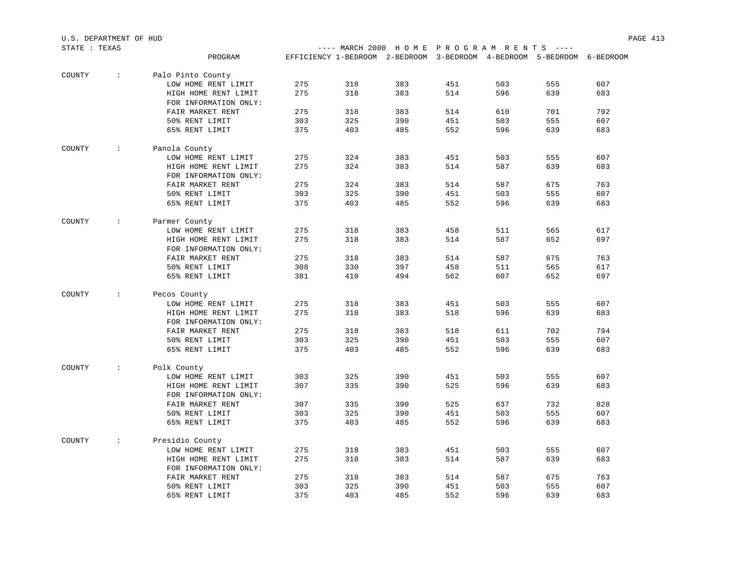| STATE : TEXAS |                                   |                       |     |     | ---- MARCH 2000 HOME PROGRAM RENTS ----                                |     |     |     |     |
|---------------|-----------------------------------|-----------------------|-----|-----|------------------------------------------------------------------------|-----|-----|-----|-----|
|               |                                   | PROGRAM               |     |     | EFFICIENCY 1-BEDROOM 2-BEDROOM 3-BEDROOM 4-BEDROOM 5-BEDROOM 6-BEDROOM |     |     |     |     |
| COUNTY        | $\sim 100$                        | Palo Pinto County     |     |     |                                                                        |     |     |     |     |
|               |                                   | LOW HOME RENT LIMIT   | 275 | 318 | 383                                                                    | 451 | 503 | 555 | 607 |
|               |                                   | HIGH HOME RENT LIMIT  | 275 | 318 | 383                                                                    | 514 | 596 | 639 | 683 |
|               |                                   | FOR INFORMATION ONLY: |     |     |                                                                        |     |     |     |     |
|               |                                   | FAIR MARKET RENT      | 275 | 318 | 383                                                                    | 514 | 610 | 701 | 792 |
|               |                                   | 50% RENT LIMIT        | 303 | 325 | 390                                                                    | 451 | 503 | 555 | 607 |
|               |                                   | 65% RENT LIMIT        | 375 | 403 | 485                                                                    | 552 | 596 | 639 | 683 |
| COUNTY        | <b>Contractor</b>                 | Panola County         |     |     |                                                                        |     |     |     |     |
|               |                                   | LOW HOME RENT LIMIT   | 275 | 324 | 383                                                                    | 451 | 503 | 555 | 607 |
|               |                                   | HIGH HOME RENT LIMIT  | 275 | 324 | 383                                                                    | 514 | 587 | 639 | 683 |
|               |                                   | FOR INFORMATION ONLY: |     |     |                                                                        |     |     |     |     |
|               |                                   | FAIR MARKET RENT      | 275 | 324 | 383                                                                    | 514 | 587 | 675 | 763 |
|               |                                   | 50% RENT LIMIT        | 303 | 325 | 390                                                                    | 451 | 503 | 555 | 607 |
|               |                                   | 65% RENT LIMIT        | 375 | 403 | 485                                                                    | 552 | 596 | 639 | 683 |
| COUNTY        | <b>Contractor</b>                 | Parmer County         |     |     |                                                                        |     |     |     |     |
|               |                                   | LOW HOME RENT LIMIT   | 275 | 318 | 383                                                                    | 458 | 511 | 565 | 617 |
|               |                                   | HIGH HOME RENT LIMIT  | 275 | 318 | 383                                                                    | 514 | 587 | 652 | 697 |
|               |                                   | FOR INFORMATION ONLY: |     |     |                                                                        |     |     |     |     |
|               |                                   | FAIR MARKET RENT      | 275 | 318 | 383                                                                    | 514 | 587 | 675 | 763 |
|               |                                   | 50% RENT LIMIT        | 308 | 330 | 397                                                                    | 458 | 511 | 565 | 617 |
|               |                                   | 65% RENT LIMIT        | 381 | 410 | 494                                                                    | 562 | 607 | 652 | 697 |
| COUNTY        | $\sim 1000$ km s $^{-1}$          | Pecos County          |     |     |                                                                        |     |     |     |     |
|               |                                   | LOW HOME RENT LIMIT   | 275 | 318 | 383                                                                    | 451 | 503 | 555 | 607 |
|               |                                   | HIGH HOME RENT LIMIT  | 275 | 318 | 383                                                                    | 518 | 596 | 639 | 683 |
|               |                                   | FOR INFORMATION ONLY: |     |     |                                                                        |     |     |     |     |
|               |                                   | FAIR MARKET RENT      | 275 | 318 | 383                                                                    | 518 | 611 | 702 | 794 |
|               |                                   | 50% RENT LIMIT        | 303 | 325 | 390                                                                    | 451 | 503 | 555 | 607 |
|               |                                   | 65% RENT LIMIT        | 375 | 403 | 485                                                                    | 552 | 596 | 639 | 683 |
| COUNTY        | $\mathcal{X} \subset \mathcal{X}$ | Polk County           |     |     |                                                                        |     |     |     |     |
|               |                                   | LOW HOME RENT LIMIT   | 303 | 325 | 390                                                                    | 451 | 503 | 555 | 607 |
|               |                                   | HIGH HOME RENT LIMIT  | 307 | 335 | 390                                                                    | 525 | 596 | 639 | 683 |
|               |                                   | FOR INFORMATION ONLY: |     |     |                                                                        |     |     |     |     |
|               |                                   | FAIR MARKET RENT      | 307 | 335 | 390                                                                    | 525 | 637 | 732 | 828 |
|               |                                   | 50% RENT LIMIT        | 303 | 325 | 390                                                                    | 451 | 503 | 555 | 607 |
|               |                                   | 65% RENT LIMIT        | 375 | 403 | 485                                                                    | 552 | 596 | 639 | 683 |
| COUNTY        | $\sim$                            | Presidio County       |     |     |                                                                        |     |     |     |     |
|               |                                   | LOW HOME RENT LIMIT   | 275 | 318 | 383                                                                    | 451 | 503 | 555 | 607 |
|               |                                   | HIGH HOME RENT LIMIT  | 275 | 318 | 383                                                                    | 514 | 587 | 639 | 683 |
|               |                                   | FOR INFORMATION ONLY: |     |     |                                                                        |     |     |     |     |
|               |                                   | FAIR MARKET RENT      | 275 | 318 | 383                                                                    | 514 | 587 | 675 | 763 |
|               |                                   | 50% RENT LIMIT        | 303 | 325 | 390                                                                    | 451 | 503 | 555 | 607 |
|               |                                   | 65% RENT LIMIT        | 375 | 403 | 485                                                                    | 552 | 596 | 639 | 683 |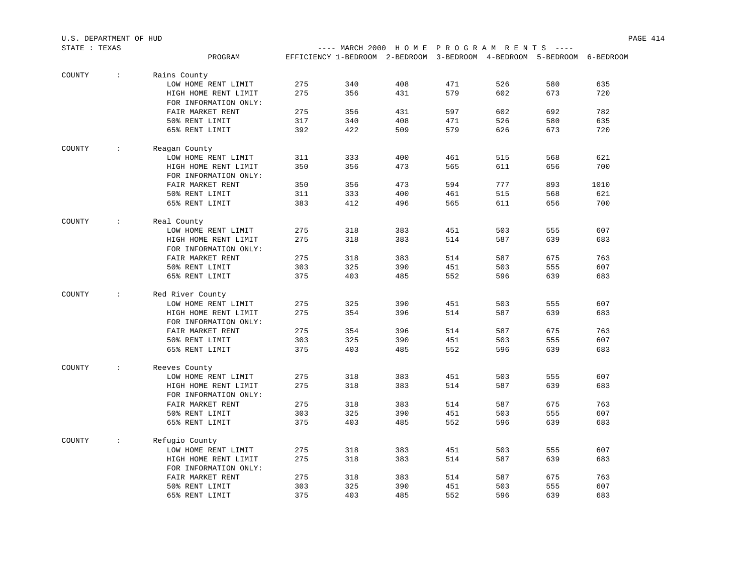| STATE : TEXAS |                   |                       |     |     | ---- MARCH 2000 HOME PROGRAM RENTS ----                                |     |     |     |      |
|---------------|-------------------|-----------------------|-----|-----|------------------------------------------------------------------------|-----|-----|-----|------|
|               |                   | PROGRAM               |     |     | EFFICIENCY 1-BEDROOM 2-BEDROOM 3-BEDROOM 4-BEDROOM 5-BEDROOM 6-BEDROOM |     |     |     |      |
| COUNTY        | $\mathbb{R}^2$    | Rains County          |     |     |                                                                        |     |     |     |      |
|               |                   | LOW HOME RENT LIMIT   | 275 | 340 | 408                                                                    | 471 | 526 | 580 | 635  |
|               |                   | HIGH HOME RENT LIMIT  | 275 | 356 | 431                                                                    | 579 | 602 | 673 | 720  |
|               |                   | FOR INFORMATION ONLY: |     |     |                                                                        |     |     |     |      |
|               |                   | FAIR MARKET RENT      | 275 | 356 | 431                                                                    | 597 | 602 | 692 | 782  |
|               |                   | 50% RENT LIMIT        | 317 | 340 | 408                                                                    | 471 | 526 | 580 | 635  |
|               |                   | 65% RENT LIMIT        | 392 | 422 | 509                                                                    | 579 | 626 | 673 | 720  |
| COUNTY        | $\sim$ 1.1        | Reagan County         |     |     |                                                                        |     |     |     |      |
|               |                   | LOW HOME RENT LIMIT   | 311 | 333 | 400                                                                    | 461 | 515 | 568 | 621  |
|               |                   | HIGH HOME RENT LIMIT  | 350 | 356 | 473                                                                    | 565 | 611 | 656 | 700  |
|               |                   | FOR INFORMATION ONLY: |     |     |                                                                        |     |     |     |      |
|               |                   | FAIR MARKET RENT      | 350 | 356 | 473                                                                    | 594 | 777 | 893 | 1010 |
|               |                   | 50% RENT LIMIT        | 311 | 333 | 400                                                                    | 461 | 515 | 568 | 621  |
|               |                   | 65% RENT LIMIT        | 383 | 412 | 496                                                                    | 565 | 611 | 656 | 700  |
| COUNTY        | $\sim$ 100 $\sim$ | Real County           |     |     |                                                                        |     |     |     |      |
|               |                   | LOW HOME RENT LIMIT   | 275 | 318 | 383                                                                    | 451 | 503 | 555 | 607  |
|               |                   | HIGH HOME RENT LIMIT  | 275 | 318 | 383                                                                    | 514 | 587 | 639 | 683  |
|               |                   | FOR INFORMATION ONLY: |     |     |                                                                        |     |     |     |      |
|               |                   | FAIR MARKET RENT      | 275 | 318 | 383                                                                    | 514 | 587 | 675 | 763  |
|               |                   | 50% RENT LIMIT        | 303 | 325 | 390                                                                    | 451 | 503 | 555 | 607  |
|               |                   | 65% RENT LIMIT        | 375 | 403 | 485                                                                    | 552 | 596 | 639 | 683  |
| COUNTY        | $\sim$ 100        | Red River County      |     |     |                                                                        |     |     |     |      |
|               |                   | LOW HOME RENT LIMIT   | 275 | 325 | 390                                                                    | 451 | 503 | 555 | 607  |
|               |                   | HIGH HOME RENT LIMIT  | 275 | 354 | 396                                                                    | 514 | 587 | 639 | 683  |
|               |                   | FOR INFORMATION ONLY: |     |     |                                                                        |     |     |     |      |
|               |                   | FAIR MARKET RENT      | 275 | 354 | 396                                                                    | 514 | 587 | 675 | 763  |
|               |                   | 50% RENT LIMIT        | 303 | 325 | 390                                                                    | 451 | 503 | 555 | 607  |
|               |                   | 65% RENT LIMIT        | 375 | 403 | 485                                                                    | 552 | 596 | 639 | 683  |
| COUNTY        | $\sim 100$        | Reeves County         |     |     |                                                                        |     |     |     |      |
|               |                   | LOW HOME RENT LIMIT   | 275 | 318 | 383                                                                    | 451 | 503 | 555 | 607  |
|               |                   | HIGH HOME RENT LIMIT  | 275 | 318 | 383                                                                    | 514 | 587 | 639 | 683  |
|               |                   | FOR INFORMATION ONLY: |     |     |                                                                        |     |     |     |      |
|               |                   | FAIR MARKET RENT      | 275 | 318 | 383                                                                    | 514 | 587 | 675 | 763  |
|               |                   | 50% RENT LIMIT        | 303 | 325 | 390                                                                    | 451 | 503 | 555 | 607  |
|               |                   | 65% RENT LIMIT        | 375 | 403 | 485                                                                    | 552 | 596 | 639 | 683  |
| COUNTY        | $\cdot$ :         | Refugio County        |     |     |                                                                        |     |     |     |      |
|               |                   | LOW HOME RENT LIMIT   | 275 | 318 | 383                                                                    | 451 | 503 | 555 | 607  |
|               |                   | HIGH HOME RENT LIMIT  | 275 | 318 | 383                                                                    | 514 | 587 | 639 | 683  |
|               |                   | FOR INFORMATION ONLY: |     |     |                                                                        |     |     |     |      |
|               |                   | FAIR MARKET RENT      | 275 | 318 | 383                                                                    | 514 | 587 | 675 | 763  |
|               |                   | 50% RENT LIMIT        | 303 | 325 | 390                                                                    | 451 | 503 | 555 | 607  |
|               |                   | 65% RENT LIMIT        | 375 | 403 | 485                                                                    | 552 | 596 | 639 | 683  |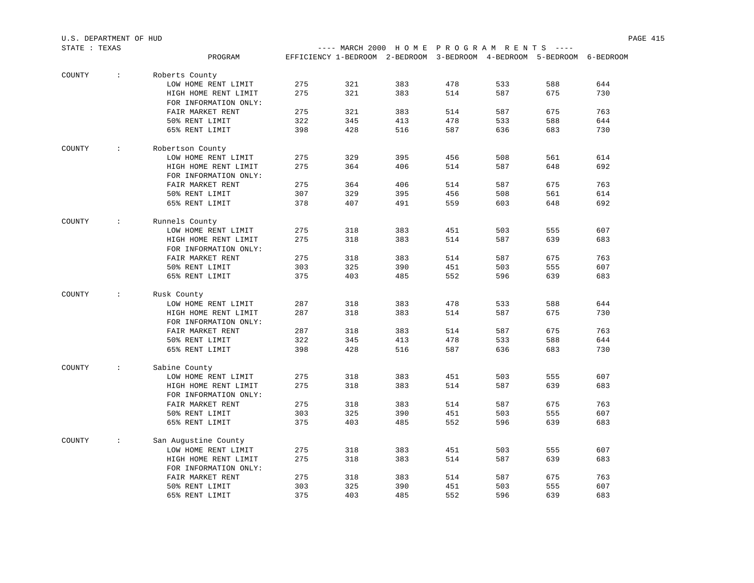| STATE : TEXAS |                      |                       |     | ---- MARCH 2000 HOME PROGRAM RENTS ----                                |     |     |     |     |     |
|---------------|----------------------|-----------------------|-----|------------------------------------------------------------------------|-----|-----|-----|-----|-----|
|               |                      | PROGRAM               |     | EFFICIENCY 1-BEDROOM 2-BEDROOM 3-BEDROOM 4-BEDROOM 5-BEDROOM 6-BEDROOM |     |     |     |     |     |
| COUNTY        | $\ddot{\phantom{a}}$ | Roberts County        |     |                                                                        |     |     |     |     |     |
|               |                      | LOW HOME RENT LIMIT   | 275 | 321                                                                    | 383 | 478 | 533 | 588 | 644 |
|               |                      | HIGH HOME RENT LIMIT  | 275 | 321                                                                    | 383 | 514 | 587 | 675 | 730 |
|               |                      | FOR INFORMATION ONLY: |     |                                                                        |     |     |     |     |     |
|               |                      | FAIR MARKET RENT      | 275 | 321                                                                    | 383 | 514 | 587 | 675 | 763 |
|               |                      | 50% RENT LIMIT        | 322 | 345                                                                    | 413 | 478 | 533 | 588 | 644 |
|               |                      | 65% RENT LIMIT        | 398 | 428                                                                    | 516 | 587 | 636 | 683 | 730 |
| COUNTY        | $\mathcal{L}$        | Robertson County      |     |                                                                        |     |     |     |     |     |
|               |                      | LOW HOME RENT LIMIT   | 275 | 329                                                                    | 395 | 456 | 508 | 561 | 614 |
|               |                      | HIGH HOME RENT LIMIT  | 275 | 364                                                                    | 406 | 514 | 587 | 648 | 692 |
|               |                      | FOR INFORMATION ONLY: |     |                                                                        |     |     |     |     |     |
|               |                      | FAIR MARKET RENT      | 275 | 364                                                                    | 406 | 514 | 587 | 675 | 763 |
|               |                      | 50% RENT LIMIT        | 307 | 329                                                                    | 395 | 456 | 508 | 561 | 614 |
|               |                      | 65% RENT LIMIT        | 378 | 407                                                                    | 491 | 559 | 603 | 648 | 692 |
|               |                      |                       |     |                                                                        |     |     |     |     |     |
| COUNTY        | $\mathcal{L}$        | Runnels County        |     |                                                                        |     |     |     |     |     |
|               |                      | LOW HOME RENT LIMIT   | 275 | 318                                                                    | 383 | 451 | 503 | 555 | 607 |
|               |                      | HIGH HOME RENT LIMIT  | 275 | 318                                                                    | 383 | 514 | 587 | 639 | 683 |
|               |                      | FOR INFORMATION ONLY: |     |                                                                        |     |     |     |     |     |
|               |                      | FAIR MARKET RENT      | 275 | 318                                                                    | 383 | 514 | 587 | 675 | 763 |
|               |                      | 50% RENT LIMIT        | 303 | 325                                                                    | 390 | 451 | 503 | 555 | 607 |
|               |                      | 65% RENT LIMIT        | 375 | 403                                                                    | 485 | 552 | 596 | 639 | 683 |
| COUNTY        | $\mathcal{L}$        | Rusk County           |     |                                                                        |     |     |     |     |     |
|               |                      | LOW HOME RENT LIMIT   | 287 | 318                                                                    | 383 | 478 | 533 | 588 | 644 |
|               |                      | HIGH HOME RENT LIMIT  | 287 | 318                                                                    | 383 | 514 | 587 | 675 | 730 |
|               |                      | FOR INFORMATION ONLY: |     |                                                                        |     |     |     |     |     |
|               |                      | FAIR MARKET RENT      | 287 | 318                                                                    | 383 | 514 | 587 | 675 | 763 |
|               |                      | 50% RENT LIMIT        | 322 | 345                                                                    | 413 | 478 | 533 | 588 | 644 |
|               |                      | 65% RENT LIMIT        | 398 | 428                                                                    | 516 | 587 | 636 | 683 | 730 |
| COUNTY        | $\mathcal{L}$        | Sabine County         |     |                                                                        |     |     |     |     |     |
|               |                      | LOW HOME RENT LIMIT   | 275 | 318                                                                    | 383 | 451 | 503 | 555 | 607 |
|               |                      | HIGH HOME RENT LIMIT  | 275 | 318                                                                    | 383 | 514 | 587 | 639 | 683 |
|               |                      | FOR INFORMATION ONLY: |     |                                                                        |     |     |     |     |     |
|               |                      | FAIR MARKET RENT      | 275 | 318                                                                    | 383 | 514 | 587 | 675 | 763 |
|               |                      | 50% RENT LIMIT        | 303 | 325                                                                    | 390 | 451 | 503 | 555 | 607 |
|               |                      | 65% RENT LIMIT        | 375 | 403                                                                    | 485 | 552 | 596 | 639 | 683 |
| COUNTY        | $\mathcal{L}$        | San Augustine County  |     |                                                                        |     |     |     |     |     |
|               |                      | LOW HOME RENT LIMIT   | 275 | 318                                                                    | 383 | 451 | 503 | 555 | 607 |
|               |                      | HIGH HOME RENT LIMIT  | 275 | 318                                                                    | 383 | 514 | 587 | 639 | 683 |
|               |                      | FOR INFORMATION ONLY: |     |                                                                        |     |     |     |     |     |
|               |                      | FAIR MARKET RENT      | 275 | 318                                                                    | 383 | 514 | 587 | 675 | 763 |
|               |                      | 50% RENT LIMIT        | 303 | 325                                                                    | 390 | 451 | 503 | 555 | 607 |
|               |                      | 65% RENT LIMIT        | 375 | 403                                                                    | 485 | 552 | 596 | 639 | 683 |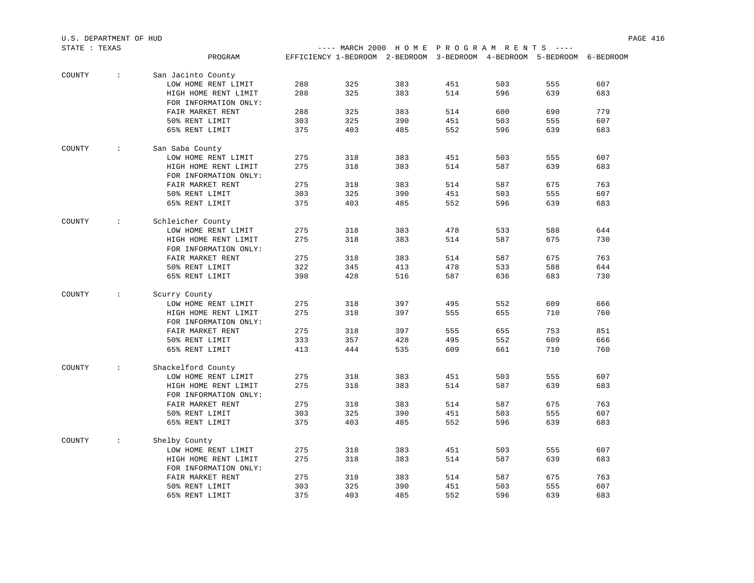| STATE : TEXAS |                   |                       |     |                                                                        |     | ---- MARCH 2000 HOME PROGRAM RENTS ---- |     |     |     |
|---------------|-------------------|-----------------------|-----|------------------------------------------------------------------------|-----|-----------------------------------------|-----|-----|-----|
|               |                   | PROGRAM               |     | EFFICIENCY 1-BEDROOM 2-BEDROOM 3-BEDROOM 4-BEDROOM 5-BEDROOM 6-BEDROOM |     |                                         |     |     |     |
| COUNTY        | $\sim 10$         | San Jacinto County    |     |                                                                        |     |                                         |     |     |     |
|               |                   | LOW HOME RENT LIMIT   | 288 | 325                                                                    | 383 | 451                                     | 503 | 555 | 607 |
|               |                   | HIGH HOME RENT LIMIT  | 288 | 325                                                                    | 383 | 514                                     | 596 | 639 | 683 |
|               |                   | FOR INFORMATION ONLY: |     |                                                                        |     |                                         |     |     |     |
|               |                   | FAIR MARKET RENT      | 288 | 325                                                                    | 383 | 514                                     | 600 | 690 | 779 |
|               |                   | 50% RENT LIMIT        | 303 | 325                                                                    | 390 | 451                                     | 503 | 555 | 607 |
|               |                   | 65% RENT LIMIT        | 375 | 403                                                                    | 485 | 552                                     | 596 | 639 | 683 |
| COUNTY        | $\sim$ 1.1        | San Saba County       |     |                                                                        |     |                                         |     |     |     |
|               |                   | LOW HOME RENT LIMIT   | 275 | 318                                                                    | 383 | 451                                     | 503 | 555 | 607 |
|               |                   | HIGH HOME RENT LIMIT  | 275 | 318                                                                    | 383 | 514                                     | 587 | 639 | 683 |
|               |                   | FOR INFORMATION ONLY: |     |                                                                        |     |                                         |     |     |     |
|               |                   | FAIR MARKET RENT      | 275 | 318                                                                    | 383 | 514                                     | 587 | 675 | 763 |
|               |                   | 50% RENT LIMIT        | 303 | 325                                                                    | 390 | 451                                     | 503 | 555 | 607 |
|               |                   | 65% RENT LIMIT        | 375 | 403                                                                    | 485 | 552                                     | 596 | 639 | 683 |
| COUNTY        | $\sim$ 100 $\pm$  | Schleicher County     |     |                                                                        |     |                                         |     |     |     |
|               |                   | LOW HOME RENT LIMIT   | 275 | 318                                                                    | 383 | 478                                     | 533 | 588 | 644 |
|               |                   | HIGH HOME RENT LIMIT  | 275 | 318                                                                    | 383 | 514                                     | 587 | 675 | 730 |
|               |                   | FOR INFORMATION ONLY: |     |                                                                        |     |                                         |     |     |     |
|               |                   | FAIR MARKET RENT      | 275 | 318                                                                    | 383 | 514                                     | 587 | 675 | 763 |
|               |                   | 50% RENT LIMIT        | 322 | 345                                                                    | 413 | 478                                     | 533 | 588 | 644 |
|               |                   | 65% RENT LIMIT        | 398 | 428                                                                    | 516 | 587                                     | 636 | 683 | 730 |
| COUNTY        | $\sim 100$        | Scurry County         |     |                                                                        |     |                                         |     |     |     |
|               |                   | LOW HOME RENT LIMIT   | 275 | 318                                                                    | 397 | 495                                     | 552 | 609 | 666 |
|               |                   | HIGH HOME RENT LIMIT  | 275 | 318                                                                    | 397 | 555                                     | 655 | 710 | 760 |
|               |                   | FOR INFORMATION ONLY: |     |                                                                        |     |                                         |     |     |     |
|               |                   | FAIR MARKET RENT      | 275 | 318                                                                    | 397 | 555                                     | 655 | 753 | 851 |
|               |                   | 50% RENT LIMIT        | 333 | 357                                                                    | 428 | 495                                     | 552 | 609 | 666 |
|               |                   | 65% RENT LIMIT        | 413 | 444                                                                    | 535 | 609                                     | 661 | 710 | 760 |
| COUNTY        | $\sim$ 100 $\sim$ | Shackelford County    |     |                                                                        |     |                                         |     |     |     |
|               |                   | LOW HOME RENT LIMIT   | 275 | 318                                                                    | 383 | 451                                     | 503 | 555 | 607 |
|               |                   | HIGH HOME RENT LIMIT  | 275 | 318                                                                    | 383 | 514                                     | 587 | 639 | 683 |
|               |                   | FOR INFORMATION ONLY: |     |                                                                        |     |                                         |     |     |     |
|               |                   | FAIR MARKET RENT      | 275 | 318                                                                    | 383 | 514                                     | 587 | 675 | 763 |
|               |                   | 50% RENT LIMIT        | 303 | 325                                                                    | 390 | 451                                     | 503 | 555 | 607 |
|               |                   | 65% RENT LIMIT        | 375 | 403                                                                    | 485 | 552                                     | 596 | 639 | 683 |
| COUNTY        | $\sim$ 100 $\pm$  | Shelby County         |     |                                                                        |     |                                         |     |     |     |
|               |                   | LOW HOME RENT LIMIT   | 275 | 318                                                                    | 383 | 451                                     | 503 | 555 | 607 |
|               |                   | HIGH HOME RENT LIMIT  | 275 | 318                                                                    | 383 | 514                                     | 587 | 639 | 683 |
|               |                   | FOR INFORMATION ONLY: |     |                                                                        |     |                                         |     |     |     |
|               |                   | FAIR MARKET RENT      | 275 | 318                                                                    | 383 | 514                                     | 587 | 675 | 763 |
|               |                   | 50% RENT LIMIT        | 303 | 325                                                                    | 390 | 451                                     | 503 | 555 | 607 |
|               |                   | 65% RENT LIMIT        | 375 | 403                                                                    | 485 | 552                                     | 596 | 639 | 683 |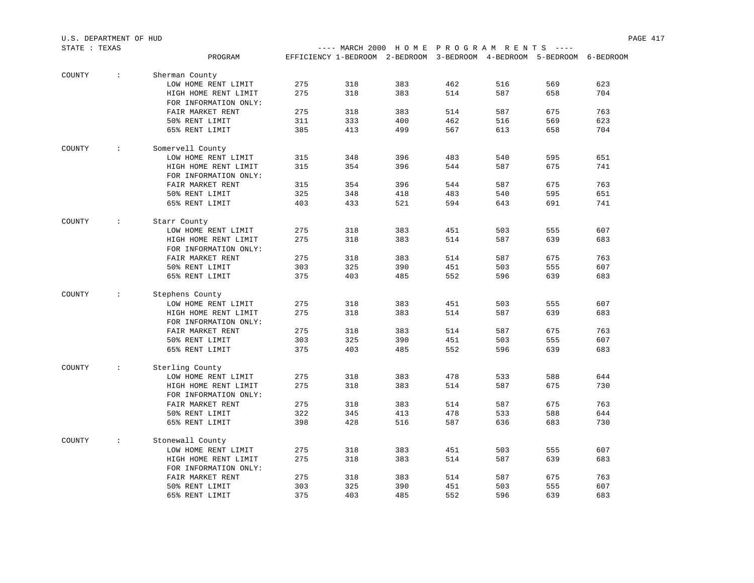| STATE : TEXAS |                      |                                               |     | ---- MARCH 2000 HOME PROGRAM RENTS ----                                |     |     |     |     |     |
|---------------|----------------------|-----------------------------------------------|-----|------------------------------------------------------------------------|-----|-----|-----|-----|-----|
|               |                      | PROGRAM                                       |     | EFFICIENCY 1-BEDROOM 2-BEDROOM 3-BEDROOM 4-BEDROOM 5-BEDROOM 6-BEDROOM |     |     |     |     |     |
|               |                      |                                               |     |                                                                        |     |     |     |     |     |
| COUNTY        | $\sim$               | Sherman County                                |     |                                                                        |     |     |     |     |     |
|               |                      | LOW HOME RENT LIMIT                           | 275 | 318                                                                    | 383 | 462 | 516 | 569 | 623 |
|               |                      | HIGH HOME RENT LIMIT<br>FOR INFORMATION ONLY: | 275 | 318                                                                    | 383 | 514 | 587 | 658 | 704 |
|               |                      | FAIR MARKET RENT                              | 275 | 318                                                                    | 383 | 514 | 587 | 675 | 763 |
|               |                      | 50% RENT LIMIT                                | 311 | 333                                                                    | 400 | 462 | 516 | 569 | 623 |
|               |                      | 65% RENT LIMIT                                | 385 | 413                                                                    | 499 | 567 | 613 | 658 | 704 |
| COUNTY        | $\mathcal{L}$        | Somervell County                              |     |                                                                        |     |     |     |     |     |
|               |                      | LOW HOME RENT LIMIT                           | 315 | 348                                                                    | 396 | 483 | 540 | 595 | 651 |
|               |                      | HIGH HOME RENT LIMIT                          | 315 | 354                                                                    | 396 | 544 | 587 | 675 | 741 |
|               |                      | FOR INFORMATION ONLY:                         |     |                                                                        |     |     |     |     |     |
|               |                      | FAIR MARKET RENT                              | 315 | 354                                                                    | 396 | 544 | 587 | 675 | 763 |
|               |                      | 50% RENT LIMIT                                | 325 | 348                                                                    | 418 | 483 | 540 | 595 | 651 |
|               |                      | 65% RENT LIMIT                                | 403 | 433                                                                    | 521 | 594 | 643 | 691 | 741 |
|               |                      |                                               |     |                                                                        |     |     |     |     |     |
| COUNTY        | $\ddot{\phantom{0}}$ | Starr County                                  |     |                                                                        |     |     |     |     |     |
|               |                      | LOW HOME RENT LIMIT                           | 275 | 318                                                                    | 383 | 451 | 503 | 555 | 607 |
|               |                      | HIGH HOME RENT LIMIT                          | 275 | 318                                                                    | 383 | 514 | 587 | 639 | 683 |
|               |                      | FOR INFORMATION ONLY:                         |     |                                                                        |     |     |     |     |     |
|               |                      | FAIR MARKET RENT                              | 275 | 318                                                                    | 383 | 514 | 587 | 675 | 763 |
|               |                      | 50% RENT LIMIT                                | 303 | 325                                                                    | 390 | 451 | 503 | 555 | 607 |
|               |                      | 65% RENT LIMIT                                | 375 | 403                                                                    | 485 | 552 | 596 | 639 | 683 |
| COUNTY        | $\mathcal{L}$        | Stephens County                               |     |                                                                        |     |     |     |     |     |
|               |                      | LOW HOME RENT LIMIT                           | 275 | 318                                                                    | 383 | 451 | 503 | 555 | 607 |
|               |                      | HIGH HOME RENT LIMIT<br>FOR INFORMATION ONLY: | 275 | 318                                                                    | 383 | 514 | 587 | 639 | 683 |
|               |                      | FAIR MARKET RENT                              | 275 | 318                                                                    | 383 | 514 | 587 | 675 | 763 |
|               |                      | 50% RENT LIMIT                                | 303 | 325                                                                    | 390 | 451 | 503 | 555 | 607 |
|               |                      | 65% RENT LIMIT                                | 375 | 403                                                                    | 485 | 552 | 596 | 639 | 683 |
| COUNTY        | $\mathcal{L}$        | Sterling County                               |     |                                                                        |     |     |     |     |     |
|               |                      | LOW HOME RENT LIMIT                           | 275 | 318                                                                    | 383 | 478 | 533 | 588 | 644 |
|               |                      | HIGH HOME RENT LIMIT                          | 275 | 318                                                                    | 383 | 514 | 587 | 675 | 730 |
|               |                      | FOR INFORMATION ONLY:                         |     |                                                                        |     |     |     |     |     |
|               |                      | FAIR MARKET RENT                              | 275 | 318                                                                    | 383 | 514 | 587 | 675 | 763 |
|               |                      | 50% RENT LIMIT                                | 322 | 345                                                                    | 413 | 478 | 533 | 588 | 644 |
|               |                      | 65% RENT LIMIT                                | 398 | 428                                                                    | 516 | 587 | 636 | 683 | 730 |
|               |                      |                                               |     |                                                                        |     |     |     |     |     |
| COUNTY        | $\sim$               | Stonewall County                              |     |                                                                        |     |     |     |     |     |
|               |                      | LOW HOME RENT LIMIT                           | 275 | 318                                                                    | 383 | 451 | 503 | 555 | 607 |
|               |                      | HIGH HOME RENT LIMIT                          | 275 | 318                                                                    | 383 | 514 | 587 | 639 | 683 |
|               |                      | FOR INFORMATION ONLY:                         |     |                                                                        |     |     |     |     |     |
|               |                      | FAIR MARKET RENT                              | 275 | 318                                                                    | 383 | 514 | 587 | 675 | 763 |
|               |                      | 50% RENT LIMIT                                | 303 | 325                                                                    | 390 | 451 | 503 | 555 | 607 |
|               |                      | 65% RENT LIMIT                                | 375 | 403                                                                    | 485 | 552 | 596 | 639 | 683 |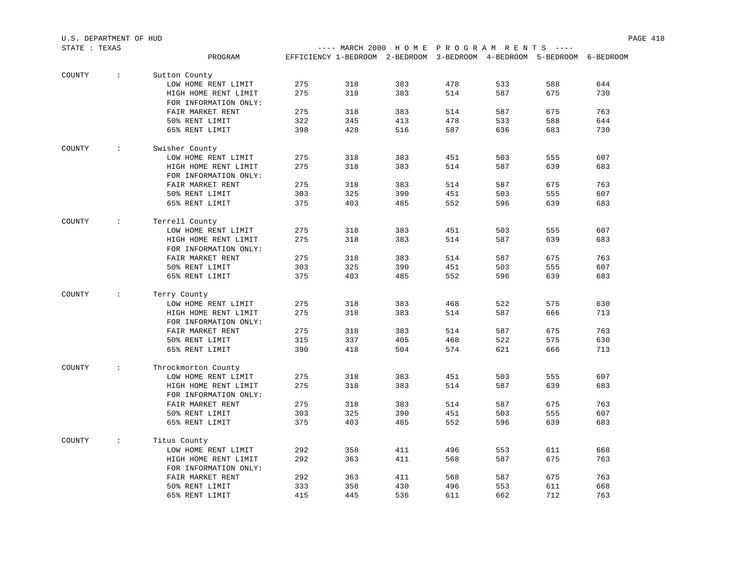| STATE : TEXAS |                      |                       |     |     | ---- MARCH 2000 HOME PROGRAM RENTS ----                                |     |     |     |     |
|---------------|----------------------|-----------------------|-----|-----|------------------------------------------------------------------------|-----|-----|-----|-----|
|               |                      | PROGRAM               |     |     | EFFICIENCY 1-BEDROOM 2-BEDROOM 3-BEDROOM 4-BEDROOM 5-BEDROOM 6-BEDROOM |     |     |     |     |
| COUNTY        | $\ddot{\phantom{a}}$ | Sutton County         |     |     |                                                                        |     |     |     |     |
|               |                      | LOW HOME RENT LIMIT   | 275 | 318 | 383                                                                    | 478 | 533 | 588 | 644 |
|               |                      | HIGH HOME RENT LIMIT  | 275 | 318 | 383                                                                    | 514 | 587 | 675 | 730 |
|               |                      | FOR INFORMATION ONLY: |     |     |                                                                        |     |     |     |     |
|               |                      | FAIR MARKET RENT      | 275 | 318 | 383                                                                    | 514 | 587 | 675 | 763 |
|               |                      | 50% RENT LIMIT        | 322 | 345 | 413                                                                    | 478 | 533 | 588 | 644 |
|               |                      | 65% RENT LIMIT        | 398 | 428 | 516                                                                    | 587 | 636 | 683 | 730 |
| COUNTY        | $\sim$               | Swisher County        |     |     |                                                                        |     |     |     |     |
|               |                      | LOW HOME RENT LIMIT   | 275 | 318 | 383                                                                    | 451 | 503 | 555 | 607 |
|               |                      | HIGH HOME RENT LIMIT  | 275 | 318 | 383                                                                    | 514 | 587 | 639 | 683 |
|               |                      | FOR INFORMATION ONLY: |     |     |                                                                        |     |     |     |     |
|               |                      | FAIR MARKET RENT      | 275 | 318 | 383                                                                    | 514 | 587 | 675 | 763 |
|               |                      | 50% RENT LIMIT        | 303 | 325 | 390                                                                    | 451 | 503 | 555 | 607 |
|               |                      | 65% RENT LIMIT        | 375 | 403 | 485                                                                    | 552 | 596 | 639 | 683 |
| COUNTY        | $\mathcal{L}$        | Terrell County        |     |     |                                                                        |     |     |     |     |
|               |                      | LOW HOME RENT LIMIT   | 275 | 318 | 383                                                                    | 451 | 503 | 555 | 607 |
|               |                      | HIGH HOME RENT LIMIT  | 275 | 318 | 383                                                                    | 514 | 587 | 639 | 683 |
|               |                      | FOR INFORMATION ONLY: |     |     |                                                                        |     |     |     |     |
|               |                      | FAIR MARKET RENT      | 275 | 318 | 383                                                                    | 514 | 587 | 675 | 763 |
|               |                      | 50% RENT LIMIT        | 303 | 325 | 390                                                                    | 451 | 503 | 555 | 607 |
|               |                      | 65% RENT LIMIT        | 375 | 403 | 485                                                                    | 552 | 596 | 639 | 683 |
| COUNTY        | $\mathcal{L}$        | Terry County          |     |     |                                                                        |     |     |     |     |
|               |                      | LOW HOME RENT LIMIT   | 275 | 318 | 383                                                                    | 468 | 522 | 575 | 630 |
|               |                      | HIGH HOME RENT LIMIT  | 275 | 318 | 383                                                                    | 514 | 587 | 666 | 713 |
|               |                      | FOR INFORMATION ONLY: |     |     |                                                                        |     |     |     |     |
|               |                      | FAIR MARKET RENT      | 275 | 318 | 383                                                                    | 514 | 587 | 675 | 763 |
|               |                      | 50% RENT LIMIT        | 315 | 337 | 405                                                                    | 468 | 522 | 575 | 630 |
|               |                      | 65% RENT LIMIT        | 390 | 418 | 504                                                                    | 574 | 621 | 666 | 713 |
| COUNTY        | $\mathcal{L}$        | Throckmorton County   |     |     |                                                                        |     |     |     |     |
|               |                      | LOW HOME RENT LIMIT   | 275 | 318 | 383                                                                    | 451 | 503 | 555 | 607 |
|               |                      | HIGH HOME RENT LIMIT  | 275 | 318 | 383                                                                    | 514 | 587 | 639 | 683 |
|               |                      | FOR INFORMATION ONLY: |     |     |                                                                        |     |     |     |     |
|               |                      | FAIR MARKET RENT      | 275 | 318 | 383                                                                    | 514 | 587 | 675 | 763 |
|               |                      | 50% RENT LIMIT        | 303 | 325 | 390                                                                    | 451 | 503 | 555 | 607 |
|               |                      | 65% RENT LIMIT        | 375 | 403 | 485                                                                    | 552 | 596 | 639 | 683 |
| COUNTY        | $\mathcal{L}$        | Titus County          |     |     |                                                                        |     |     |     |     |
|               |                      | LOW HOME RENT LIMIT   | 292 | 358 | 411                                                                    | 496 | 553 | 611 | 668 |
|               |                      | HIGH HOME RENT LIMIT  | 292 | 363 | 411                                                                    | 568 | 587 | 675 | 763 |
|               |                      | FOR INFORMATION ONLY: |     |     |                                                                        |     |     |     |     |
|               |                      | FAIR MARKET RENT      | 292 | 363 | 411                                                                    | 568 | 587 | 675 | 763 |
|               |                      | 50% RENT LIMIT        | 333 | 358 | 430                                                                    | 496 | 553 | 611 | 668 |
|               |                      | 65% RENT LIMIT        | 415 | 445 | 536                                                                    | 611 | 662 | 712 | 763 |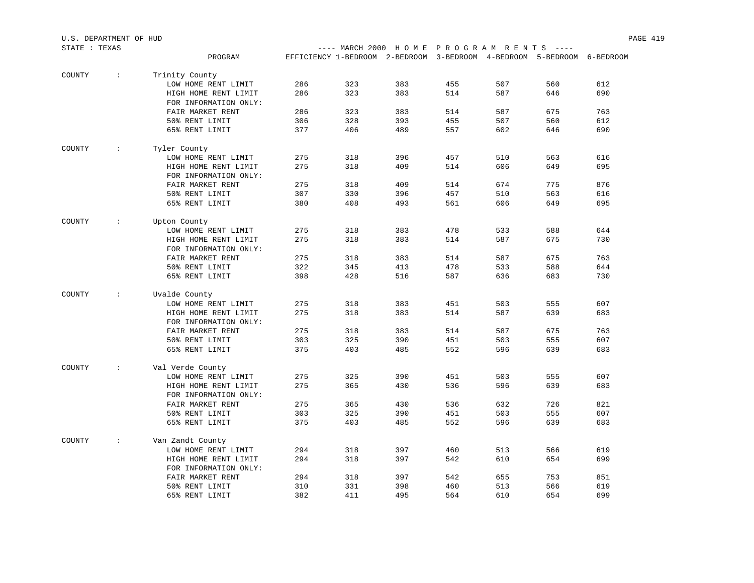| STATE : TEXAS |                      |                                     |     | ---- MARCH 2000 HOME PROGRAM RENTS ----                                |     |     |     |     |     |
|---------------|----------------------|-------------------------------------|-----|------------------------------------------------------------------------|-----|-----|-----|-----|-----|
|               |                      | PROGRAM                             |     | EFFICIENCY 1-BEDROOM 2-BEDROOM 3-BEDROOM 4-BEDROOM 5-BEDROOM 6-BEDROOM |     |     |     |     |     |
|               |                      |                                     |     |                                                                        |     |     |     |     |     |
| COUNTY        | $\sim$               | Trinity County                      |     |                                                                        |     |     |     |     |     |
|               |                      | LOW HOME RENT LIMIT                 | 286 | 323                                                                    | 383 | 455 | 507 | 560 | 612 |
|               |                      | HIGH HOME RENT LIMIT                | 286 | 323                                                                    | 383 | 514 | 587 | 646 | 690 |
|               |                      | FOR INFORMATION ONLY:               |     |                                                                        |     |     |     |     |     |
|               |                      | FAIR MARKET RENT                    | 286 | 323                                                                    | 383 | 514 | 587 | 675 | 763 |
|               |                      | 50% RENT LIMIT                      | 306 | 328                                                                    | 393 | 455 | 507 | 560 | 612 |
|               |                      | 65% RENT LIMIT                      | 377 | 406                                                                    | 489 | 557 | 602 | 646 | 690 |
| COUNTY        | $\ddot{\phantom{a}}$ |                                     |     |                                                                        |     |     |     |     |     |
|               |                      | Tyler County<br>LOW HOME RENT LIMIT | 275 | 318                                                                    | 396 | 457 | 510 | 563 | 616 |
|               |                      |                                     | 275 |                                                                        |     | 514 |     |     | 695 |
|               |                      | HIGH HOME RENT LIMIT                |     | 318                                                                    | 409 |     | 606 | 649 |     |
|               |                      | FOR INFORMATION ONLY:               |     |                                                                        |     |     |     |     |     |
|               |                      | FAIR MARKET RENT                    | 275 | 318                                                                    | 409 | 514 | 674 | 775 | 876 |
|               |                      | 50% RENT LIMIT                      | 307 | 330                                                                    | 396 | 457 | 510 | 563 | 616 |
|               |                      | 65% RENT LIMIT                      | 380 | 408                                                                    | 493 | 561 | 606 | 649 | 695 |
| COUNTY        | $\ddot{\phantom{a}}$ | Upton County                        |     |                                                                        |     |     |     |     |     |
|               |                      | LOW HOME RENT LIMIT                 | 275 | 318                                                                    | 383 | 478 | 533 | 588 | 644 |
|               |                      | HIGH HOME RENT LIMIT                | 275 | 318                                                                    | 383 | 514 | 587 | 675 | 730 |
|               |                      | FOR INFORMATION ONLY:               |     |                                                                        |     |     |     |     |     |
|               |                      | FAIR MARKET RENT                    | 275 | 318                                                                    | 383 | 514 | 587 | 675 | 763 |
|               |                      | 50% RENT LIMIT                      | 322 | 345                                                                    | 413 | 478 | 533 | 588 | 644 |
|               |                      | 65% RENT LIMIT                      | 398 | 428                                                                    | 516 | 587 | 636 | 683 | 730 |
| COUNTY        | $\sim$               | Uvalde County                       |     |                                                                        |     |     |     |     |     |
|               |                      |                                     | 275 | 318                                                                    | 383 | 451 | 503 |     | 607 |
|               |                      | LOW HOME RENT LIMIT                 | 275 |                                                                        |     |     |     | 555 |     |
|               |                      | HIGH HOME RENT LIMIT                |     | 318                                                                    | 383 | 514 | 587 | 639 | 683 |
|               |                      | FOR INFORMATION ONLY:               |     |                                                                        |     |     |     |     |     |
|               |                      | FAIR MARKET RENT                    | 275 | 318                                                                    | 383 | 514 | 587 | 675 | 763 |
|               |                      | 50% RENT LIMIT                      | 303 | 325                                                                    | 390 | 451 | 503 | 555 | 607 |
|               |                      | 65% RENT LIMIT                      | 375 | 403                                                                    | 485 | 552 | 596 | 639 | 683 |
| COUNTY        | $\sim$               | Val Verde County                    |     |                                                                        |     |     |     |     |     |
|               |                      | LOW HOME RENT LIMIT                 | 275 | 325                                                                    | 390 | 451 | 503 | 555 | 607 |
|               |                      | HIGH HOME RENT LIMIT                | 275 | 365                                                                    | 430 | 536 | 596 | 639 | 683 |
|               |                      | FOR INFORMATION ONLY:               |     |                                                                        |     |     |     |     |     |
|               |                      | FAIR MARKET RENT                    | 275 | 365                                                                    | 430 | 536 | 632 | 726 | 821 |
|               |                      | 50% RENT LIMIT                      | 303 | 325                                                                    | 390 | 451 | 503 | 555 | 607 |
|               |                      | 65% RENT LIMIT                      | 375 | 403                                                                    | 485 | 552 | 596 | 639 | 683 |
| COUNTY        | $\sim$               | Van Zandt County                    |     |                                                                        |     |     |     |     |     |
|               |                      | LOW HOME RENT LIMIT                 | 294 | 318                                                                    | 397 | 460 | 513 | 566 | 619 |
|               |                      | HIGH HOME RENT LIMIT                | 294 | 318                                                                    | 397 | 542 | 610 | 654 | 699 |
|               |                      | FOR INFORMATION ONLY:               |     |                                                                        |     |     |     |     |     |
|               |                      | FAIR MARKET RENT                    | 294 | 318                                                                    | 397 | 542 | 655 | 753 | 851 |
|               |                      | 50% RENT LIMIT                      | 310 | 331                                                                    | 398 | 460 | 513 | 566 | 619 |
|               |                      | 65% RENT LIMIT                      | 382 | 411                                                                    | 495 | 564 | 610 | 654 | 699 |
|               |                      |                                     |     |                                                                        |     |     |     |     |     |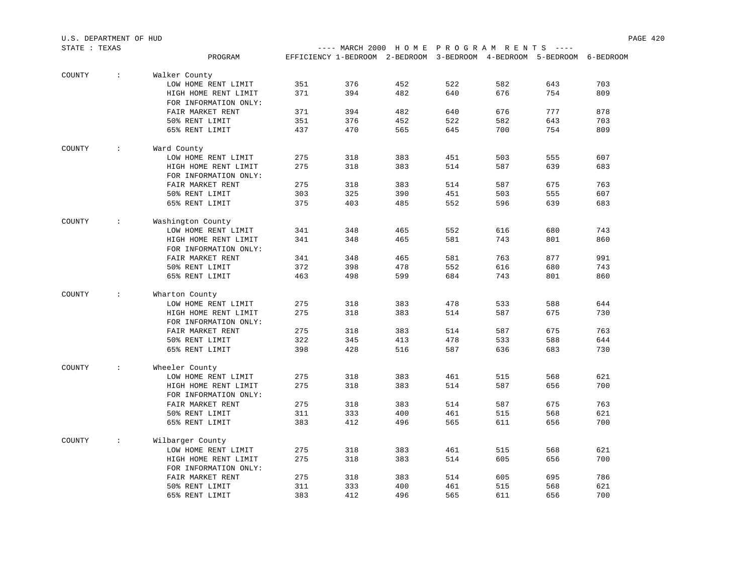| STATE : TEXAS |                      |                       |     |                                                                        |     |     | ---- MARCH 2000 HOME PROGRAM RENTS ---- |     |     |  |  |
|---------------|----------------------|-----------------------|-----|------------------------------------------------------------------------|-----|-----|-----------------------------------------|-----|-----|--|--|
|               |                      | PROGRAM               |     | EFFICIENCY 1-BEDROOM 2-BEDROOM 3-BEDROOM 4-BEDROOM 5-BEDROOM 6-BEDROOM |     |     |                                         |     |     |  |  |
| COUNTY        | $\sim$               | Walker County         |     |                                                                        |     |     |                                         |     |     |  |  |
|               |                      | LOW HOME RENT LIMIT   | 351 | 376                                                                    | 452 | 522 | 582                                     | 643 | 703 |  |  |
|               |                      | HIGH HOME RENT LIMIT  | 371 | 394                                                                    | 482 | 640 | 676                                     | 754 | 809 |  |  |
|               |                      | FOR INFORMATION ONLY: |     |                                                                        |     |     |                                         |     |     |  |  |
|               |                      | FAIR MARKET RENT      | 371 | 394                                                                    | 482 | 640 | 676                                     | 777 | 878 |  |  |
|               |                      | 50% RENT LIMIT        | 351 | 376                                                                    | 452 | 522 | 582                                     | 643 | 703 |  |  |
|               |                      | 65% RENT LIMIT        | 437 | 470                                                                    | 565 | 645 | 700                                     | 754 | 809 |  |  |
| COUNTY        | $\mathcal{L}$        | Ward County           |     |                                                                        |     |     |                                         |     |     |  |  |
|               |                      | LOW HOME RENT LIMIT   | 275 | 318                                                                    | 383 | 451 | 503                                     | 555 | 607 |  |  |
|               |                      | HIGH HOME RENT LIMIT  | 275 | 318                                                                    | 383 | 514 | 587                                     | 639 | 683 |  |  |
|               |                      | FOR INFORMATION ONLY: |     |                                                                        |     |     |                                         |     |     |  |  |
|               |                      | FAIR MARKET RENT      | 275 | 318                                                                    | 383 | 514 | 587                                     | 675 | 763 |  |  |
|               |                      | 50% RENT LIMIT        | 303 | 325                                                                    | 390 | 451 | 503                                     | 555 | 607 |  |  |
|               |                      | 65% RENT LIMIT        | 375 | 403                                                                    | 485 | 552 | 596                                     | 639 | 683 |  |  |
|               |                      |                       |     |                                                                        |     |     |                                         |     |     |  |  |
| COUNTY        | $\ddot{\phantom{a}}$ | Washington County     |     |                                                                        |     |     |                                         |     |     |  |  |
|               |                      | LOW HOME RENT LIMIT   | 341 | 348                                                                    | 465 | 552 | 616                                     | 680 | 743 |  |  |
|               |                      | HIGH HOME RENT LIMIT  | 341 | 348                                                                    | 465 | 581 | 743                                     | 801 | 860 |  |  |
|               |                      | FOR INFORMATION ONLY: |     |                                                                        |     |     |                                         |     |     |  |  |
|               |                      | FAIR MARKET RENT      | 341 | 348                                                                    | 465 | 581 | 763                                     | 877 | 991 |  |  |
|               |                      | 50% RENT LIMIT        | 372 | 398                                                                    | 478 | 552 | 616                                     | 680 | 743 |  |  |
|               |                      | 65% RENT LIMIT        | 463 | 498                                                                    | 599 | 684 | 743                                     | 801 | 860 |  |  |
| COUNTY        | $\mathcal{L}$        | Wharton County        |     |                                                                        |     |     |                                         |     |     |  |  |
|               |                      | LOW HOME RENT LIMIT   | 275 | 318                                                                    | 383 | 478 | 533                                     | 588 | 644 |  |  |
|               |                      | HIGH HOME RENT LIMIT  | 275 | 318                                                                    | 383 | 514 | 587                                     | 675 | 730 |  |  |
|               |                      | FOR INFORMATION ONLY: |     |                                                                        |     |     |                                         |     |     |  |  |
|               |                      | FAIR MARKET RENT      | 275 | 318                                                                    | 383 | 514 | 587                                     | 675 | 763 |  |  |
|               |                      | 50% RENT LIMIT        | 322 | 345                                                                    | 413 | 478 | 533                                     | 588 | 644 |  |  |
|               |                      | 65% RENT LIMIT        | 398 | 428                                                                    | 516 | 587 | 636                                     | 683 | 730 |  |  |
| COUNTY        | $\mathcal{L}$        | Wheeler County        |     |                                                                        |     |     |                                         |     |     |  |  |
|               |                      | LOW HOME RENT LIMIT   | 275 | 318                                                                    | 383 | 461 | 515                                     | 568 | 621 |  |  |
|               |                      | HIGH HOME RENT LIMIT  | 275 | 318                                                                    | 383 | 514 | 587                                     | 656 | 700 |  |  |
|               |                      | FOR INFORMATION ONLY: |     |                                                                        |     |     |                                         |     |     |  |  |
|               |                      | FAIR MARKET RENT      | 275 | 318                                                                    | 383 | 514 | 587                                     | 675 | 763 |  |  |
|               |                      | 50% RENT LIMIT        | 311 | 333                                                                    | 400 | 461 | 515                                     | 568 | 621 |  |  |
|               |                      | 65% RENT LIMIT        | 383 | 412                                                                    | 496 | 565 | 611                                     | 656 | 700 |  |  |
| COUNTY        | $\mathbb{R}^n$       | Wilbarger County      |     |                                                                        |     |     |                                         |     |     |  |  |
|               |                      | LOW HOME RENT LIMIT   | 275 | 318                                                                    | 383 | 461 | 515                                     | 568 | 621 |  |  |
|               |                      | HIGH HOME RENT LIMIT  | 275 | 318                                                                    | 383 | 514 | 605                                     | 656 | 700 |  |  |
|               |                      | FOR INFORMATION ONLY: |     |                                                                        |     |     |                                         |     |     |  |  |
|               |                      | FAIR MARKET RENT      | 275 | 318                                                                    | 383 | 514 | 605                                     | 695 | 786 |  |  |
|               |                      | 50% RENT LIMIT        | 311 | 333                                                                    | 400 | 461 | 515                                     | 568 | 621 |  |  |
|               |                      | 65% RENT LIMIT        | 383 | 412                                                                    | 496 | 565 | 611                                     | 656 | 700 |  |  |
|               |                      |                       |     |                                                                        |     |     |                                         |     |     |  |  |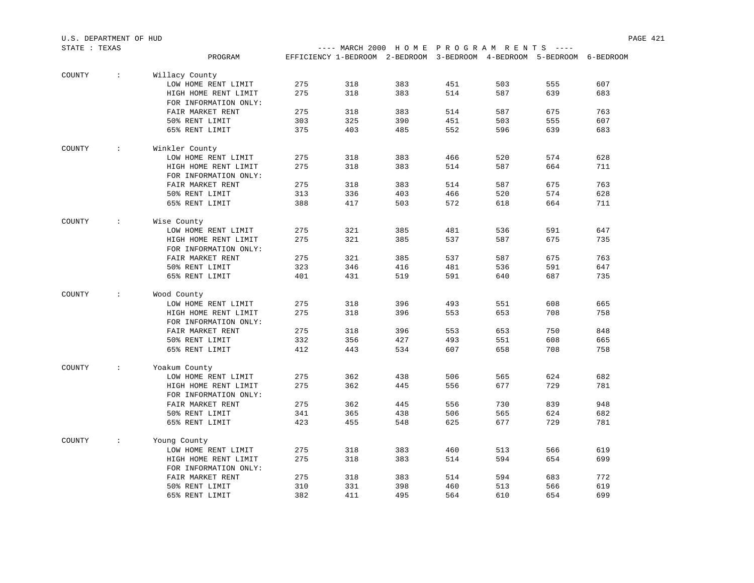| STATE : TEXAS |                      |                       |     |     |                                                                        | ---- MARCH 2000 HOME PROGRAM RENTS ---- |     |     |     |  |
|---------------|----------------------|-----------------------|-----|-----|------------------------------------------------------------------------|-----------------------------------------|-----|-----|-----|--|
|               |                      | PROGRAM               |     |     | EFFICIENCY 1-BEDROOM 2-BEDROOM 3-BEDROOM 4-BEDROOM 5-BEDROOM 6-BEDROOM |                                         |     |     |     |  |
|               |                      |                       |     |     |                                                                        |                                         |     |     |     |  |
| COUNTY        | $\sim$               | Willacy County        |     |     |                                                                        |                                         |     |     |     |  |
|               |                      | LOW HOME RENT LIMIT   | 275 | 318 | 383                                                                    | 451                                     | 503 | 555 | 607 |  |
|               |                      | HIGH HOME RENT LIMIT  | 275 | 318 | 383                                                                    | 514                                     | 587 | 639 | 683 |  |
|               |                      | FOR INFORMATION ONLY: |     |     |                                                                        |                                         |     |     |     |  |
|               |                      | FAIR MARKET RENT      | 275 | 318 | 383                                                                    | 514                                     | 587 | 675 | 763 |  |
|               |                      | 50% RENT LIMIT        | 303 | 325 | 390                                                                    | 451                                     | 503 | 555 | 607 |  |
|               |                      | 65% RENT LIMIT        | 375 | 403 | 485                                                                    | 552                                     | 596 | 639 | 683 |  |
| COUNTY        | $\ddot{\phantom{0}}$ | Winkler County        |     |     |                                                                        |                                         |     |     |     |  |
|               |                      | LOW HOME RENT LIMIT   | 275 | 318 | 383                                                                    | 466                                     | 520 | 574 | 628 |  |
|               |                      |                       | 275 | 318 | 383                                                                    | 514                                     | 587 | 664 | 711 |  |
|               |                      | HIGH HOME RENT LIMIT  |     |     |                                                                        |                                         |     |     |     |  |
|               |                      | FOR INFORMATION ONLY: |     |     |                                                                        |                                         |     |     |     |  |
|               |                      | FAIR MARKET RENT      | 275 | 318 | 383                                                                    | 514                                     | 587 | 675 | 763 |  |
|               |                      | 50% RENT LIMIT        | 313 | 336 | 403                                                                    | 466                                     | 520 | 574 | 628 |  |
|               |                      | 65% RENT LIMIT        | 388 | 417 | 503                                                                    | 572                                     | 618 | 664 | 711 |  |
| COUNTY        | $\sim$               | Wise County           |     |     |                                                                        |                                         |     |     |     |  |
|               |                      | LOW HOME RENT LIMIT   | 275 | 321 | 385                                                                    | 481                                     | 536 | 591 | 647 |  |
|               |                      | HIGH HOME RENT LIMIT  | 275 | 321 | 385                                                                    | 537                                     | 587 | 675 | 735 |  |
|               |                      | FOR INFORMATION ONLY: |     |     |                                                                        |                                         |     |     |     |  |
|               |                      | FAIR MARKET RENT      | 275 | 321 | 385                                                                    | 537                                     | 587 | 675 | 763 |  |
|               |                      | 50% RENT LIMIT        | 323 | 346 | 416                                                                    | 481                                     | 536 | 591 | 647 |  |
|               |                      | 65% RENT LIMIT        | 401 | 431 | 519                                                                    | 591                                     | 640 | 687 | 735 |  |
|               |                      |                       |     |     |                                                                        |                                         |     |     |     |  |
| COUNTY        | $\sim$               | Wood County           |     |     |                                                                        |                                         |     |     |     |  |
|               |                      | LOW HOME RENT LIMIT   | 275 | 318 | 396                                                                    | 493                                     | 551 | 608 | 665 |  |
|               |                      | HIGH HOME RENT LIMIT  | 275 | 318 | 396                                                                    | 553                                     | 653 | 708 | 758 |  |
|               |                      | FOR INFORMATION ONLY: |     |     |                                                                        |                                         |     |     |     |  |
|               |                      | FAIR MARKET RENT      | 275 | 318 | 396                                                                    | 553                                     | 653 | 750 | 848 |  |
|               |                      | 50% RENT LIMIT        | 332 | 356 | 427                                                                    | 493                                     | 551 | 608 | 665 |  |
|               |                      | 65% RENT LIMIT        | 412 | 443 | 534                                                                    | 607                                     | 658 | 708 | 758 |  |
|               |                      |                       |     |     |                                                                        |                                         |     |     |     |  |
| COUNTY        | $\mathcal{L}$        | Yoakum County         |     |     |                                                                        |                                         |     |     |     |  |
|               |                      | LOW HOME RENT LIMIT   | 275 | 362 | 438                                                                    | 506                                     | 565 | 624 | 682 |  |
|               |                      | HIGH HOME RENT LIMIT  | 275 | 362 | 445                                                                    | 556                                     | 677 | 729 | 781 |  |
|               |                      | FOR INFORMATION ONLY: |     |     |                                                                        |                                         |     |     |     |  |
|               |                      | FAIR MARKET RENT      | 275 | 362 | 445                                                                    | 556                                     | 730 | 839 | 948 |  |
|               |                      | 50% RENT LIMIT        | 341 | 365 | 438                                                                    | 506                                     | 565 | 624 | 682 |  |
|               |                      | 65% RENT LIMIT        | 423 | 455 | 548                                                                    | 625                                     | 677 | 729 | 781 |  |
| COUNTY        | $\sim$               | Young County          |     |     |                                                                        |                                         |     |     |     |  |
|               |                      | LOW HOME RENT LIMIT   | 275 | 318 | 383                                                                    | 460                                     | 513 | 566 | 619 |  |
|               |                      | HIGH HOME RENT LIMIT  | 275 | 318 | 383                                                                    | 514                                     | 594 | 654 | 699 |  |
|               |                      | FOR INFORMATION ONLY: |     |     |                                                                        |                                         |     |     |     |  |
|               |                      | FAIR MARKET RENT      | 275 | 318 | 383                                                                    | 514                                     | 594 | 683 | 772 |  |
|               |                      | 50% RENT LIMIT        | 310 | 331 | 398                                                                    | 460                                     | 513 | 566 | 619 |  |
|               |                      | 65% RENT LIMIT        | 382 | 411 | 495                                                                    | 564                                     | 610 | 654 | 699 |  |
|               |                      |                       |     |     |                                                                        |                                         |     |     |     |  |